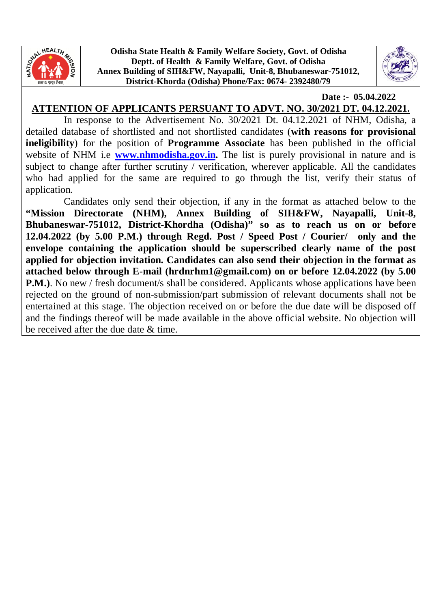



 **Date :- 05.04.2022**

## **ATTENTION OF APPLICANTS PERSUANT TO ADVT. NO. 30/2021 DT. 04.12.2021.**

 In response to the Advertisement No. 30/2021 Dt. 04.12.2021 of NHM, Odisha, a detailed database of shortlisted and not shortlisted candidates (**with reasons for provisional ineligibility**) for the position of **Programme Associate** has been published in the official website of NHM i.e **www.nhmodisha.gov.in.** The list is purely provisional in nature and is subject to change after further scrutiny / verification, wherever applicable. All the candidates who had applied for the same are required to go through the list, verify their status of application.

 Candidates only send their objection, if any in the format as attached below to the **"Mission Directorate (NHM), Annex Building of SIH&FW, Nayapalli, Unit-8, Bhubaneswar-751012, District-Khordha (Odisha)" so as to reach us on or before 12.04.2022 (by 5.00 P.M.) through Regd. Post / Speed Post / Courier/ only and the envelope containing the application should be superscribed clearly name of the post applied for objection invitation. Candidates can also send their objection in the format as attached below through E-mail (hrdnrhm1@gmail.com) on or before 12.04.2022 (by 5.00 P.M.**). No new / fresh document/s shall be considered. Applicants whose applications have been rejected on the ground of non-submission/part submission of relevant documents shall not be entertained at this stage. The objection received on or before the due date will be disposed off and the findings thereof will be made available in the above official website. No objection will be received after the due date & time.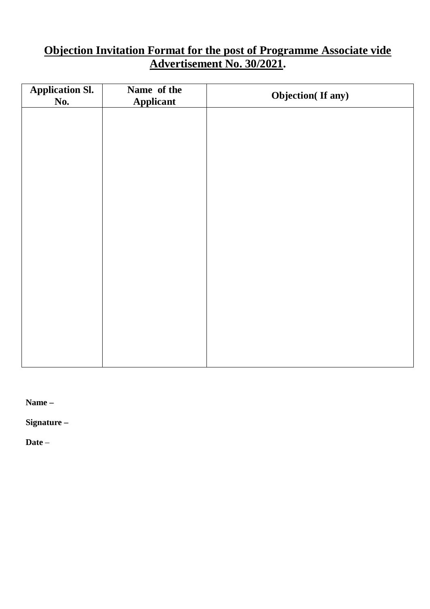## **Objection Invitation Format for the post of Programme Associate vide Advertisement No. 30/2021.**

| <b>Application Sl.</b><br>No. | Name of the<br><b>Applicant</b> | <b>Objection</b> (If any) |
|-------------------------------|---------------------------------|---------------------------|
|                               |                                 |                           |
|                               |                                 |                           |
|                               |                                 |                           |
|                               |                                 |                           |
|                               |                                 |                           |
|                               |                                 |                           |
|                               |                                 |                           |
|                               |                                 |                           |
|                               |                                 |                           |
|                               |                                 |                           |
|                               |                                 |                           |

**Name –**

**Signature –**

**Date** –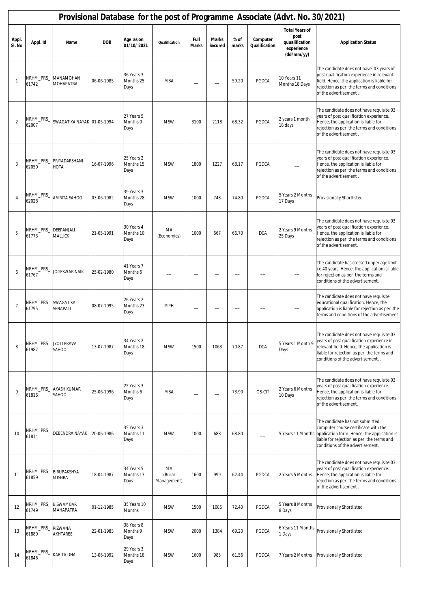|                 |                    |                                      |            |                                 |                             |                      |                         |               |                           | Provisional Database for the post of Programme Associate (Advt. No. 30/2021) |                                                                                                                                                                                                                    |
|-----------------|--------------------|--------------------------------------|------------|---------------------------------|-----------------------------|----------------------|-------------------------|---------------|---------------------------|------------------------------------------------------------------------------|--------------------------------------------------------------------------------------------------------------------------------------------------------------------------------------------------------------------|
| Appl.<br>SI. No | Appl. Id           | Name                                 | <b>DOB</b> | Age as on<br>01/10/2021         | Qualification               | Full<br><b>Marks</b> | <b>Marks</b><br>Secured | % of<br>marks | Computer<br>Qualification | <b>Total Years of</b><br>post<br>quualification<br>experience<br>(dd/mm/yy)  | <b>Application Status</b>                                                                                                                                                                                          |
| $\mathbf{1}$    | NRHM_PRS_<br>61742 | MANAMOHAN<br>MOHAPATRA               | 06-06-1985 | 36 Years 3<br>Months 25<br>Days | MBA                         |                      |                         | 59.20         | PGDCA                     | 10 Years 11<br>Months 18 Days                                                | The candidate does not have 03 years of<br>post qualification experience in relevant<br>field. Hence, the application is liable for<br>rejection as per the terms and conditions<br>of the advertisement.          |
| $\overline{2}$  | NRHM_PRS_<br>62007 | SWAGATIKA NAYAK 01-05-1994           |            | 27 Years 5<br>Months 0<br>Days  | <b>MSW</b>                  | 3100                 | 2118                    | 68.32         | PGDCA                     | 2 years 1 month<br>18 days                                                   | The candidate does not have requisite 03<br>years of post qualification experience.<br>Hence, the application is liable for<br>rejection as per the terms and conditions<br>of the advertisement.                  |
| 3               | NRHM_PRS_<br>62050 | PRIYADARSHANI<br>HOTA                | 16-07-1996 | 25 Years 2<br>Months 15<br>Days | <b>MSW</b>                  | 1800                 | 1227                    | 68.17         | PGDCA                     |                                                                              | The candidate does not have requisite 03<br>years of post qualification experience.<br>Hence, the application is liable for<br>rejection as per the terms and conditions<br>of the advertisement.                  |
| $\overline{4}$  | NRHM_PRS_<br>62028 | <b>AMRITA SAHOO</b>                  | 03-06-1982 | 39 Years 3<br>Months 28<br>Days | <b>MSW</b>                  | 1000                 | 748                     | 74.80         | PGDCA                     | 5 Years 2 Months<br>17 Days                                                  | Provisionally Shortlisted                                                                                                                                                                                          |
| 5               | NRHM_PRS_<br>61773 | DEEPANJALI<br><b>MALLICK</b>         | 21-05-1991 | 30 Years 4<br>Months 10<br>Days | MA<br>(Economics)           | 1000                 | 667                     | 66.70         | <b>DCA</b>                | 2 Years 9 Months<br>25 Days                                                  | The candidate does not have requisite 03<br>years of post qualification experience.<br>Hence, the application is liable for<br>rejection as per the terms and conditions<br>of the advertisement.                  |
| 6               | NRHM_PRS_<br>61767 | JOGESWAR NAIK                        | 25-02-1980 | 41 Years 7<br>Months 6<br>Days  |                             |                      |                         |               |                           |                                                                              | The candidate has crossed upper age limit<br>i.e 40 years. Hence, the application is liable<br>for rejection as per the terms and<br>conditions of the advertisement.                                              |
| $\overline{7}$  | NRHM_PRS_<br>61795 | SWAGATIKA<br>SENAPATI                | 08-07-1995 | 26 Years 2<br>Months 23<br>Days | <b>MPH</b>                  |                      |                         |               |                           |                                                                              | The candidate does not have requisite<br>educational qualification. Hence, the<br>application is liable for rejection as per the<br>terms and conditions of the advertisement.                                     |
| 8               | 61987              | NRHM_PRS_ JYOTI PRAVA<br>SAHOO       | 13-07-1987 | 34 Years 2<br>Months 18<br>Days | <b>MSW</b>                  | 1500                 | 1063                    | 70.87         | <b>DCA</b>                | 5 Years 1 Month 9<br>Days                                                    | The candidate does not have requisite 03<br>years of post qualification experience in<br>relevant field. Hence, the application is<br>liable for rejection as per the terms and<br>conditions of the advertisement |
| 9               | NRHM_PRS_<br>61816 | <b>AKASH KUMAR</b><br>SAHOO          | 25-06-1996 | 25 Years 3<br>Months 6<br>Days  | MBA                         |                      |                         | 73.90         | OS-CIT                    | 2 Years 6 Months<br>10 Days                                                  | The candidate does not have requisite 03<br>years of post qualification experience.<br>Hence, the application is liable for<br>rejection as per the terms and conditions<br>of the advertisement.                  |
| 10              | NRHM_PRS_<br>61814 | DEBENDRA NAYAK                       | 20-06-1986 | 35 Years 3<br>Months 11<br>Days | <b>MSW</b>                  | 1000                 | 688                     | 68.80         |                           | 5 Years 11 Months                                                            | The candidate has not submitted<br>computer course certificate with the<br>application form. Hence, the application is<br>liable for rejection as per the terms and<br>conditions of the advertisement.            |
| 11              | NRHM_PRS_<br>61859 | BIRUPAKSHYA<br><b>MISHRA</b>         | 18-04-1987 | 34 Years 5<br>Months 13<br>Days | MA<br>(Rural<br>Management) | 1600                 | 999                     | 62.44         | PGDCA                     | 2 Years 5 Months                                                             | The candidate does not have requisite 03<br>years of post qualification experience.<br>Hence, the application is liable for<br>rejection as per the terms and conditions<br>of the advertisement.                  |
| 12              | NRHM_PRS_<br>61749 | <b>BISWAMBAR</b><br><b>MAHAPATRA</b> | 01-12-1985 | 35 Years 10<br><b>Months</b>    | <b>MSW</b>                  | 1500                 | 1086                    | 72.40         | PGDCA                     | 5 Years 8 Months<br>8 Days                                                   | Provisionally Shortlisted                                                                                                                                                                                          |
| 13              | NRHM_PRS_<br>61880 | RIZWANA<br>AKHTAREE                  | 22-01-1983 | 38 Years 8<br>Months 9<br>Days  | <b>MSW</b>                  | 2000                 | 1384                    | 69.20         | PGDCA                     | 6 Years 11 Months<br>1 Days                                                  | Provisionally Shortlisted                                                                                                                                                                                          |
| 14              | NRHM_PRS_<br>61846 | KABITA DHAL                          | 13-06-1992 | 29 Years 3<br>Months 18<br>Days | <b>MSW</b>                  | 1600                 | 985                     | 61.56         | PGDCA                     | 7 Years 2 Months                                                             | <b>Provisionally Shortlisted</b>                                                                                                                                                                                   |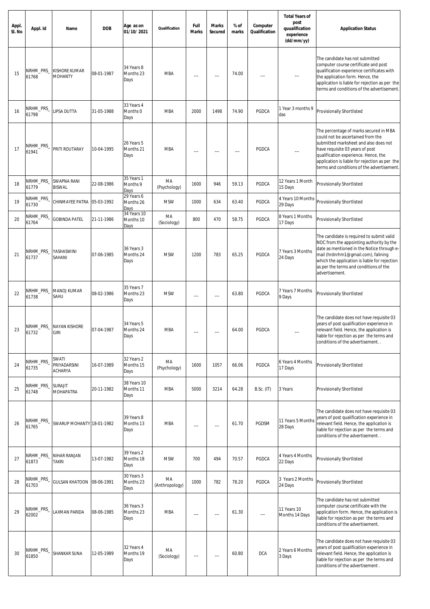| Appl.<br>SI. No | Appl. Id           | Name                                    | <b>DOB</b> | Age as on<br>01/10/2021          | Qualification        | Full<br><b>Marks</b> | <b>Marks</b><br>Secured | % of<br>marks | Computer<br>Qualification | <b>Total Years of</b><br>post<br>quualification<br>experience<br>(dd/mm/yy) | <b>Application Status</b>                                                                                                                                                                                                                                                                       |
|-----------------|--------------------|-----------------------------------------|------------|----------------------------------|----------------------|----------------------|-------------------------|---------------|---------------------------|-----------------------------------------------------------------------------|-------------------------------------------------------------------------------------------------------------------------------------------------------------------------------------------------------------------------------------------------------------------------------------------------|
| 15              | NRHM_PRS_<br>61768 | KISHORE KUMAR<br><b>MOHANTY</b>         | 08-01-1987 | 34 Years 8<br>Months 23<br>Days  | <b>MBA</b>           |                      |                         | 74.00         |                           |                                                                             | The candidate has not submitted<br>computer course certificate and post<br>qualification experience certificates with<br>the application form. Hence, the<br>application is liable for rejection as per the<br>terms and conditions of the advertisement.                                       |
| 16              | NRHM_PRS_<br>61798 | <b>IPSA DUTTA</b>                       | 31-05-1988 | 33 Years 4<br>Months 0<br>Days   | <b>MBA</b>           | 2000                 | 1498                    | 74.90         | PGDCA                     | 1 Year 3 months 9<br>das                                                    | Provisionally Shortlisted                                                                                                                                                                                                                                                                       |
| 17              | NRHM_PRS_<br>61941 | PRITI ROUTARAY                          | 10-04-1995 | 26 Years 5<br>Months 21<br>Days  | <b>MBA</b>           |                      |                         |               | PGDCA                     |                                                                             | The percentage of marks secured in MBA<br>could not be ascertained from the<br>submitted marksheet and also does not<br>have requisite 03 years of post<br>qualification experience. Hence, the<br>application is liable for rejection as per the<br>terms and conditions of the advertisement. |
| 18              | NRHM_PRS_<br>61779 | <b>SWAPNA RANI</b><br><b>BISWAL</b>     | 22-08-1986 | 35 Years 1<br>Months 9<br>Days   | MA<br>(Psychology)   | 1600                 | 946                     | 59.13         | PGDCA                     | 12 Years 1 Month<br>15 Days                                                 | Provisionally Shortlisted                                                                                                                                                                                                                                                                       |
| 19              | NRHM_PRS_<br>61730 | CHINMAYEE PATRA                         | 05-03-1992 | 29 Years 6<br>Months 26<br>Days  | <b>MSW</b>           | 1000                 | 634                     | 63.40         | PGDCA                     | 4 Years 10 Months<br>29 Days                                                | Provisionally Shortlisted                                                                                                                                                                                                                                                                       |
| 20              | NRHM_PRS_<br>61764 | <b>GOBINDA PATEL</b>                    | 21-11-1986 | 34 Years 10<br>Months 10<br>Days | MA<br>(Sociology)    | 800                  | 470                     | 58.75         | PGDCA                     | 8 Years 1 Months<br>17 Days                                                 | Provisionally Shortlisted                                                                                                                                                                                                                                                                       |
| 21              | NRHM_PRS_<br>61737 | YASHASWINI<br>SAHANI                    | 07-06-1985 | 36 Years 3<br>Months 24<br>Days  | <b>MSW</b>           | 1200                 | 783                     | 65.25         | PGDCA                     | 7 Years 3 Months<br>24 Days                                                 | The candidate is required to submit valid<br>NOC from the appointing authority by the<br>date as mentioned in the Notice through e-<br>mail (hrdnrhm1@gmail.com), falining<br>which the application is liable for rejection<br>as per the terms and conditions of the<br>advertisement.         |
| 22              | NRHM_PRS_<br>61738 | MANOJ KUMAR<br>SAHU                     | 08-02-1986 | 35 Years 7<br>Months 23<br>Days  | <b>MSW</b>           |                      |                         | 63.80         | PGDCA                     | 7 Years 7 Months<br>9 Days                                                  | Provisionally Shortlisted                                                                                                                                                                                                                                                                       |
| 23              | NRHM_PRS_<br>61732 | NAYAN KISHORE<br><b>GIRI</b>            | 07-04-1987 | 34 Years 5<br>Months 24<br>Days  | <b>MBA</b>           |                      |                         | 64.00         | PGDCA                     |                                                                             | The candidate does not have requisite 03<br>years of post qualification experience in<br>relevant field. Hence, the application is<br>liable for reiection as per the terms and<br>conditions of the advertisement                                                                              |
| 24              | NRHM_PRS_<br>61735 | SWATI<br>PRIYADARSINI<br><b>ACHARYA</b> | 16-07-1989 | 32 Years 2<br>Months 15<br>Days  | MA<br>(Psychology)   | 1600                 | 1057                    | 66.06         | PGDCA                     | 6 Years 4 Months<br>17 Days                                                 | Provisionally Shortlisted                                                                                                                                                                                                                                                                       |
| 25              | NRHM_PRS_<br>61748 | <b>SURAJIT</b><br>MOHAPATRA             | 20-11-1982 | 38 Years 10<br>Months 11<br>Days | <b>MBA</b>           | 5000                 | 3214                    | 64.28         | <b>B.Sc. (IT)</b>         | 3 Years                                                                     | Provisionally Shortlisted                                                                                                                                                                                                                                                                       |
| 26              | NRHM_PRS_<br>61765 | SWARUP MOHANTY 18-01-1982               |            | 39 Years 8<br>Months 13<br>Days  | <b>MBA</b>           |                      |                         | 61.70         | PGDSM                     | 11 Years 5 Months<br>28 Days                                                | The candidate does not have requisite 03<br>years of post qualification experience in<br>relevant field. Hence, the application is<br>liable for rejection as per the terms and<br>conditions of the advertisement                                                                              |
| 27              | NRHM_PRS_<br>61873 | NIHAR RANJAN<br><b>TAKRI</b>            | 13-07-1982 | 39 Years 2<br>Months 18<br>Days  | <b>MSW</b>           | 700                  | 494                     | 70.57         | PGDCA                     | 4 Years 4 Months<br>22 Days                                                 | Provisionally Shortlisted                                                                                                                                                                                                                                                                       |
| 28              | NRHM_PRS_<br>61703 | <b>GULSAN KHATOON</b>                   | 08-06-1991 | 30 Years 3<br>Months 23<br>Days  | MA<br>(Anthropology) | 1000                 | 782                     | 78.20         | PGDCA                     | 3 Years 2 Months<br>24 Days                                                 | Provisionally Shortlisted                                                                                                                                                                                                                                                                       |
| 29              | NRHM_PRS_<br>62002 | LAXMAN PARIDA                           | 08-06-1985 | 36 Years 3<br>Months 23<br>Days  | <b>MBA</b>           |                      |                         | 61.30         |                           | 11 Years 10<br>Months 14 Days                                               | The candidate has not submitted<br>computer course certificate with the<br>application form. Hence, the application is<br>liable for rejection as per the terms and<br>conditions of the advertisement.                                                                                         |
| 30              | NRHM_PRS_<br>61850 | <b>SHANKAR SUNA</b>                     | 12-05-1989 | 32 Years 4<br>Months 19<br>Days  | МA<br>(Sociology)    |                      |                         | 60.80         | <b>DCA</b>                | 2 Years 6 Months<br>3 Days                                                  | The candidate does not have requisite 03<br>years of post qualification experience in<br>relevant field. Hence, the application is<br>liable for rejection as per the terms and<br>conditions of the advertisement.                                                                             |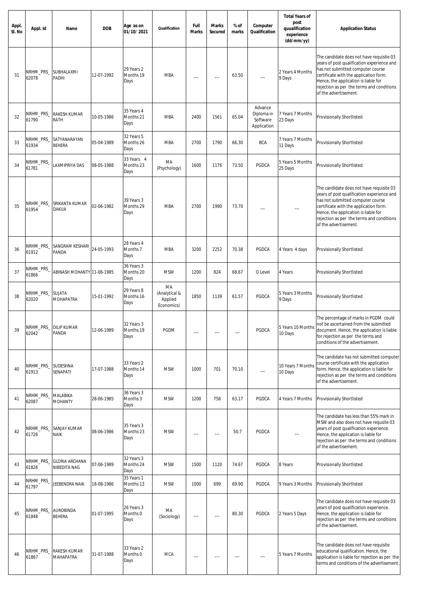| Appl.<br>SI. No | Appl. Id           | Name                                  | <b>DOB</b> | Age as on<br>01/10/2021                   | Qualification                                | Full<br><b>Marks</b> | <b>Marks</b><br>Secured | % of<br>marks | Computer<br>Qualification                        | <b>Total Years of</b><br>post<br>quualification<br>experience<br>(dd/mm/yy) | <b>Application Status</b>                                                                                                                                                                                                                                                           |
|-----------------|--------------------|---------------------------------------|------------|-------------------------------------------|----------------------------------------------|----------------------|-------------------------|---------------|--------------------------------------------------|-----------------------------------------------------------------------------|-------------------------------------------------------------------------------------------------------------------------------------------------------------------------------------------------------------------------------------------------------------------------------------|
| 31              | NRHM_PRS_<br>62078 | SUBHALAXMI<br>PADHI                   | 12-07-1992 | 29 Years 2<br>Months 19<br>Days           | <b>MBA</b>                                   |                      |                         | 63.50         |                                                  | 2 Years 4 Months<br>9 Days                                                  | The candidate does not have requisite 03<br>years of post qualification experience and<br>has not submitted computer course<br>certificate with the application form.<br>Hence, the application is liable for<br>rejection as per the terms and conditions<br>of the advertisement. |
| 32              | NRHM_PRS_<br>61790 | RAKESH KUMAR<br>RATH                  | 10-05-1986 | 35 Years 4<br>Months 21<br>Days           | MBA                                          | 2400                 | 1561                    | 65.04         | Advance<br>Diploma in<br>Software<br>Application | 7 Years 7 Months<br>23 Days                                                 | <b>Provisionally Shortlisted</b>                                                                                                                                                                                                                                                    |
| 33              | NRHM_PRS_<br>61934 | SATYANARAYAN<br><b>BEHERA</b>         | 05-04-1989 | 32 Years 5<br>Months 26<br>Days           | <b>MBA</b>                                   | 2700                 | 1790                    | 66.30         | <b>BCA</b>                                       | 7 Years 7 Months<br>11 Days                                                 | Provisionally Shortlisted                                                                                                                                                                                                                                                           |
| 34              | NRHM_PRS_<br>61781 | LAXMIPRIYA DAS                        | 08-05-1988 | 33 Years 4<br>Months 23<br>Days           | MA<br>(Psychology)                           | 1600                 | 1176                    | 73.50         | PGDCA                                            | 5 Years 5 Months<br>25 Days                                                 | Provisionally Shortlisted                                                                                                                                                                                                                                                           |
| 35              | NRHM_PRS_<br>61954 | SRIKANTA KUMAR<br><b>DAKUA</b>        | 02-06-1982 | 39 Years 3<br>Months 29<br>Days           | <b>MBA</b>                                   | 2700                 | 1990                    | 73.70         |                                                  |                                                                             | The candidate does not have requisite 03<br>years of post qualification experience and<br>has not submitted computer course<br>certificate with the application form.<br>Hence, the application is liable for<br>rejection as per the terms and conditions<br>of the advertisement. |
| 36              | NRHM_PRS_<br>61912 | SANGRAM KESHARI<br>PANDA              | 24-05-1993 | 28 Years 4<br>Months <sub>7</sub><br>Days | MBA                                          | 3200                 | 2252                    | 70.38         | PGDCA                                            | 4 Years 4 days                                                              | Provisionally Shortlisted                                                                                                                                                                                                                                                           |
| 37              | NRHM_PRS_<br>61866 | ABINASH MOHANTY 11-06-1985            |            | 36 Years 3<br>Months 20<br>Days           | <b>MSW</b>                                   | 1200                 | 824                     | 68.67         | O Level                                          | 4 Years                                                                     | Provisionally Shortlisted                                                                                                                                                                                                                                                           |
| 38              | NRHM_PRS_<br>62020 | SUJATA<br>MOHAPATRA                   | 15-01-1992 | 29 Years 8<br>Months 16<br>Days           | MA<br>(Analytical &<br>Applied<br>Economics) | 1850                 | 1139                    | 61.57         | PGDCA                                            | 5 Years 3 Months<br>9 Days                                                  | <b>Provisionally Shortlisted</b>                                                                                                                                                                                                                                                    |
| 39              | NRHM_PRS_<br>62042 | <b>DILIP KUMAR</b><br>PANDA           | 12-06-1989 | 32 Years 3<br>Months 19<br>Days           | PGDM                                         |                      |                         |               | PGDCA                                            | 5 Years 10 Months<br>10 Days                                                | The percentage of marks in PGDM could<br>not be ascertained from the submitted<br>document. Hence, the application is liable<br>for rejection as per the terms and<br>conditions of the advertisement.                                                                              |
| 40              | NRHM_PRS_<br>61913 | SUDESHNA<br>SENAPATI                  | 17-07-1988 | 33 Years 2<br>Months 14<br>Days           | <b>MSW</b>                                   | 1000                 | 701                     | 70.10         |                                                  | 10 Years 7 Months<br>10 Days                                                | The candidate has not submitted computer<br>course certificate with the application<br>form. Hence, the application is liable for<br>rejection as per the terms and conditions<br>of the advertisement.                                                                             |
| 41              | NRHM_PRS_<br>62087 | MALABIKA<br><b>MOHANTY</b>            | 28-06-1985 | 36 Years 3<br>Months 3<br>Days            | <b>MSW</b>                                   | 1200                 | 758                     | 63.17         | PGDCA                                            | 4 Years 7 Months                                                            | Provisionally Shortlisted                                                                                                                                                                                                                                                           |
| 42              | NRHM_PRS_<br>61726 | SANJAY KUMAR<br>NAIK                  | 08-06-1986 | 35 Years 3<br>Months 23<br>Days           | <b>MSW</b>                                   |                      |                         | 50.7          | PGDCA                                            |                                                                             | The candidate has less than 55% mark in<br>MSW and also does not have requsite 03<br>years of post qualification experience.<br>Hence, the application is liable for<br>rejection as per the terms and conditions<br>of the advertisement.                                          |
| 43              | NRHM_PRS_<br>61826 | <b>GLORIA ARCHANA</b><br>NIBEDITA NAG | 07-06-1989 | 32 Years 3<br>Months 24<br>Days           | <b>MSW</b>                                   | 1500                 | 1120                    | 74.67         | PGDCA                                            | 8 Years                                                                     | Provisionally Shortlisted                                                                                                                                                                                                                                                           |
| 44              | NRHM_PRS_<br>61797 | JEEBENDRA NAIK                        | 18-08-1986 | 35 Years 1<br>Months 13<br>Days           | <b>MSW</b>                                   | 1000                 | 699                     | 69.90         | PGDCA                                            | 9 Years 3 Months                                                            | <b>Provisionally Shortlisted</b>                                                                                                                                                                                                                                                    |
| 45              | NRHM_PRS_<br>61848 | <b>AUROBINDA</b><br>BEHERA            | 01-07-1995 | 26 Years 3<br>Months 0<br>Days            | MA<br>(Sociology)                            |                      |                         | 80.30         | PGDCA                                            | 2 Years 5 Days                                                              | The candidate does not have requisite 03<br>years of post qualification experience.<br>Hence, the application is liable for<br>rejection as per the terms and conditions<br>of the advertisement.                                                                                   |
| 46              | NRHM_PRS_<br>61867 | RAKESH KUMAR<br>MAHAPATRA             | 31-07-1988 | 33 Years 2<br>Months 0<br>Days            | MCA                                          |                      |                         |               |                                                  | 5 Years 7 Months                                                            | The candidate does not have requisite<br>educational qualification. Hence, the<br>application is liable for rejection as per the<br>terms and conditions of the advertisement.                                                                                                      |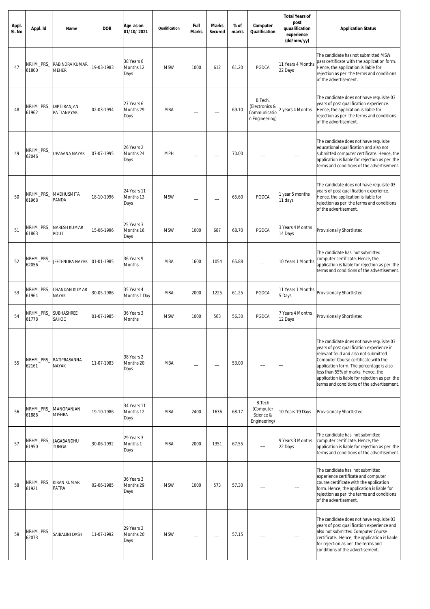| Appl.<br>SI. No | Appl. Id           | Name                              | <b>DOB</b> | Age as on<br>01/10/2021          | Qualification | Full<br><b>Marks</b> | <b>Marks</b><br>Secured | % of<br>marks | Computer<br>Qualification                                   | <b>Total Years of</b><br>post<br>quualification<br>experience<br>(dd/mm/yy) | <b>Application Status</b>                                                                                                                                                                                                                                                                                                                                |
|-----------------|--------------------|-----------------------------------|------------|----------------------------------|---------------|----------------------|-------------------------|---------------|-------------------------------------------------------------|-----------------------------------------------------------------------------|----------------------------------------------------------------------------------------------------------------------------------------------------------------------------------------------------------------------------------------------------------------------------------------------------------------------------------------------------------|
| 47              | NRHM_PRS_<br>61800 | RABINDRA KUMAR<br>MEHER           | 19-03-1983 | 38 Years 6<br>Months 12<br>Days  | <b>MSW</b>    | 1000                 | 612                     | 61.20         | PGDCA                                                       | 11 Years 4 Months<br>22 Days                                                | The candidate has not submitted MSW<br>pass certificate with the application form.<br>Hence, the application is liable for<br>rejection as per the terms and conditions<br>of the advertisement.                                                                                                                                                         |
| 48              | NRHM_PRS_<br>61962 | <b>DIPTI RANJAN</b><br>PATTANAYAK | 02-03-1994 | 27 Years 6<br>Months 29<br>Days  | <b>MBA</b>    |                      |                         | 69.10         | B.Tech.<br>(Electronics &<br>Communicatio<br>n Engineering) | 2 years 4 Months                                                            | The candidate does not have requisite 03<br>years of post qualification experience.<br>Hence, the application is liable for<br>rejection as per the terms and conditions<br>of the advertisement.                                                                                                                                                        |
| 49              | NRHM_PRS_<br>62046 | UPASANA NAYAK                     | 07-07-1995 | 26 Years 2<br>Months 24<br>Days  | <b>MPH</b>    |                      |                         | 70.00         |                                                             |                                                                             | The candidate does not have requisite<br>educational qualification and also not<br>submitted computer certificate. Hence, the<br>application is liable for rejection as per the<br>terms and conditions of the advertisement.                                                                                                                            |
| 50              | NRHM_PRS_<br>61968 | <b>MADHUSMITA</b><br>PANDA        | 18-10-1996 | 24 Years 11<br>Months 13<br>Days | <b>MSW</b>    |                      |                         | 65.60         | PGDCA                                                       | 1 year 5 months<br>11 days                                                  | The candidate does not have requisite 03<br>years of post qualification experience.<br>Hence, the application is liable for<br>rejection as per the terms and conditions<br>of the advertisement.                                                                                                                                                        |
| 51              | NRHM_PRS_<br>61863 | NARESH KUMAR<br>ROUT              | 15-06-1996 | 25 Years 3<br>Months 16<br>Days  | <b>MSW</b>    | 1000                 | 687                     | 68.70         | PGDCA                                                       | 3 Years 4 Months<br>14 Days                                                 | Provisionally Shortlisted                                                                                                                                                                                                                                                                                                                                |
| 52              | NRHM_PRS_<br>62056 | JEETENDRA NAYAK 01-01-1985        |            | 36 Years 9<br><b>Months</b>      | <b>MBA</b>    | 1600                 | 1054                    | 65.88         |                                                             | 10 Years 1 Months                                                           | The candidate has not submitted<br>computer certificate. Hence, the<br>application is liable for rejection as per the<br>terms and conditions of the advertisement.                                                                                                                                                                                      |
| 53              | NRHM_PRS_<br>61964 | CHANDAN KUMAR<br>NAYAK            | 30-05-1986 | 35 Years 4<br>Months 1 Day       | <b>MBA</b>    | 2000                 | 1225                    | 61.25         | PGDCA                                                       | 11 Years 1 Months<br>5 Days                                                 | Provisionally Shortlisted                                                                                                                                                                                                                                                                                                                                |
| 54              | NRHM_PRS_<br>61778 | SUBHASHREE<br>SAHOO               | 01-07-1985 | 36 Years 3<br><b>Months</b>      | <b>MSW</b>    | 1000                 | 563                     | 56.30         | PGDCA                                                       | 7 Years 4 Months<br>12 Days                                                 | Provisionally Shortlisted                                                                                                                                                                                                                                                                                                                                |
| 55              | NRHM_PRS_<br>62161 | RATIPRASANNA<br>NAYAK             | 11-07-1983 | 38 Years 2<br>Months 20<br>Days  | <b>MBA</b>    |                      |                         | 53.00         |                                                             |                                                                             | The candidate does not have requisite 03<br>years of post qualification experience in<br>relevant feild and also not submitted<br>Computer Course certificate with the<br>application form. The percentage is also<br>less than 55% of marks. Hence, the<br>application is liable for rejection as per the<br>terms and conditions of the advertisement. |
| 56              | NRHM_PRS_<br>61886 | MANORANJAN<br>MISHRA              | 19-10-1986 | 34 Years 11<br>Months 12<br>Days | <b>MBA</b>    | 2400                 | 1636                    | 68.17         | <b>B.Tech</b><br>(Computer<br>Science &<br>Engineering)     | 10 Years 19 Days                                                            | Provisionally Shortlisted                                                                                                                                                                                                                                                                                                                                |
| 57              | NRHM_PRS_<br>61950 | <b>JAGABANDHU</b><br>TUNGA        | 30-06-1992 | 29 Years 3<br>Months 1<br>Days   | <b>MBA</b>    | 2000                 | 1351                    | 67.55         |                                                             | 9 Years 3 Months<br>22 Days                                                 | The candidate has not submitted<br>computer certificate. Hence, the<br>application is liable for rejection as per the<br>terms and conditions of the advertisement.                                                                                                                                                                                      |
| 58              | NRHM_PRS_<br>61921 | KIRAN KUMAR<br>PATRA              | 02-06-1985 | 36 Years 3<br>Months 29<br>Days  | <b>MSW</b>    | 1000                 | 573                     | 57.30         |                                                             |                                                                             | The candidate has not submitted<br>experience certificate and computer<br>course certificate with the application<br>form. Hence, the application is liable for<br>rejection as per the terms and conditions<br>of the advertisement.                                                                                                                    |
| 59              | NRHM_PRS_<br>62073 | SAIBALINI DASH                    | 11-07-1992 | 29 Years 2<br>Months 20<br>Days  | <b>MSW</b>    |                      |                         | 57.15         |                                                             |                                                                             | The candidate does not have requisite 03<br>years of post qualification experience and<br>also not submitted Computer Course<br>certificate. Hence, the application is liable<br>for rejection as per the terms and<br>conditions of the advertisement.                                                                                                  |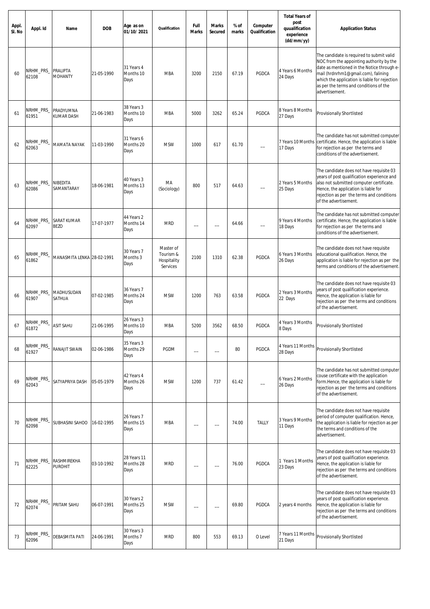| Appl.<br>SI. No | Appl. Id           | Name                              | <b>DOB</b> | Age as on<br>01/10/2021                   | Qualification                                     | Full<br><b>Marks</b> | <b>Marks</b><br>Secured | % of<br>marks | Computer<br>Qualification | <b>Total Years of</b><br>post<br>quualification<br>experience<br>(dd/mm/yy) | <b>Application Status</b>                                                                                                                                                                                                                                                               |
|-----------------|--------------------|-----------------------------------|------------|-------------------------------------------|---------------------------------------------------|----------------------|-------------------------|---------------|---------------------------|-----------------------------------------------------------------------------|-----------------------------------------------------------------------------------------------------------------------------------------------------------------------------------------------------------------------------------------------------------------------------------------|
| 60              | NRHM_PRS_<br>62108 | PRALIPTA<br><b>MOHANTY</b>        | 21-05-1990 | 31 Years 4<br>Months 10<br>Days           | <b>MBA</b>                                        | 3200                 | 2150                    | 67.19         | PGDCA                     | 4 Years 6 Months<br>24 Days                                                 | The candidate is required to submit valid<br>NOC from the appointing authority by the<br>date as mentioned in the Notice through e-<br>mail (hrdnrhm1@gmail.com), falining<br>which the application is liable for rejection<br>as per the terms and conditions of the<br>advertisement. |
| 61              | NRHM_PRS_<br>61951 | PRADYUMNA<br>KUMAR DASH           | 21-06-1983 | 38 Years 3<br>Months 10<br>Days           | <b>MBA</b>                                        | 5000                 | 3262                    | 65.24         | PGDCA                     | 8 Years 8 Months<br>27 Days                                                 | Provisionally Shortlisted                                                                                                                                                                                                                                                               |
| 62              | NRHM_PRS_<br>62063 | <b>MAMATA NAYAK</b>               | 11-03-1990 | 31 Years 6<br>Months 20<br>Days           | <b>MSW</b>                                        | 1000                 | 617                     | 61.70         |                           | 7 Years 10 Months<br>17 Days                                                | The candidate has not submitted computer<br>certificate. Hence, the application is liable<br>for rejection as per the terms and<br>conditions of the advertisement.                                                                                                                     |
| 63              | NRHM_PRS_<br>62086 | NIBEDITA<br>SAMANTARAY            | 18-06-1981 | 40 Years 3<br>Months 13<br>Days           | МA<br>(Sociology)                                 | 800                  | 517                     | 64.63         |                           | 2 Years 5 Months<br>25 Days                                                 | The candidate does not have requisite 03<br>years of post qualification experience and<br>also not submitted computer certificate.<br>Hence, the application is liable for<br>rejection as per the terms and conditions<br>of the advertisement.                                        |
| 64              | NRHM_PRS_<br>62097 | <b>SARAT KUMAR</b><br><b>BEZO</b> | 17-07-1977 | 44 Years 2<br>Months 14<br>Days           | <b>MRD</b>                                        |                      |                         | 64.66         |                           | 9 Years 4 Months<br>18 Days                                                 | The candidate has not submitted computer<br>certificate. Hence, the application is liable<br>for rejection as per the terms and<br>conditions of the advertisement.                                                                                                                     |
| 65              | NRHM_PRS_<br>61862 | MANASMITA LENKA 28-02-1991        |            | 30 Years 7<br>Months 3<br>Days            | Master of<br>Tourism &<br>Hospitality<br>Services | 2100                 | 1310                    | 62.38         | PGDCA                     | 6 Years 3 Months<br>26 Days                                                 | The candidate does not have requisite<br>educational qualification. Hence, the<br>application is liable for rejection as per the<br>terms and conditions of the advertisement.                                                                                                          |
| 66              | NRHM_PRS_<br>61907 | MADHUSUDAN<br>SATHUA              | 07-02-1985 | 36 Years 7<br>Months 24<br>Days           | <b>MSW</b>                                        | 1200                 | 763                     | 63.58         | PGDCA                     | 2 Years 3 Months<br>22 Days                                                 | The candidate does not have requisite 03<br>years of post qualification experience.<br>Hence, the application is liable for<br>rejection as per the terms and conditions<br>of the advertisement.                                                                                       |
| 67              | NRHM_PRS_<br>61872 | ASIT SAHU                         | 21-06-1995 | 26 Years 3<br>Months 10<br>Days           | <b>MBA</b>                                        | 5200                 | 3562                    | 68.50         | PGDCA                     | 4 Years 3 Months<br>8 Days                                                  | Provisionally Shortlisted                                                                                                                                                                                                                                                               |
| 68              | NRHM_PRS_<br>61927 | RANAJIT SWAIN                     | 02-06-1986 | 35 Years 3<br>Months 29<br>Days           | PGDM                                              |                      |                         | 80            | PGDCA                     | 4 Years 11 Months<br>28 Days                                                | Provisionally Shortlisted                                                                                                                                                                                                                                                               |
| 69              | NRHM_PRS_<br>62043 | SATYAPRIYA DASH                   | 05-05-1979 | 42 Years 4<br>Months 26<br>Days           | <b>MSW</b>                                        | 1200                 | 737                     | 61.42         |                           | 6 Years 2 Months<br>26 Days                                                 | The candidate has not submitted computer<br>couse certificate with the application<br>form.Hence, the application is liable for<br>rejection as per the terms and conditions<br>of the advertisement.                                                                                   |
| 70              | NRHM_PRS_<br>62098 | SUBHASINI SAHOO                   | 16-02-1995 | 26 Years 7<br>Months 15<br>Days           | <b>MBA</b>                                        |                      |                         | 74.00         | <b>TALLY</b>              | 3 Years 9 Months<br>11 Days                                                 | The candidate does not have requisite<br>period of computer qualification. Hence,<br>the application is liable for rejection as per<br>the terms and conditions of the<br>advertisement.                                                                                                |
| 71              | NRHM_PRS_<br>62225 | RASHMIREKHA<br><b>PUROHIT</b>     | 03-10-1992 | 28 Years 11<br>Months 28<br>Days          | <b>MRD</b>                                        |                      |                         | 76.00         | PGDCA                     | 1 Years 1 Months<br>23 Days                                                 | The candidate does not have requisite 03<br>years of post qualification experience.<br>Hence, the application is liable for<br>rejection as per the terms and conditions<br>of the advertisement.                                                                                       |
| 72              | NRHM_PRS_<br>62074 | PRITAM SAHU                       | 06-07-1991 | 30 Years 2<br>Months 25<br>Days           | <b>MSW</b>                                        |                      |                         | 69.80         | PGDCA                     | 2 years 4 months                                                            | The candidate does not have requisite 03<br>years of post qualification experience.<br>Hence, the application is liable for<br>rejection as per the terms and conditions<br>of the advertisement.                                                                                       |
| 73              | NRHM_PRS_<br>62096 | DEBASMITA PATI                    | 24-06-1991 | 30 Years 3<br>Months <sub>7</sub><br>Days | <b>MRD</b>                                        | 800                  | 553                     | 69.13         | O Level                   | 7 Years 11 Months<br>21 Days                                                | Provisionally Shortlisted                                                                                                                                                                                                                                                               |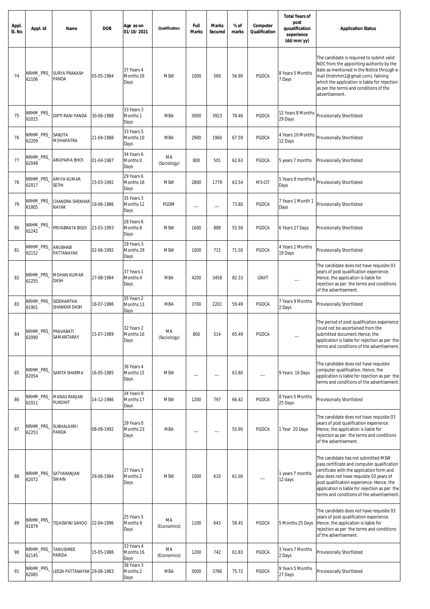| Appl.<br>SI. No | Appl. Id           | Name                           | <b>DOB</b> | Age as on<br>01/10/2021         | Qualification     | Full<br><b>Marks</b> | <b>Marks</b><br>Secured | % of<br>marks | Computer<br>Qualification | <b>Total Years of</b><br>post<br>quualification<br>experience<br>(dd/mm/yy) | <b>Application Status</b>                                                                                                                                                                                                                                                                                                |
|-----------------|--------------------|--------------------------------|------------|---------------------------------|-------------------|----------------------|-------------------------|---------------|---------------------------|-----------------------------------------------------------------------------|--------------------------------------------------------------------------------------------------------------------------------------------------------------------------------------------------------------------------------------------------------------------------------------------------------------------------|
| 74              | NRHM_PRS<br>62106  | SURYA PRAKASH<br>PANDA         | 05-05-1984 | 37 Years 4<br>Months 26<br>Days | <b>MSW</b>        | 1000                 | 569                     | 56.90         | PGDCA                     | 8 Years 5 Months<br>7 Days                                                  | The candidate is required to submit valid<br>NOC from the appointing authority by the<br>date as mentioned in the Notice through e-<br>mail (hrdnrhm1@gmail.com), falining<br>which the application is liable for rejection<br>as per the terms and conditions of the<br>advertisement.                                  |
| 75              | NRHM_PRS_<br>62015 | DIPTI RANI PANDA               | 30-06-1988 | 33 Years 3<br>Months 1<br>Days  | MBA               | 5000                 | 3923                    | 78.46         | PGDCA                     | 12 Years 8 Months<br>29 Days                                                | Provisionally Shortlisted                                                                                                                                                                                                                                                                                                |
| 76              | NRHM_PRS_<br>62209 | SANJITA<br>MOHAPATRA           | 21-04-1988 | 33 Years 5<br>Months 10<br>Days | MBA               | 2900                 | 1960                    | 67.59         | PGDCA                     | 4 Years 10 Months<br>12 Days                                                | Provisionally Shortlisted                                                                                                                                                                                                                                                                                                |
| 77              | NRHM_PRS_<br>62048 | ANUPAMA BHOI                   | 01-04-1987 | 34 Years 6<br>Months 0<br>Days  | MA<br>(Sociology) | 800                  | 501                     | 62.63         | PGDCA                     | 5 years 7 months                                                            | Provisionally Shortlisted                                                                                                                                                                                                                                                                                                |
| 78              | NRHM_PRS_<br>62017 | AMIYA KUMAR<br>SETHI           | 15-03-1992 | 29 Years 6<br>Months 16<br>Days | <b>MSW</b>        | 2800                 | 1779                    | 63.54         | MS-CIT                    | 5 Years 9 months 6<br>Days                                                  | <b>Provisionally Shortlisted</b>                                                                                                                                                                                                                                                                                         |
| 79              | NRHM PRS<br>61805  | CHANDRA SHEKHAR<br>NAYAK       | 19-06-1986 | 35 Years 3<br>Months 12<br>Days | <b>PGDM</b>       |                      |                         | 73.80         | PGDCA                     | 7 Years 1 Month 1<br>Days                                                   | Provisionally Shortlisted                                                                                                                                                                                                                                                                                                |
| 80              | NRHM_PRS_<br>62242 | PRIYABRATA BISOI               | 23-03-1993 | 28 Years 6<br>Months 8<br>Days  | <b>MSW</b>        | 1600                 | 889                     | 55.56         | PGDCA                     | 6 Years 27 Days                                                             | Provisionally Shortlisted                                                                                                                                                                                                                                                                                                |
| 81              | NRHM_PRS_<br>62152 | ANUBHAB<br>PATTANAYAK          | 02-06-1992 | 29 Years 3<br>Months 29<br>Days | <b>MSW</b>        | 1000                 | 715                     | 71.50         | PGDCA                     | 4 Years 1 Months<br>19 Days                                                 | Provisionally Shortlisted                                                                                                                                                                                                                                                                                                |
| 82              | NRHM_PRS_<br>62255 | MOHAN KUMAR<br>dash            | 27-08-1984 | 37 Years 1<br>Months 4<br>Days  | <b>MBA</b>        | 4200                 | 3458                    | 82.33         | <b>GNIIT</b>              |                                                                             | The candidate does not have requisite 03<br>years of post qualification experience.<br>Hence, the application is liable for<br>rejection as per the terms and conditions<br>of the advertisement.                                                                                                                        |
| 83              | NRHM_PRS_<br>61901 | SIDDHARTHA<br>SHANKAR DASH     | 18-07-1986 | 35 Years 2<br>Months 13<br>Days | MBA               | 3700                 | 2201                    | 59.49         | PGDCA                     | 7 Years 9 Months<br>2 Days                                                  | Provisionally Shortlisted                                                                                                                                                                                                                                                                                                |
| 84              | NRHM_PRS_<br>62090 | PRAVABATI<br>SAMAN LARAY       | 15-07-1989 | 32 Years 2<br>Months 16<br>Days | МA<br>(Sociology) | 800                  | 514                     | 65.49         | PGDCA                     |                                                                             | The period of post qualification experience<br>could not be ascertained from the<br>submitted document.Hence, the<br>application is liable for rejection as per the<br>terms and conditions of the advertisement.                                                                                                        |
| 85              | NRHM_PRS_<br>62054 | SARITA SHARMA                  | 16-05-1985 | 36 Years 4<br>Months 15<br>Days | <b>MSW</b>        |                      |                         | 63.80         |                           | 9 Years 16 Days                                                             | The candidate does not have requisite<br>computer qualification. Hence, the<br>application is liable for rejection as per the<br>terms and conditions of the advertisement.                                                                                                                                              |
| 86              | NRHM_PRS_<br>62011 | <b>MANAS RANJAN</b><br>PUROHIT | 14-12-1986 | 34 Years 9<br>Months 17<br>Days | <b>MSW</b>        | 1200                 | 797                     | 66.42         | PGDCA                     | 8 Years 5 Months<br>25 Days                                                 | Provisionally Shortlisted                                                                                                                                                                                                                                                                                                |
| 87              | NRHM_PRS_<br>62253 | SUBHALAXMI<br>PANDA            | 08-09-1992 | 29 Years 0<br>Months 23<br>Days | <b>MBA</b>        |                      |                         | 55.90         | PGDCA                     | 1 Year 20 Days                                                              | The candidate does not have requisite 03<br>years of post qualification experience.<br>Hence, the application is liable for<br>rejection as per the terms and conditions<br>of the advertisement.                                                                                                                        |
| 88              | NRHM_PRS_<br>62072 | SATYARANJAN<br><b>SWAIN</b>    | 29-06-1984 | 37 Years 3<br>Months 2<br>Days  | <b>MSW</b>        | 1000                 | 610                     | 61.00         |                           | 1 years 7 months<br>12 days                                                 | The candidate has not submitted MSW<br>pass certificate and computer qualification<br>certificate with the application form and<br>also does not have requisite 03 years of<br>post qualification experience. Hence, the<br>application is liable for rejection as per the<br>terms and conditions of the advertisement. |
| 89              | NRHM_PRS_<br>61879 | TEJASWINI SAHOO                | 22-04-1996 | 25 Years 5<br>Months 9<br>Days  | МA<br>(Economics) | 1100                 | 643                     | 58.45         | PGDCA                     | 5 Months 25 Days                                                            | The candidate does not have requisite 03<br>years of post qualification experience.<br>Hence, the application is liable for<br>rejection as per the terms and conditions<br>of the advertisement.                                                                                                                        |
| 90              | NRHM_PRS_<br>62145 | TANUSHREE<br>PARIDA            | 15-05-1988 | 33 Years 4<br>Months 16<br>Days | МA<br>(Economics) | 1200                 | 742                     | 61.83         | PGDCA                     | 3 Years 7 Months<br>2 Days                                                  | Provisionally Shortlisted                                                                                                                                                                                                                                                                                                |
| 91              | NRHM_PRS_<br>62085 | LEEZA PATTANAYAK 29-06-1983    |            | 38 Years 3<br>Months 2<br>Days  | <b>MBA</b>        | 5000                 | 3786                    | 75.72         | PGDCA                     | 9 Years 5 Months<br>27 Days                                                 | Provisionally Shortlisted                                                                                                                                                                                                                                                                                                |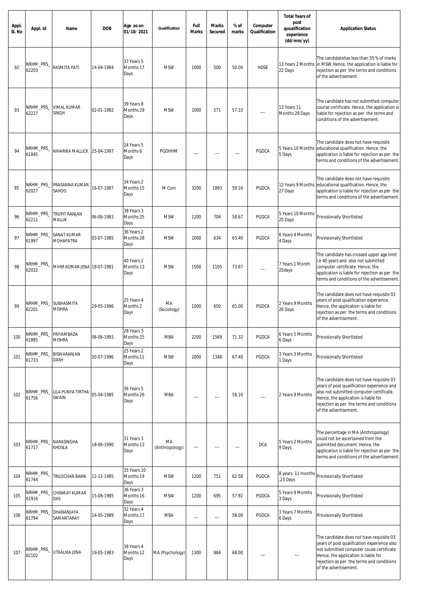| Appl.<br>SI. No | Appl. Id           | Name                               | <b>DOB</b> | Age as on<br>01/10/2021          | Qualification        | Full<br><b>Marks</b>     | <b>Marks</b><br>Secured  | % of<br>marks | Computer<br>Qualification | <b>Total Years of</b><br>post<br>quualification<br>experience<br>(dd/mm/yy) | <b>Application Status</b>                                                                                                                                                                                                                         |
|-----------------|--------------------|------------------------------------|------------|----------------------------------|----------------------|--------------------------|--------------------------|---------------|---------------------------|-----------------------------------------------------------------------------|---------------------------------------------------------------------------------------------------------------------------------------------------------------------------------------------------------------------------------------------------|
| 92              | NRHM_PRS_<br>62203 | RASMITA PATI                       | 14-04-1984 | 37 Years 5<br>Months 17<br>Days  | <b>MSW</b>           | 1000                     | 500                      | 50.00         | <b>HDSE</b>               | 13 Years 2 Months<br>22 Days                                                | The candidatehas less than 55 % of marks<br>in MSW. Hence, the application is liable for<br>rejection as per the terms and conditions<br>of the advertisement.                                                                                    |
| 93              | NRHM_PRS_<br>62227 | <b>VIMAL KUMAR</b><br><b>SINGH</b> | 02-01-1982 | 39 Years 8<br>Months 29<br>Days  | <b>MSW</b>           | 1000                     | 571                      | 57.10         |                           | 13 Years 11<br>Months 29 Days                                               | The candidate has not submitted computer<br>course certificate. Hence, the application is<br>liable for rejection as per the terms and<br>conditions of the advertisement.                                                                        |
| 94              | NRHM_PRS_<br>61845 | NIHARIKA MALLICK 25-04-1997        |            | 24 Years 5<br>Months 6<br>Days   | <b>PGDHHM</b>        |                          |                          |               | PGDCA                     | 5 Years 10 Months<br>5 Days                                                 | The candidate does not have requisite<br>educational qualification. Hence, the<br>application is liable for rejection as per the<br>terms and conditions of the advertisement.                                                                    |
| 95              | NRHM_PRS_<br>62027 | PRASANNA KUMAR<br>SAHOO            | 16-07-1987 | 34 Years 2<br>Months 15<br>Days  | M Com                | 3200                     | 1893                     | 59.16         | PGDCA                     | 12 Years 9 Months<br>27 Days                                                | The candidate does not have requisite<br>educational qualification. Hence, the<br>application is liable for rejection as per the<br>terms and conditions of the advertisement.                                                                    |
| 96              | NRHM_PRS_<br>62211 | <b>TRUPIT RANJAN</b><br>MALLIK     | 06-06-1983 | 38 Years 3<br>Months 25<br>Days  | <b>MSW</b>           | 1200                     | 704                      | 58.67         | PGDCA                     | 5 Years 10 Months<br>20 Days                                                | Provisionally Shortlisted                                                                                                                                                                                                                         |
| 97              | NRHM_PRS_<br>61997 | SANAT KUMAR<br>MOHAPATRA           | 03-07-1985 | 36 Years 2<br>Months 28<br>Days  | <b>MSW</b>           | 1000                     | 634                      | 63.40         | PGDCA                     | 6 Years 4 Months<br>4 Days                                                  | Provisionally Shortlisted                                                                                                                                                                                                                         |
| 98              | NRHM_PRS_<br>62032 | MIHIR KUMAR JENA 18-07-1981        |            | 40 Years 2<br>Months 13<br>Days  | <b>MSW</b>           | 1500                     | 1105                     | 73.67         |                           | 7 Years 1 Month<br>25days                                                   | The candidate has crossed upper age limit<br>i.e 40 years and also not submitted<br>computer certificate. Hence, the<br>application is liable for rejection as per the<br>terms and conditions of the advertisement.                              |
| 99              | NRHM_PRS_<br>62201 | SUBHASMITA<br><b>MISHRA</b>        | 29-05-1996 | 25 Years 4<br>Months 2<br>Days   | MA<br>(Sociology)    | 1000                     | 650                      | 65.00         | PGDCA                     | 2 Years 9 Months<br>26 Days                                                 | The candidate does not have requisite 03<br>years of post qualification experience.<br>Hence, the application is liable for<br>rejection as per the terms and conditions<br>of the advertisement.                                                 |
| 100             | NRHM_PRS_<br>61885 | PRIYAMBADA<br><b>MISHRA</b>        | 06-06-1993 | 28 Years 3<br>Months 25<br>Days  | <b>MBA</b>           | 2200                     | 1569                     | 71.32         | PGDCA                     | 6 Years 5 Months<br>6 Days                                                  | Provisionally Shortlisted                                                                                                                                                                                                                         |
| 101             | NRHM_PRS_<br>61733 | BISWARANJAN<br>DASH                | 20-07-1996 | 25 Years 2<br>Months 11<br>Days  | <b>MSW</b>           | 2000                     | 1348                     | 67.40         | PGDCA                     | 3 Years 3 Months<br>l Days                                                  | Provisionally Shortlisted                                                                                                                                                                                                                         |
| 102             | NRHM_PRS_<br>61756 | ILA PUNYA TIRTHA<br>SWAIN          | 05-04-1985 | 36 Years 5<br>Months 26<br>Days  | <b>MBA</b>           |                          |                          | 58.10         |                           | 2 Years 9 Months                                                            | The candidate does not have requisite 03<br>years of post qualification experience and<br>also not submitted computer certificate.<br>Hence, the application is liable for<br>rejection as per the terms and conditions<br>of the advertisement.  |
| 103             | NRHM_PRS_<br>61717 | NARASINGHA<br>KHOSLA               | 18-06-1990 | 31 Years 3<br>Months 13<br>Days  | MA<br>(Anthropology) |                          |                          |               | <b>DCA</b>                | 5 Years 2 Months<br>9 Days                                                  | The percentage in MA (Anthropology)<br>could not be ascertained from the<br>submitted document. Hence, the<br>application is liable for rejection as per the<br>terms and conditions of the advertisement.                                        |
| 104             | NRHM_PRS_<br>61744 | TRILOCHAN BARIK                    | 12-11-1985 | 35 Years 10<br>Months 19<br>Days | <b>MSW</b>           | 1200                     | 751                      | 62.58         | PGDCA                     | 8 years 11 months<br>23 Days                                                | <b>Provisionally Shortlisted</b>                                                                                                                                                                                                                  |
| 105             | NRHM_PRS_<br>61916 | CHINMAY KUMAR<br>DAS               | 15-06-1985 | 36 Years 3<br>Months 16<br>Days  | <b>MSW</b>           | 1200                     | 695                      | 57.92         | PGDCA                     | 5 Years 9 Months<br>3 Days                                                  | Provisionally Shortlisted                                                                                                                                                                                                                         |
| 106             | NRHM_PRS_<br>61794 | DHANANJAYA<br>SAMANTARAY           | 14-05-1989 | 32 Years 4<br>Months 17<br>Days  | <b>MBA</b>           | $\overline{\phantom{0}}$ | $\overline{\phantom{0}}$ | 58.00         | PGDCA                     | 3 Years 7 Months<br>6 Days                                                  | Provisionally Shortlisted                                                                                                                                                                                                                         |
| 107             | NRHM_PRS_<br>62102 | UTKALIKA JENA                      | 19-05-1983 | 38 Years 4<br>Months 12<br>Days  | MA (Psychology)      | 1300                     | 884                      | 68.00         |                           |                                                                             | The candidate does not have requisite 03<br>years of post qualification experience also<br>not submitted computer couse certificate<br>Hence, the application is liable for<br>rejection as per the terms and conditions<br>of the advertisement. |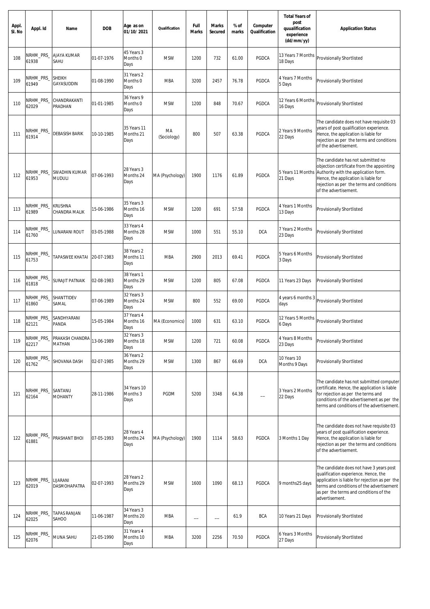| Appl.<br>SI. No | Appl. Id           | Name                            | <b>DOB</b> | Age as on<br>01/10/2021          | Qualification     | Full<br><b>Marks</b> | <b>Marks</b><br>Secured | % of<br>marks | Computer<br>Qualification | <b>Total Years of</b><br>post<br>quualification<br>experience<br>(dd/mm/yy) | <b>Application Status</b>                                                                                                                                                                                                                   |
|-----------------|--------------------|---------------------------------|------------|----------------------------------|-------------------|----------------------|-------------------------|---------------|---------------------------|-----------------------------------------------------------------------------|---------------------------------------------------------------------------------------------------------------------------------------------------------------------------------------------------------------------------------------------|
| 108             | NRHM_PRS_<br>61938 | AJAYA KUMAR<br>SAHU             | 01-07-1976 | 45 Years 3<br>Months 0<br>Days   | <b>MSW</b>        | 1200                 | 732                     | 61.00         | PGDCA                     | 13 Years 7 Months<br>18 Days                                                | Provisionally Shortlisted                                                                                                                                                                                                                   |
| 109             | NRHM_PRS_<br>61949 | <b>SHEIKH</b><br>GAYASUDDIN     | 01-08-1990 | 31 Years 2<br>Months 0<br>Days   | <b>MBA</b>        | 3200                 | 2457                    | 76.78         | PGDCA                     | 4 Years 7 Months<br>5 Days                                                  | Provisionally Shortlisted                                                                                                                                                                                                                   |
| 110             | NRHM_PRS_<br>62029 | CHANDRAKANTI<br><b>PRADHAN</b>  | 01-01-1985 | 36 Years 9<br>Months 0<br>Days   | <b>MSW</b>        | 1200                 | 848                     | 70.67         | PGDCA                     | 12 Years 6 Months<br>16 Days                                                | Provisionally Shortlisted                                                                                                                                                                                                                   |
| 111             | NRHM_PRS_<br>61914 | <b>DEBASISH BARIK</b>           | 10-10-1985 | 35 Years 11<br>Months 21<br>Days | MA<br>(Sociology) | 800                  | 507                     | 63.38         | PGDCA                     | 2 Years 9 Months<br>22 Days                                                 | The candidate does not have requisite 03<br>years of post qualification experience.<br>Hence, the application is liable for<br>rejection as per the terms and conditions<br>of the advertisement.                                           |
| 112             | NRHM_PRS_<br>61953 | SWADHIN KUMAR<br>MUDULI         | 07-06-1993 | 28 Years 3<br>Months 24<br>Days  | MA (Psychology)   | 1900                 | 1176                    | 61.89         | PGDCA                     | 5 Years 11 Months<br>21 Days                                                | The candidate has not submitted no<br>objection certificate from the appointing<br>Authority with the application form.<br>Hence, the application is liable for<br>rejection as per the terms and conditions<br>of the advertisement.       |
| 113             | NRHM_PRS_<br>61989 | Krushna<br>CHANDRA MALIK        | 15-06-1986 | 35 Years 3<br>Months 16<br>Days  | <b>MSW</b>        | 1200                 | 691                     | 57.58         | PGDCA                     | 4 Years 1 Months<br>13 Days                                                 | Provisionally Shortlisted                                                                                                                                                                                                                   |
| 114             | NRHM_PRS_<br>61760 | <b>UNARANI ROUT</b>             | 03-05-1988 | 33 Years 4<br>Months 28<br>Days  | <b>MSW</b>        | 1000                 | 551                     | 55.10         | <b>DCA</b>                | 7 Years 2 Months<br>23 Days                                                 | Provisionally Shortlisted                                                                                                                                                                                                                   |
| 115             | NRHM_PRS_<br>61753 | <b><i>FAPASWEE KHATAI</i></b>   | 20-07-1983 | 38 Years 2<br>Months 11<br>Days  | <b>MBA</b>        | 2900                 | 2013                    | 69.41         | PGDCA                     | 5 Years 6 Months<br>3 Days                                                  | Provisionally Shortlisted                                                                                                                                                                                                                   |
| 116             | NRHM_PRS_<br>61818 | <b>SURAJIT PATNAIK</b>          | 02-08-1983 | 38 Years 1<br>Months 29<br>Days  | <b>MSW</b>        | 1200                 | 805                     | 67.08         | PGDCA                     | 11 Years 23 Days                                                            | Provisionally Shortlisted                                                                                                                                                                                                                   |
| 117             | NRHM_PRS_<br>61860 | SHANTTIDEV<br>SAMAL             | 07-06-1989 | 32 Years 3<br>Months 24<br>Days  | <b>MSW</b>        | 800                  | 552                     | 69.00         | PGDCA                     | 4 years 6 months 3<br>days                                                  | Provisionally Shortlisted                                                                                                                                                                                                                   |
| 118             | NRHM_PRS_<br>62121 | SANDHYARANI<br>PANDA            | 15-05-1984 | 37 Years 4<br>Months 16<br>Days  | MA (Economics)    | 1000                 | 631                     | 63.10         | PGDCA                     | 12 Years 5 Months<br>6 Days                                                 | Provisionally Shortlisted                                                                                                                                                                                                                   |
| 119             | NRHM_PRS_<br>62217 | PRAKASH CHANDRA<br>MATHAN       | 13-06-1989 | 32 Years 3<br>Months 18<br>Days  | <b>MSW</b>        | 1200                 | 721                     | 60.08         | PGDCA                     | 4 Years 8 Months<br>23 Days                                                 | Provisionally Shortlisted                                                                                                                                                                                                                   |
| 120             | NRHM_PRS_<br>61762 | SHOVANA DASH                    | 02-07-1985 | 36 Years 2<br>Months 29<br>Days  | <b>MSW</b>        | 1300                 | 867                     | 66.69         | <b>DCA</b>                | 10 Years 10<br>Months 9 Days                                                | Provisionally Shortlisted                                                                                                                                                                                                                   |
| 121             | NRHM_PRS_<br>62164 | SANTANU<br><b>MOHANTY</b>       | 28-11-1986 | 34 Years 10<br>Months 3<br>Days  | PGDM              | 5200                 | 3348                    | 64.38         |                           | 3 Years 2 Months<br>22 Days                                                 | The candidate has not submitted computer<br>certificate. Hence, the application is liable<br>for rejection as per the terms and<br>conditions of the advertisement as per the<br>terms and conditions of the advertisement.                 |
| 122             | NRHM_PRS_<br>61881 | PRASHANT BHOI                   | 07-05-1993 | 28 Years 4<br>Months 24<br>Days  | MA (Psychology)   | 1900                 | 1114                    | 58.63         | PGDCA                     | 3 Months 1 Day                                                              | The candidate does not have requisite 03<br>years of post qualification experience.<br>Hence, the application is liable for<br>rejection as per the terms and conditions<br>of the advertisement.                                           |
| 123             | NRHM_PRS_<br>62019 | LIJARANI<br><b>DASMOHAPATRA</b> | 02-07-1993 | 28 Years 2<br>Months 29<br>Days  | <b>MSW</b>        | 1600                 | 1090                    | 68.13         | PGDCA                     | 9 months25 days                                                             | The candidate does not have 3 years post<br>qualification experience. Hence, the<br>application is liable for rejection as per the<br>terms and conditions of the advertisement<br>as per the terms and conditions of the<br>advertisement. |
| 124             | NRHM_PRS_<br>62025 | TAPAS RANJAN<br>SAHOO           | 11-06-1987 | 34 Years 3<br>Months 20<br>Days  | <b>MBA</b>        |                      |                         | 61.9          | <b>BCA</b>                | 10 Years 21 Days                                                            | Provisionally Shortlisted                                                                                                                                                                                                                   |
| 125             | NRHM_PRS_<br>62076 | MUNA SAHU                       | 21-05-1990 | 31 Years 4<br>Months 10<br>Days  | <b>MBA</b>        | 3200                 | 2256                    | 70.50         | PGDCA                     | 6 Years 3 Months<br>27 Days                                                 | Provisionally Shortlisted                                                                                                                                                                                                                   |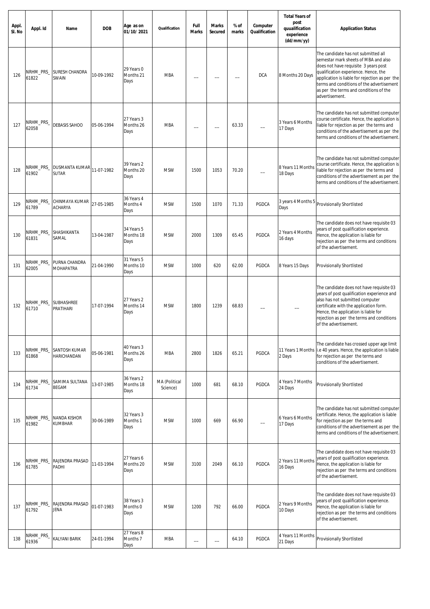| Appl.<br>SI. No | Appl. Id           | Name                           | <b>DOB</b> | Age as on<br>01/10/2021                   | Qualification             | Full<br><b>Marks</b> | <b>Marks</b><br>Secured | % of<br>marks | Computer<br>Qualification | <b>Total Years of</b><br>post<br>quualification<br>experience<br>(dd/mm/yy) | <b>Application Status</b>                                                                                                                                                                                                                                                                                              |
|-----------------|--------------------|--------------------------------|------------|-------------------------------------------|---------------------------|----------------------|-------------------------|---------------|---------------------------|-----------------------------------------------------------------------------|------------------------------------------------------------------------------------------------------------------------------------------------------------------------------------------------------------------------------------------------------------------------------------------------------------------------|
| 126             | NRHM_PRS_<br>61822 | <b>SURESH CHANDRA</b><br>SWAIN | 10-09-1992 | 29 Years 0<br>Months 21<br>Days           | <b>MBA</b>                |                      |                         |               | <b>DCA</b>                | 8 Months 20 Days                                                            | The candidate has not submitted all<br>semestar mark sheets of MBA and also<br>does not have requisite 3 years post<br>qualification experience. Hence, the<br>application is liable for rejection as per the<br>terms and conditions of the advertisement<br>as per the terms and conditions of the<br>advertisement. |
| 127             | NRHM_PRS_<br>62058 | <b>DEBASIS SAHOO</b>           | 05-06-1994 | 27 Years 3<br>Months 26<br>Days           | <b>MBA</b>                |                      |                         | 63.33         |                           | 3 Years 6 Months<br>17 Days                                                 | The candidate has not submitted computer<br>course certificate. Hence, the application is<br>liable for rejection as per the terms and<br>conditions of the advertisement as per the<br>terms and conditions of the advertisement.                                                                                     |
| 128             | NRHM_PRS_<br>61902 | DUSMANTA KUMAR<br>SUTAR        | 11-07-1982 | 39 Years 2<br>Months 20<br>Days           | <b>MSW</b>                | 1500                 | 1053                    | 70.20         |                           | 8 Years 11 Months<br>18 Days                                                | The candidate has not submitted computer<br>course certificate. Hence, the application is<br>liable for rejection as per the terms and<br>conditions of the advertisement as per the<br>terms and conditions of the advertisement.                                                                                     |
| 129             | NRHM_PRS_<br>61789 | CHINMAYA KUMAR<br>ACHARYA      | 27-05-1985 | 36 Years 4<br>Months 4<br>Days            | <b>MSW</b>                | 1500                 | 1070                    | 71.33         | PGDCA                     | 3 years 4 Months 5<br>Days                                                  | Provisionally Shortlisted                                                                                                                                                                                                                                                                                              |
| 130             | NRHM_PRS_<br>61831 | SHASHIKANTA<br>Samal           | 13-04-1987 | 34 Years 5<br>Months 18<br>Days           | <b>MSW</b>                | 2000                 | 1309                    | 65.45         | PGDCA                     | 2 Years 4 Months<br>16 days                                                 | The candidate does not have requisite 03<br>years of post qualification experience.<br>Hence, the application is liable for<br>rejection as per the terms and conditions<br>of the advertisement.                                                                                                                      |
| 131             | NRHM_PRS_<br>62005 | PURNA CHANDRA<br>MOHAPATRA     | 21-04-1990 | 31 Years 5<br>Months 10<br>Days           | <b>MSW</b>                | 1000                 | 620                     | 62.00         | PGDCA                     | 8 Years 15 Days                                                             | Provisionally Shortlisted                                                                                                                                                                                                                                                                                              |
| 132             | NRHM_PRS_<br>61710 | SUBHASHREE<br>PRATIHARI        | 17-07-1994 | 27 Years 2<br>Months 14<br>Days           | <b>MSW</b>                | 1800                 | 1239                    | 68.83         |                           |                                                                             | The candidate does not have requisite 03<br>years of post qualification experience and<br>also has not submitted computer<br>certificate with the application form.<br>Hence, the application is liable for<br>rejection as per the terms and conditions<br>of the advertisement.                                      |
| 133             | NRHM_PRS_<br>61868 | SANTOSH KUMAR<br>HARICHANDAN   | 05-06-1981 | 40 Years 3<br>Months 26<br>Days           | <b>MBA</b>                | 2800                 | 1826                    | 65.21         | PGDCA                     | 2 Days                                                                      | The candidate has crossed upper age limit<br>11 Years 1 Months i.e 40 years. Hence, the application is liable<br>for rejection as per the terms and<br>conditions of the advertisement.                                                                                                                                |
| 134             | NRHM_PRS_<br>61734 | SAMIMA SULTANA<br><b>BEGAM</b> | 13-07-1985 | 36 Years 2<br>Months 18<br>Days           | MA (Political<br>Science) | 1000                 | 681                     | 68.10         | PGDCA                     | 4 Years 7 Months<br>24 Days                                                 | Provisionally Shortlisted                                                                                                                                                                                                                                                                                              |
| 135             | NRHM_PRS_<br>61982 | NANDA KISHOR<br>KUMBHAR        | 30-06-1989 | 32 Years 3<br>Months 1<br>Days            | <b>MSW</b>                | 1000                 | 669                     | 66.90         |                           | 6 Years 6 Months<br>17 Days                                                 | The candidate has not submitted computer<br>certificate. Hence, the application is liable<br>for rejection as per the terms and<br>conditions of the advertisement as per the<br>terms and conditions of the advertisement.                                                                                            |
| 136             | NRHM_PRS_<br>61785 | RAJENDRA PRASAD<br>PADHI       | 11-03-1994 | 27 Years 6<br>Months 20<br>Days           | <b>MSW</b>                | 3100                 | 2049                    | 66.10         | PGDCA                     | 2 Years 11 Months<br>16 Days                                                | The candidate does not have requisite 03<br>years of post qualification experience.<br>Hence, the application is liable for<br>rejection as per the terms and conditions<br>of the advertisement.                                                                                                                      |
| 137             | NRHM_PRS_<br>61792 | RAJENDRA PRASAD<br>JENA        | 01-07-1983 | 38 Years 3<br>Months 0<br>Days            | <b>MSW</b>                | 1200                 | 792                     | 66.00         | PGDCA                     | 2 Years 9 Months<br>10 Days                                                 | The candidate does not have requisite 03<br>years of post qualification experience.<br>Hence, the application is liable for<br>rejection as per the terms and conditions<br>of the advertisement.                                                                                                                      |
| 138             | NRHM_PRS_<br>61936 | KALYANI BARIK                  | 24-01-1994 | 27 Years 8<br>Months <sub>7</sub><br>Days | <b>MBA</b>                |                      |                         | 64.10         | PGDCA                     | 4 Years 11 Months<br>21 Days                                                | Provisionally Shortlisted                                                                                                                                                                                                                                                                                              |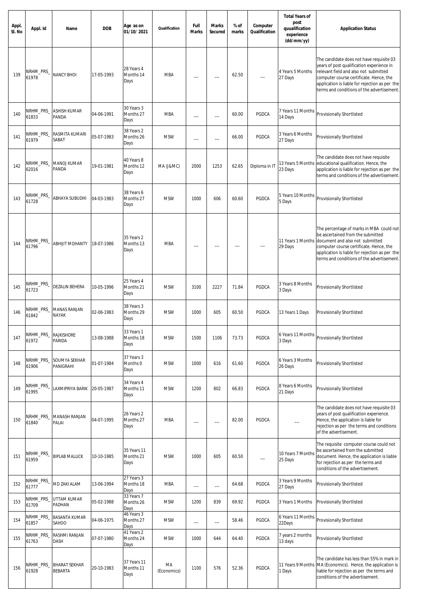| Appl.<br>SI. No | Appl. Id           | Name                            | <b>DOB</b> | Age as on<br>01/10/2021          | Qualification     | Full<br><b>Marks</b> | <b>Marks</b><br>Secured | % of<br>marks | Computer<br>Qualification | <b>Total Years of</b><br>post<br>quualification<br>experience<br>(dd/mm/yy) | <b>Application Status</b>                                                                                                                                                                                                                                                 |
|-----------------|--------------------|---------------------------------|------------|----------------------------------|-------------------|----------------------|-------------------------|---------------|---------------------------|-----------------------------------------------------------------------------|---------------------------------------------------------------------------------------------------------------------------------------------------------------------------------------------------------------------------------------------------------------------------|
| 139             | NRHM_PRS_<br>61978 | <b>NANCY BHOI</b>               | 17-05-1993 | 28 Years 4<br>Months 14<br>Days  | <b>MBA</b>        |                      |                         | 62.50         |                           | 4 Years 5 Months<br>27 Days                                                 | The candidate does not have requisite 03<br>years of post qualification experience in<br>relevant field and also not submitted<br>computer course certificate. Hence, the<br>application is liable for rejection as per the<br>terms and conditions of the advertisement. |
| 140             | NRHM_PRS_<br>61833 | ASHISH KUMAR<br>PANDA           | 04-06-1991 | 30 Years 3<br>Months 27<br>Days  | <b>MBA</b>        |                      |                         | 60.00         | PGDCA                     | 7 Years 11 Months<br>14 Days                                                | <b>Provisionally Shortlisted</b>                                                                                                                                                                                                                                          |
| 141             | NRHM_PRS_<br>61979 | RASMITA KUMARI<br>SABAT         | 05-07-1983 | 38 Years 2<br>Months 26<br>Days  | <b>MSW</b>        |                      |                         | 66.00         | PGDCA                     | 3 Years 6 Months<br>27 Days                                                 | Provisionally Shortlisted                                                                                                                                                                                                                                                 |
| 142             | NRHM_PRS_<br>62016 | MANOJ KUMAR<br>PANDA            | 19-01-1981 | 40 Years 8<br>Months 12<br>Days  | MA (J&MC)         | 2000                 | 1253                    | 62.65         | Diploma in IT             | 23 Days                                                                     | The candidate does not have requisite<br>13 Years 5 Months educational qualification. Hence, the<br>application is liable for rejection as per the<br>terms and conditions of the advertisement.                                                                          |
| 143             | NRHM_PRS_<br>61728 | ABHAYA SUBUDHI                  | 04-03-1983 | 38 Years 6<br>Months 27<br>Days  | <b>MSW</b>        | 1000                 | 606                     | 60.60         | PGDCA                     | 5 Years 10 Months<br>5 Days                                                 | <b>Provisionally Shortlisted</b>                                                                                                                                                                                                                                          |
| 144             | NRHM_PRS_<br>61796 | <b>ABHIJIT MOHANTY</b>          | 18-07-1986 | 35 Years 2<br>Months 13<br>Days  | <b>MBA</b>        |                      |                         |               |                           | 11 Years 1 Months<br>29 Days                                                | The percentage of marks in MBA could not<br>be ascertained from the submitted<br>document and also not submitted<br>computer course certificate. Hence, the<br>application is liable for rejection as per the<br>terms and conditions of the advertisement.               |
| 145             | NRHM_PRS_<br>61723 | <b>DEZALIN BEHERA</b>           | 10-05-1996 | 25 Years 4<br>Months 21<br>Days  | <b>MSW</b>        | 3100                 | 2227                    | 71.84         | PGDCA                     | 3 Years 8 Months<br>3 Days                                                  | Provisionally Shortlisted                                                                                                                                                                                                                                                 |
| 146             | NRHM_PRS_<br>61842 | <b>MANAS RANJAN</b><br>NAYAK    | 02-06-1983 | 38 Years 3<br>Months 29<br>Days  | <b>MSW</b>        | 1000                 | 605                     | 60.50         | PGDCA                     | 13 Years 1 Days                                                             | <b>Provisionally Shortlisted</b>                                                                                                                                                                                                                                          |
| 147             | NRHM PRS<br>61972  | <b>RAJKISHORE</b><br>PARIDA     | 13-08-1988 | 33 Years 1<br>Months 18<br>Days  | <b>MSW</b>        | 1500                 | 1106                    | 73.73         | PGDCA                     | 6 Years 11 Months<br>3 Days                                                 | Provisionally Shortlisted                                                                                                                                                                                                                                                 |
| 148             | NRHM_PRS_<br>61906 | SOUMYA SEKHAR<br>PANIGRAHI      | 01-07-1984 | 37 Years 3<br>Months 0<br>Days   | <b>MSW</b>        | 1000                 | 616                     | 61.60         | PGDCA                     | 6 Years 3 Months<br>26 Days                                                 | Provisionally Shortlisted                                                                                                                                                                                                                                                 |
| 149             | NRHM_PRS_<br>61995 | <b>AXMIPRIYA BARIK</b>          | 20-05-1987 | 34 Years 4<br>Months 11<br>Days  | <b>MSW</b>        | 1200                 | 802                     | 66.83         | PGDCA                     | 8 Years 6 Months<br>21 Days                                                 | Provisionally Shortlisted                                                                                                                                                                                                                                                 |
| 150             | NRHM_PRS_<br>61840 | MANASH RANJAN<br>PALAI          | 04-07-1995 | 26 Years 2<br>Months 27<br>Days  | <b>MBA</b>        |                      |                         | 82.00         | PGDCA                     |                                                                             | The candidate does not have requisite 03<br>years of post qualification experience.<br>Hence, the application is liable for<br>rejection as per the terms and conditions<br>of the advertisement.                                                                         |
| 151             | NRHM_PRS_<br>61959 | <b>BIPLAB MALLICK</b>           | 10-10-1985 | 35 Years 11<br>Months 21<br>Days | <b>MSW</b>        | 1000                 | 605                     | 60.50         | $\overline{\phantom{a}}$  | 10 Years 7 Months<br>25 Days                                                | The requisite computer course could not<br>be ascertained from the submitted<br>document. Hence, the application is liable<br>for rejection as per the terms and<br>conditions of the advertisement.                                                                      |
| 152             | NRHM_PRS_<br>61777 | MD ZAKI ALAM                    | 13-06-1994 | 27 Years 3<br>Months 18<br>Days  | <b>MBA</b>        | --                   | --                      | 64.68         | PGDCA                     | 3 Years 9 Months<br>27 Days                                                 | Provisionally Shortlisted                                                                                                                                                                                                                                                 |
| 153             | NRHM_PRS_<br>61709 | UTTAM KUMAR<br>PADHAN           | 05-02-1988 | 33 Years 7<br>Months 26<br>Days  | <b>MSW</b>        | 1200                 | 839                     | 69.92         | PGDCA                     | 3 Years 1 Months                                                            | Provisionally Shortlisted                                                                                                                                                                                                                                                 |
| 154             | NRHM_PRS_<br>61857 | <b>BASANTA KUMAR</b><br>SAHOO   | 04-06-1975 | 46 Years 3<br>Months 27<br>Days  | <b>MSW</b>        |                      |                         | 58.46         | PGDCA                     | 6 Years 11 Months<br>22Days                                                 | <b>Provisionally Shortlisted</b>                                                                                                                                                                                                                                          |
| 155             | NRHM_PRS_<br>61763 | RASHMI RANJAN<br>DASH           | 07-07-1980 | 41 Years 2<br>Months 24<br>Days  | <b>MSW</b>        | 1000                 | 644                     | 64.40         | PGDCA                     | 7 years 2 months<br>13 days                                                 | <b>Provisionally Shortlisted</b>                                                                                                                                                                                                                                          |
| 156             | NRHM_PRS_<br>61928 | <b>BHARAT SEKHAR</b><br>BEBARTA | 20-10-1983 | 37 Years 11<br>Months 11<br>Days | MA<br>(Economics) | 1100                 | 576                     | 52.36         | PGDCA                     | 11 Years 9 Months<br>1 Days                                                 | The candidate has less than 55% in mark in<br>MA (Economics). Hence, the application is<br>liable for rejection as per the terms and<br>conditions of the advertisement.                                                                                                  |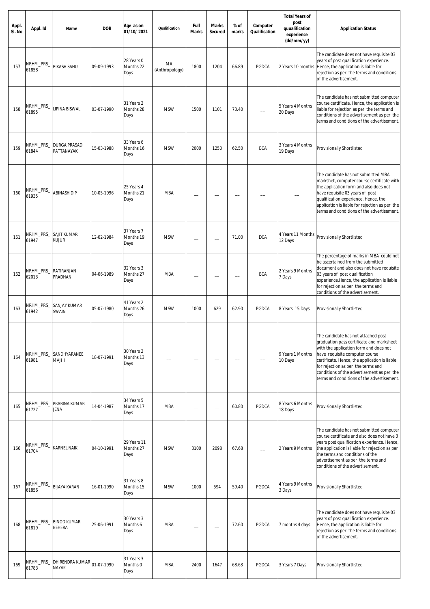| Appl.<br>SI. No | Appl. Id           | Name                                | <b>DOB</b> | Age as on<br>01/10/2021          | Qualification        | Full<br><b>Marks</b> | <b>Marks</b><br>Secured | % of<br>marks | Computer<br>Qualification | <b>Total Years of</b><br>post<br>quualification<br>experience<br>(dd/mm/yy) | <b>Application Status</b>                                                                                                                                                                                                                                                                                                                       |
|-----------------|--------------------|-------------------------------------|------------|----------------------------------|----------------------|----------------------|-------------------------|---------------|---------------------------|-----------------------------------------------------------------------------|-------------------------------------------------------------------------------------------------------------------------------------------------------------------------------------------------------------------------------------------------------------------------------------------------------------------------------------------------|
| 157             | NRHM_PRS_<br>61858 | <b>BIKASH SAHU</b>                  | 09-09-1993 | 28 Years 0<br>Months 22<br>Days  | МA<br>(Anthropology) | 1800                 | 1204                    | 66.89         | PGDCA                     | 2 Years 10 months                                                           | The candidate does not have requisite 03<br>years of post qualification experience.<br>Hence, the application is liable for<br>rejection as per the terms and conditions<br>of the advertisement.                                                                                                                                               |
| 158             | NRHM_PRS_<br>61895 | <b>IPINA BISWAL</b>                 | 03-07-1990 | 31 Years 2<br>Months 28<br>Days  | <b>MSW</b>           | 1500                 | 1101                    | 73.40         |                           | 5 Years 4 Months<br>20 Days                                                 | The candidate has not submitted computer<br>course certificate. Hence, the application is<br>liable for rejection as per the terms and<br>conditions of the advertisement as per the<br>terms and conditions of the advertisement.                                                                                                              |
| 159             | NRHM_PRS_<br>61844 | DURGA PRASAD<br>PATTANAYAK          | 15-03-1988 | 33 Years 6<br>Months 16<br>Days  | <b>MSW</b>           | 2000                 | 1250                    | 62.50         | <b>BCA</b>                | 3 Years 4 Months<br>19 Days                                                 | Provisionally Shortlisted                                                                                                                                                                                                                                                                                                                       |
| 160             | NRHM_PRS_<br>61935 | ABINASH DIP                         | 10-05-1996 | 25 Years 4<br>Months 21<br>Days  | <b>MBA</b>           |                      |                         |               |                           |                                                                             | The candidate has not submitted MBA<br>markshet, computer course certificate with<br>the application form and also does not<br>have requisite 03 years of post<br>qualification experience. Hence, the<br>application is liable for rejection as per the<br>terms and conditions of the advertisement.                                          |
| 161             | NRHM_PRS_<br>61947 | SAJIT KUMAR<br><b>KUJUR</b>         | 12-02-1984 | 37 Years 7<br>Months 19<br>Days  | <b>MSW</b>           |                      |                         | 71.00         | <b>DCA</b>                | 4 Years 11 Months<br>12 Days                                                | Provisionally Shortlisted                                                                                                                                                                                                                                                                                                                       |
| 162             | NRHM_PRS_<br>62013 | RATIRANJAN<br>PRADHAN               | 04-06-1989 | 32 Years 3<br>Months 27<br>Days  | MBA                  |                      |                         |               | <b>BCA</b>                | 2 Years 9 Months<br>7 Days                                                  | The percentage of marks in MBA could not<br>be ascertained from the submitted<br>document and also does not have requisite<br>03 years of post qualification<br>experience.Hence, the application is liable<br>for rejection as per the terms and<br>conditions of the advertisement.                                                           |
| 163             | NRHM_PRS_<br>61942 | SANJAY KUMAR<br>SWAIN               | 05-07-1980 | 41 Years 2<br>Months 26<br>Days  | <b>MSW</b>           | 1000                 | 629                     | 62.90         | PGDCA                     | 8 Years 15 Days                                                             | Provisionally Shortlisted                                                                                                                                                                                                                                                                                                                       |
| 164             | NRHM_PRS_<br>61981 | SANDHYARANEE<br>NAJHI               | 18-07-1991 | 30 Years 2<br>Months 13<br>Days  |                      |                      |                         |               |                           | 9 Years 1 Months<br>10 Days                                                 | The candidate has not attached post<br>graduation pass certificate and marksheet<br>with the application form and does not<br>have requisite computer course<br>certificate. Hence, the application is liable<br>for rejection as per the terms and<br>conditions of the advertisement as per the<br>terms and conditions of the advertisement. |
| 165             | NRHM_PRS_<br>61727 | PRABINA KUMAR<br><b>JENA</b>        | 14-04-1987 | 34 Years 5<br>Months 17<br>Days  | <b>MBA</b>           |                      |                         | 60.80         | PGDCA                     | 8 Years 6 Months<br>18 Days                                                 | Provisionally Shortlisted                                                                                                                                                                                                                                                                                                                       |
| 166             | NRHM_PRS_<br>61704 | KARNEL NAIK                         | 04-10-1991 | 29 Years 11<br>Months 27<br>Days | <b>MSW</b>           | 3100                 | 2098                    | 67.68         |                           | 2 Years 9 Months                                                            | The candidate has not submitted computer<br>course certificate and also does not have 3<br>years post qualification experience. Hence,<br>the application is liable for rejection as per<br>the terms and conditions of the<br>advertisement as per the terms and<br>conditions of the advertisement.                                           |
| 167             | NRHM_PRS_<br>61856 | <b>BIJAYA KARAN</b>                 | 16-01-1990 | 31 Years 8<br>Months 15<br>Days  | <b>MSW</b>           | 1000                 | 594                     | 59.40         | PGDCA                     | 4 Years 9 Months<br>3 Days                                                  | Provisionally Shortlisted                                                                                                                                                                                                                                                                                                                       |
| 168             | NRHM_PRS_<br>61819 | <b>BINOD KUMAR</b><br>BEHERA        | 25-06-1991 | 30 Years 3<br>Months 6<br>Days   | <b>MBA</b>           |                      |                         | 72.60         | PGDCA                     | 7 months 4 days                                                             | The candidate does not have requisite 03<br>years of post qualification experience.<br>Hence, the application is liable for<br>rejection as per the terms and conditions<br>of the advertisement.                                                                                                                                               |
| 169             | NRHM_PRS_<br>61783 | DHIRENDRA KUMAR 01-07-1990<br>NAYAK |            | 31 Years 3<br>Months 0<br>Days   | <b>MBA</b>           | 2400                 | 1647                    | 68.63         | PGDCA                     | 3 Years 7 Days                                                              | Provisionally Shortlisted                                                                                                                                                                                                                                                                                                                       |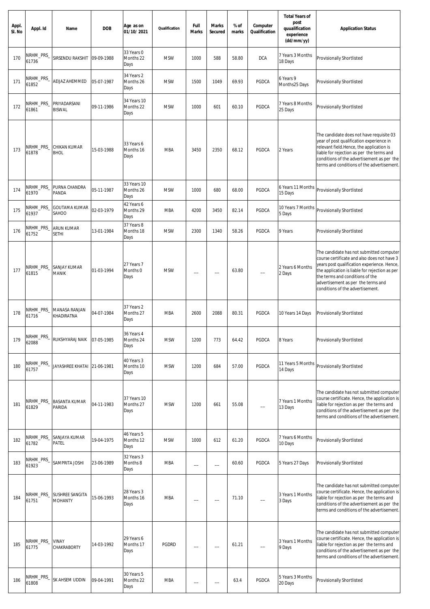| Appl.<br>SI. No | Appl. Id                | Name                                   | <b>DOB</b> | Age as on<br>01/10/2021          | Qualification | Full<br><b>Marks</b> | <b>Marks</b><br>Secured | % of<br>marks | Computer<br>Qualification | <b>Total Years of</b><br>post<br>quualification<br>experience<br>(dd/mm/yy) | <b>Application Status</b>                                                                                                                                                                                                                                                                             |
|-----------------|-------------------------|----------------------------------------|------------|----------------------------------|---------------|----------------------|-------------------------|---------------|---------------------------|-----------------------------------------------------------------------------|-------------------------------------------------------------------------------------------------------------------------------------------------------------------------------------------------------------------------------------------------------------------------------------------------------|
| 170             | NRHM_PRS_<br>61736      | SIRSENDU RAKSHIT                       | 09-09-1988 | 33 Years 0<br>Months 22<br>Days  | <b>MSW</b>    | 1000                 | 588                     | 58.80         | <b>DCA</b>                | 7 Years 3 Months<br>18 Days                                                 | Provisionally Shortlisted                                                                                                                                                                                                                                                                             |
| 171             | NRHM_PRS_<br>61852      | <b>AEIJAZ AHEMMED</b>                  | 05-07-1987 | 34 Years 2<br>Months 26<br>Days  | <b>MSW</b>    | 1500                 | 1049                    | 69.93         | PGDCA                     | 6 Years 9<br>Months25 Days                                                  | Provisionally Shortlisted                                                                                                                                                                                                                                                                             |
| 172             | NRHM_PRS_<br>61861      | PRIYADARSANI<br><b>BISWAL</b>          | 09-11-1986 | 34 Years 10<br>Months 22<br>Days | <b>MSW</b>    | 1000                 | 601                     | 60.10         | PGDCA                     | 7 Years 8 Months<br>25 Days                                                 | Provisionally Shortlisted                                                                                                                                                                                                                                                                             |
| 173             | NRHM_PRS_<br>61878      | CHIKAN KUMAR<br><b>BHOL</b>            | 15-03-1988 | 33 Years 6<br>Months 16<br>Days  | MBA           | 3450                 | 2350                    | 68.12         | PGDCA                     | 2 Years                                                                     | The candidate does not have requisite 03<br>year of post qualification experience in<br>relevant field.Hence, the application is<br>liable for rejection as per the terms and<br>conditions of the advertisement as per the<br>terms and conditions of the advertisement.                             |
| 174             | VRHM_PRS_<br>61970      | PURNA CHANDRA<br>PANDA                 | 05-11-1987 | 33 Years 10<br>Months 26<br>Days | <b>MSW</b>    | 1000                 | 680                     | 68.00         | PGDCA                     | 6 Years 11 Months<br>15 Days                                                | Provisionally Shortlisted                                                                                                                                                                                                                                                                             |
| 175             | NRHM_PRS_<br>61937      | <b>GOUTAMA KUMAR</b><br>SAHOO          | 02-03-1979 | 42 Years 6<br>Months 29<br>Days  | MBA           | 4200                 | 3450                    | 82.14         | PGDCA                     | 10 Years 7 Months<br>5 Days                                                 | Provisionally Shortlisted                                                                                                                                                                                                                                                                             |
| 176             | NRHM_PRS_<br>61752      | <b>ARUN KUMAR</b><br><b>SETHI</b>      | 13-01-1984 | 37 Years 8<br>Months 18<br>Days  | <b>MSW</b>    | 2300                 | 1340                    | 58.26         | PGDCA                     | 9 Years                                                                     | Provisionally Shortlisted                                                                                                                                                                                                                                                                             |
| 177             | 61815                   | NRHM_PRS_ SANJAY KUMAR<br><b>MANIK</b> | 01-03-1994 | 27 Years 7<br>Months 0<br>Days   | <b>MSW</b>    |                      |                         | 63.80         |                           | 2 Years 6 Months<br>2 Days                                                  | The candidate has not submitted computer<br>course certificate and also does not have 3<br>years post qualification experience. Hence,<br>the application is liable for rejection as per<br>the terms and conditions of the<br>advertisement as per the terms and<br>conditions of the advertisement. |
| 178             | NRHM_PRS_<br>61716      | <b>MANASA RANJAN</b><br>KHADIRATNA     | 04-07-1984 | 37 Years 2<br>Months 27<br>Days  | <b>MBA</b>    | 2600                 | 2088                    | 80.31         | PGDCA                     | 10 Years 14 Days                                                            | Provisionally Shortlisted                                                                                                                                                                                                                                                                             |
| 179             | NRHM_PRS_<br>62088      | RUKSHYARAJ NAIK                        | 07-05-1985 | 36 Years 4<br>Months 24<br>Days  | <b>MSW</b>    | 1200                 | 773                     | 64.42         | PGDCA                     | 8 Years                                                                     | Provisionally Shortlisted                                                                                                                                                                                                                                                                             |
| 180             | NRHM_PRS_<br>61757      | JAYASHREE KHATAI 21-06-1981            |            | 40 Years 3<br>Months 10<br>Days  | <b>MSW</b>    | 1200                 | 684                     | 57.00         | PGDCA                     | 11 Years 5 Months<br>14 Days                                                | Provisionally Shortlisted                                                                                                                                                                                                                                                                             |
| 181             | NRHM_PRS_<br>61829      | <b>BASANTA KUMAR</b><br>PARIDA         | 04-11-1983 | 37 Years 10<br>Months 27<br>Days | <b>MSW</b>    | 1200                 | 661                     | 55.08         |                           | 7 Years 1 Months<br>13 Days                                                 | The candidate has not submitted computer<br>course certificate. Hence, the application is<br>liable for rejection as per the terms and<br>conditions of the advertisement as per the<br>terms and conditions of the advertisement.                                                                    |
| 182             | NRHM_PRS_<br>61782      | SANJAYA KUMAR<br>PATEL                 | 19-04-1975 | 46 Years 5<br>Months 12<br>Days  | <b>MSW</b>    | 1000                 | 612                     | 61.20         | PGDCA                     | 7 Years 6 Months<br>10 Days                                                 | Provisionally Shortlisted                                                                                                                                                                                                                                                                             |
| 183             | NRHM_PRS_<br>61923      | SAMPRITA JOSHI                         | 23-06-1989 | 32 Years 3<br>Months 8<br>Days   | <b>MBA</b>    |                      |                         | 60.60         | PGDCA                     | 5 Years 27 Days                                                             | Provisionally Shortlisted                                                                                                                                                                                                                                                                             |
| 184             | VRHM_PRS_<br>61751      | SUSHREE SANGITA<br><b>MOHANTY</b>      | 15-06-1993 | 28 Years 3<br>Months 16<br>Days  | <b>MBA</b>    |                      |                         | 71.10         |                           | 3 Years 1 Months<br>3 Days                                                  | The candidate has not submitted computer<br>course certificate. Hence, the application is<br>liable for rejection as per the terms and<br>conditions of the advertisement as per the<br>terms and conditions of the advertisement.                                                                    |
| 185             | NRHM_PRS_WINAY<br>61775 | <b>CHAKRABORTY</b>                     | 14-03-1992 | 29 Years 6<br>Months 17<br>Days  | <b>PGDRD</b>  |                      |                         | 61.21         |                           | 3 Years 1 Months<br>9 Days                                                  | The candidate has not submitted computer<br>course certificate. Hence, the application is<br>liable for rejection as per the terms and<br>conditions of the advertisement as per the<br>terms and conditions of the advertisement.                                                                    |
| 186             | NRHM_PRS_<br>61808      | SK AHSEM UDDIN                         | 09-04-1991 | 30 Years 5<br>Months 22<br>Days  | <b>MBA</b>    |                      |                         | 63.4          | PGDCA                     | 5 Years 3 Months<br>20 Days                                                 | Provisionally Shortlisted                                                                                                                                                                                                                                                                             |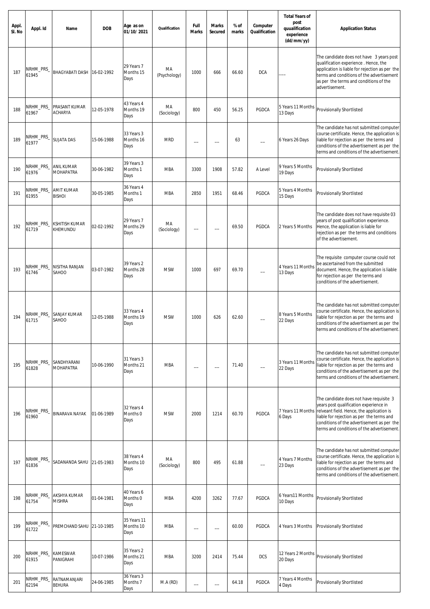| Appl.<br>SI. No | Appl. Id           | Name                                  | <b>DOB</b> | Age as on<br>01/10/2021          | Qualification      | Full<br><b>Marks</b> | <b>Marks</b><br>Secured | % of<br>marks | Computer<br>Qualification | <b>Total Years of</b><br>post<br>quualification<br>experience<br>(dd/mm/yy) | <b>Application Status</b>                                                                                                                                                                                                                                               |
|-----------------|--------------------|---------------------------------------|------------|----------------------------------|--------------------|----------------------|-------------------------|---------------|---------------------------|-----------------------------------------------------------------------------|-------------------------------------------------------------------------------------------------------------------------------------------------------------------------------------------------------------------------------------------------------------------------|
| 187             | NRHM_PRS_<br>61945 | BHAGYABATI DASH                       | 16-02-1992 | 29 Years 7<br>Months 15<br>Days  | MA<br>(Psychology) | 1000                 | 666                     | 66.60         | <b>DCA</b>                |                                                                             | The candidate does not have 3 years post<br>qualification experience. Hence, the<br>application is liable for rejection as per the<br>terms and conditions of the advertisement<br>as per the terms and conditions of the<br>advertisement.                             |
| 188             | NRHM_PRS_<br>61967 | PRASANT KUMAR<br><b>ACHARYA</b>       | 12-05-1978 | 43 Years 4<br>Months 19<br>Days  | МA<br>(Sociology)  | 800                  | 450                     | 56.25         | PGDCA                     | 5 Years 11 Months<br>13 Days                                                | <b>Provisionally Shortlisted</b>                                                                                                                                                                                                                                        |
| 189             | NRHM_PRS_<br>61977 | <b>SUJATA DAS</b>                     | 15-06-1988 | 33 Years 3<br>Months 16<br>Days  | <b>MRD</b>         |                      |                         | 63            |                           | 6 Years 26 Days                                                             | The candidate has not submitted computer<br>course certificate. Hence, the application is<br>liable for rejection as per the terms and<br>conditions of the advertisement as per the<br>terms and conditions of the advertisement                                       |
| 190             | NRHM_PRS_<br>61976 | <b>ANIL KUMAR</b><br><b>MOHAPATRA</b> | 30-06-1982 | 39 Years 3<br>Months 1<br>Days   | MBA                | 3300                 | 1908                    | 57.82         | A Level                   | 9 Years 5 Months<br>19 Days                                                 | Provisionally Shortlisted                                                                                                                                                                                                                                               |
| 191             | NRHM_PRS_<br>61955 | AMIT KUMAR<br><b>BISHOI</b>           | 30-05-1985 | 36 Years 4<br>Months 1<br>Days   | <b>MBA</b>         | 2850                 | 1951                    | 68.46         | PGDCA                     | 5 Years 4 Months<br>15 Days                                                 | Provisionally Shortlisted                                                                                                                                                                                                                                               |
| 192             | NRHM_PRS_<br>61719 | KSHITISH KUMAR<br>KHEMUNDU            | 02-02-1992 | 29 Years 7<br>Months 29<br>Days  | MA<br>(Sociology)  |                      |                         | 69.50         | PGDCA                     | 2 Years 5 Months                                                            | The candidate does not have requisite 03<br>years of post qualification experience.<br>Hence, the application is liable for<br>rejection as per the terms and conditions<br>of the advertisement.                                                                       |
| 193             | NRHM_PRS_<br>61746 | NISITHA RANJAN<br>SAHOO               | 03-07-1982 | 39 Years 2<br>Months 28<br>Days  | <b>MSW</b>         | 1000                 | 697                     | 69.70         |                           | 4 Years 11 Months<br>13 Days                                                | The requisite computer course could not<br>be ascertained from the submitted<br>document. Hence, the application is liable<br>for rejection as per the terms and<br>conditions of the advertisement.                                                                    |
| 194             | NRHM_PRS_<br>61715 | <b>SANJAY KUMAR</b><br>SAHOO          | 12-05-1988 | 33 Years 4<br>Months 19<br>Days  | <b>MSW</b>         | 1000                 | 626                     | 62.60         |                           | 8 Years 5 Months<br>22 Days                                                 | The candidate has not submitted computer<br>course certificate. Hence, the application is<br>liable for rejection as per the terms and<br>conditions of the advertisement as per the<br>terms and conditions of the advertisement.                                      |
| 195             | NRHM_PRS_<br>61828 | SANDHYARANI<br>MOHAPATRA              | 10-06-1990 | 31 Years 3<br>Months 21<br>Days  | <b>MBA</b>         |                      |                         | 71.40         |                           | 3 Years 11 Months<br>22 Days                                                | The candidate has not submitted computer<br>course certificate. Hence, the application is<br>liable for rejection as per the terms and<br>conditions of the advertisement as per the<br>terms and conditions of the advertisement                                       |
| 196             | NRHM_PRS_<br>61960 | <b>BINARAVA NAYAK</b>                 | 01-06-1989 | 32 Years 4<br>Months 0<br>Days   | <b>MSW</b>         | 2000                 | 1214                    | 60.70         | PGDCA                     | 7 Years 11 Months<br>6 Days                                                 | The candidate does not have requisite 3<br>years post qualification experience in<br>relveant field. Hence, the application is<br>liable for rejection as per the terms and<br>conditions of the advertisement as per the<br>terms and conditions of the advertisement. |
| 197             | NRHM_PRS_<br>61836 | SADANANDA SAHU 21-05-1983             |            | 38 Years 4<br>Months 10<br>Days  | МA<br>(Sociology)  | 800                  | 495                     | 61.88         |                           | 4 Years 7 Months<br>23 Days                                                 | The candidate has not submitted computer<br>course certificate. Hence, the application is<br>liable for rejection as per the terms and<br>conditions of the advertisement as per the<br>terms and conditions of the advertisement.                                      |
| 198             | NRHM_PRS_<br>61754 | AKSHYA KUMAR<br>MISHRA                | 01-04-1981 | 40 Years 6<br>Months 0<br>Days   | <b>MBA</b>         | 4200                 | 3262                    | 77.67         | PGDCA                     | 6 Years11 Months<br>10 Days                                                 | Provisionally Shortlisted                                                                                                                                                                                                                                               |
| 199             | NRHM_PRS_<br>61722 | PREMCHAND SAHU 21-10-1985             |            | 35 Years 11<br>Months 10<br>Days | MBA                |                      |                         | 60.00         | PGDCA                     | 4 Years 3 Months                                                            | <b>Provisionally Shortlisted</b>                                                                                                                                                                                                                                        |
| 200             | NRHM_PRS_<br>61915 | KAMESWAR<br>PANIGRAHI                 | 10-07-1986 | 35 Years 2<br>Months 21<br>Days  | <b>MBA</b>         | 3200                 | 2414                    | 75.44         | <b>DCS</b>                | 12 Years 2 Months<br>20 Days                                                | Provisionally Shortlisted                                                                                                                                                                                                                                               |
| 201             | NRHM_PRS_<br>62194 | <b>RATNAMANJARI</b><br><b>BEHURA</b>  | 24-06-1985 | 36 Years 3<br>Months 7<br>Days   | MA (RD)            |                      |                         | 64.18         | PGDCA                     | 7 Years 4 Months<br>4 Days                                                  | <b>Provisionally Shortlisted</b>                                                                                                                                                                                                                                        |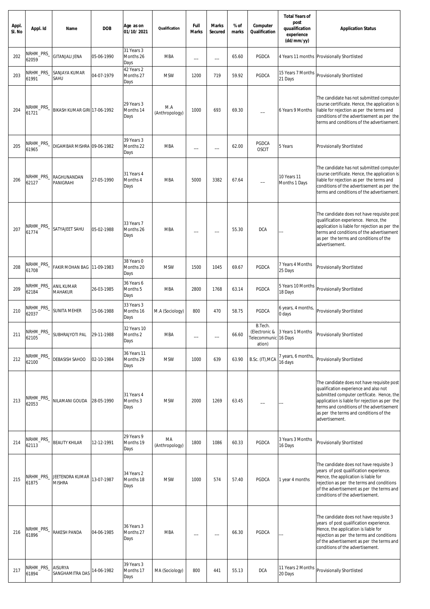| Appl.<br>SI. No | Appl. Id           | Name                                | <b>DOB</b> | Age as on<br>01/10/2021          | Qualification         | Full<br><b>Marks</b> | <b>Marks</b><br>Secured | % of<br>marks | Computer<br>Qualification                 | <b>Total Years of</b><br>post<br>quualification<br>experience<br>(dd/mm/yy) | <b>Application Status</b>                                                                                                                                                                                                                                                                   |
|-----------------|--------------------|-------------------------------------|------------|----------------------------------|-----------------------|----------------------|-------------------------|---------------|-------------------------------------------|-----------------------------------------------------------------------------|---------------------------------------------------------------------------------------------------------------------------------------------------------------------------------------------------------------------------------------------------------------------------------------------|
| 202             | NRHM_PRS_<br>62059 | <b>GITANJALI JENA</b>               | 05-06-1990 | 31 Years 3<br>Months 26<br>Days  | <b>MBA</b>            |                      |                         | 65.60         | PGDCA                                     |                                                                             | 4 Years 11 months Provisionally Shortlisted                                                                                                                                                                                                                                                 |
| 203             | VRHM_PRS_<br>61991 | SANJAYA KUMAR<br>SAHU               | 04-07-1979 | 42 Years 2<br>Months 27<br>Days  | <b>MSW</b>            | 1200                 | 719                     | 59.92         | PGDCA                                     | 15 Years 7 Months<br>21 Days                                                | <b>Provisionally Shortlisted</b>                                                                                                                                                                                                                                                            |
| 204             | NRHM_PRS_<br>61721 | BIKASH KUMAR GIRI 17-06-1992        |            | 29 Years 3<br>Months 14<br>Days  | M.A<br>(Anthropology) | 1000                 | 693                     | 69.30         |                                           | 6 Years 9 Months                                                            | The candidate has not submitted computer<br>course certificate. Hence, the application is<br>liable for rejection as per the terms and<br>conditions of the advertisement as per the<br>terms and conditions of the advertisement.                                                          |
| 205             | NRHM_PRS_<br>61965 | DIGAMBAR MISHRA 09-06-1982          |            | 39 Years 3<br>Months 22<br>Days  | MBA                   |                      |                         | 62.00         | PGDCA<br><b>OSCIT</b>                     | 5 Years                                                                     | Provisionally Shortlisted                                                                                                                                                                                                                                                                   |
| 206             | VRHM_PRS_<br>62127 | RAGHUNANDAN<br>PANIGRAHI            | 27-05-1990 | 31 Years 4<br>Months 4<br>Days   | <b>MBA</b>            | 5000                 | 3382                    | 67.64         |                                           | 10 Years 11<br>Months 1 Days                                                | The candidate has not submitted computer<br>course certificate. Hence, the application is<br>liable for rejection as per the terms and<br>conditions of the advertisement as per the<br>terms and conditions of the advertisement.                                                          |
| 207             | NRHM_PRS_<br>61774 | SATYAJEET SAHU                      | 05-02-1988 | 33 Years 7<br>Months 26<br>Days  | <b>MBA</b>            |                      |                         | 55.30         | <b>DCA</b>                                |                                                                             | The candidate does not have requisite post<br>qualification experience. Hence, the<br>application is liable for rejection as per the<br>terms and conditions of the advertisement<br>as per the terms and conditions of the<br>advertisement.                                               |
| 208             | NRHM_PRS_<br>61708 | <b>FAKIR MOHAN BAG 11-09-1983</b>   |            | 38 Years 0<br>Months 20<br>Days  | <b>MSW</b>            | 1500                 | 1045                    | 69.67         | PGDCA                                     | 7 Years 4 Months<br>25 Days                                                 | Provisionally Shortlisted                                                                                                                                                                                                                                                                   |
| 209             | NRHM_PRS_<br>62184 | <b>ANIL KUMAR</b><br><b>MAHAKUR</b> | 26-03-1985 | 36 Years 6<br>Months 5<br>Days   | MBA                   | 2800                 | 1768                    | 63.14         | PGDCA                                     | 5 Years 10 Months<br>18 Days                                                | Provisionally Shortlisted                                                                                                                                                                                                                                                                   |
| 210             | \RHM_PRS_<br>62037 | <b>SUNITA MEHER</b>                 | 15-06-1988 | 33 Years 3<br>Months 16<br>Days  | M.A (Sociology)       | 800                  | 470                     | 58.75         | PGDCA                                     | 6 years, 4 months,<br>0 days                                                | Provisionally Shortlisted                                                                                                                                                                                                                                                                   |
| 211             | NRHM_PRS_<br>62105 | SUBHRAJYOTI PAL 29-11-1988          |            | 32 Years 10<br>Months 2<br>Days  | MBA                   |                      |                         | 66.60         | B.Tech.<br>Telecommunic 16 Days<br>ation) | (Electronic & 3 Years 1 Months                                              | Provisionally Shortlisted                                                                                                                                                                                                                                                                   |
| 212             | NRHM_PRS_<br>62100 | <b>DEBASISH SAHOO</b>               | 02-10-1984 | 36 Years 11<br>Months 29<br>Days | <b>MSW</b>            | 1000                 | 639                     | 63.90         | B.Sc. (IT), MCA                           | 7 years, 6 months,<br>16 days                                               | Provisionally Shortlisted                                                                                                                                                                                                                                                                   |
| 213             | NRHM_PRS_<br>62053 | NILAMANI GOUDA                      | 28-05-1990 | 31 Years 4<br>Months 3<br>Days   | <b>MSW</b>            | 2000                 | 1269                    | 63.45         |                                           |                                                                             | The candidate does not have requisite post<br>qualification experience and also not<br>submitted computer certficate. Hence, the<br>application is liable for rejection as per the<br>terms and conditions of the advertisement<br>as per the terms and conditions of the<br>advertisement. |
| 214             | NRHM_PRS_<br>62113 | <b>BEAUTY KHILAR</b>                | 12-12-1991 | 29 Years 9<br>Months 19<br>Days  | MA<br>(Anthropology)  | 1800                 | 1086                    | 60.33         | PGDCA                                     | 3 Years 3 Months<br>16 Days                                                 | Provisionally Shortlisted                                                                                                                                                                                                                                                                   |
| 215             | VRHM_PRS_<br>61875 | JEETENDRA KUMAR<br><b>MISHRA</b>    | 13-07-1987 | 34 Years 2<br>Months 18<br>Days  | <b>MSW</b>            | 1000                 | 574                     | 57.40         | PGDCA                                     | I year 4 months                                                             | The candidate does not have requisite 3<br>years of post qualification experience.<br>Hence, the application is liable for<br>rejection as per the terms and conditions<br>of the advertisement as per the terms and<br>conditions of the advertisement.                                    |
| 216             | \RHM_PRS_<br>61896 | <b>RAKESH PANDA</b>                 | 04-06-1985 | 36 Years 3<br>Months 27<br>Days  | MBA                   |                      |                         | 66.30         | PGDCA                                     |                                                                             | The candidate does not have requisite 3<br>years of post qualification experience.<br>Hence, the application is liable for<br>rejection as per the terms and conditions<br>of the advertisement as per the terms and<br>conditions of the advertisement.                                    |
| 217             | NRHM_PRS_<br>61894 | <b>AISURYA</b><br>SANGHAMITRA DAS   | 14-06-1982 | 39 Years 3<br>Months 17<br>Days  | MA (Sociology)        | 800                  | 441                     | 55.13         | <b>DCA</b>                                | 11 Years 2 Months<br>20 Days                                                | Provisionally Shortlisted                                                                                                                                                                                                                                                                   |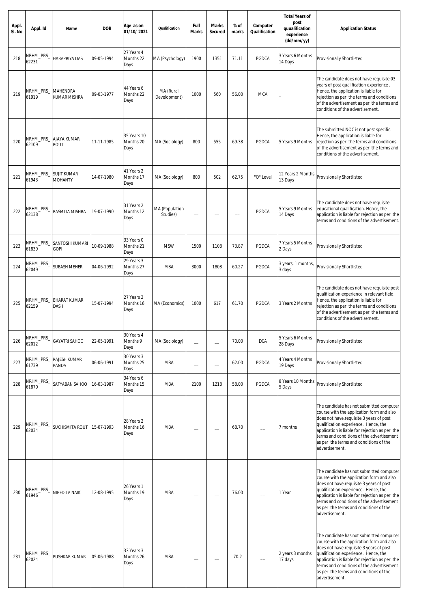| Appl.<br>SI. No | Appl. Id           | Name                                   | <b>DOB</b> | Age as on<br>01/10/2021          | Qualification              | Full<br><b>Marks</b> | <b>Marks</b><br>Secured | % of<br>marks | Computer<br>Qualification | <b>Total Years of</b><br>post<br>quualification<br>experience<br>(dd/mm/yy) | <b>Application Status</b>                                                                                                                                                                                                                                                                                                           |
|-----------------|--------------------|----------------------------------------|------------|----------------------------------|----------------------------|----------------------|-------------------------|---------------|---------------------------|-----------------------------------------------------------------------------|-------------------------------------------------------------------------------------------------------------------------------------------------------------------------------------------------------------------------------------------------------------------------------------------------------------------------------------|
| 218             | NRHM_PRS_<br>62231 | <b>HARAPRIYA DAS</b>                   | 09-05-1994 | 27 Years 4<br>Months 22<br>Days  | MA (Psychology)            | 1900                 | 1351                    | 71.11         | PGDCA                     | 3 Years 6 Months<br>14 Days                                                 | Provisionally Shortlisted                                                                                                                                                                                                                                                                                                           |
| 219             | VRHM_PRS_<br>61919 | <b>MAHENDRA</b><br><b>KUMAR MISHRA</b> | 09-03-1977 | 44 Years 6<br>Months 22<br>Days  | MA (Rural<br>Development)  | 1000                 | 560                     | 56.00         | <b>MCA</b>                |                                                                             | The candidate does not have requisite 03<br>years of post qualification experience.<br>Hence, the application is liable for<br>rejection as per the terms and conditions<br>of the advertisement as per the terms and<br>conditions of the advertisement.                                                                           |
| 220             | VRHM_PRS_<br>62109 | <b>AJAYA KUMAR</b><br><b>ROUT</b>      | 11-11-1985 | 35 Years 10<br>Months 20<br>Days | MA (Sociology)             | 800                  | 555                     | 69.38         | PGDCA                     | 5 Years 9 Months                                                            | The submitted NOC is not post specific.<br>Hence, the application is liable for<br>rejection as per the terms and conditions<br>of the advertisement as per the terms and<br>conditions of the advertisement.                                                                                                                       |
| 221             | NRHM_PRS_<br>61943 | <b>SUJIT KUMAR</b><br><b>MOHANTY</b>   | 14-07-1980 | 41 Years 2<br>Months 17<br>Days  | MA (Sociology)             | 800                  | 502                     | 62.75         | "O" Level                 | 12 Years 2 Months<br>13 Days                                                | Provisionally Shortlisted                                                                                                                                                                                                                                                                                                           |
| 222             | \RHM_PRS_<br>62138 | RASMITA MISHRA                         | 19-07-1990 | 31 Years 2<br>Months 12<br>Days  | MA (Population<br>Studies) |                      |                         |               | PGDCA                     | 5 Years 9 Months<br>14 Days                                                 | The candidate does not have requisite<br>educational qualification. Hence, the<br>application is liable for rejection as per the<br>terms and conditions of the advertisement.                                                                                                                                                      |
| 223             | NRHM_PRS_<br>61839 | SANTOSHI KUMARI<br><b>GOPI</b>         | 10-09-1988 | 33 Years 0<br>Months 21<br>Days  | <b>MSW</b>                 | 1500                 | 1108                    | 73.87         | PGDCA                     | 7 Years 5 Months<br>2 Days                                                  | Provisionally Shortlisted                                                                                                                                                                                                                                                                                                           |
| 224             | NRHM_PRS_<br>62049 | <b>SUBASH MEHER</b>                    | 04-06-1992 | 29 Years 3<br>Months 27<br>Days  | <b>MBA</b>                 | 3000                 | 1808                    | 60.27         | PGDCA                     | 3 years, 1 months<br>3 days                                                 | Provisionally Shortlisted                                                                                                                                                                                                                                                                                                           |
| 225             | VRHM_PRS_<br>62159 | <b>BHARAT KUMAR</b><br><b>DASH</b>     | 15-07-1994 | 27 Years 2<br>Months 16<br>Days  | MA (Economics)             | 1000                 | 617                     | 61.70         | PGDCA                     | 3 Years 2 Months                                                            | The candidate does not have requisite post<br>qualification experience in relevant field.<br>Hence, the application is liable for<br>rejection as per the terms and conditions<br>of the advertisement as per the terms and<br>conditions of the advertisement.                                                                     |
| 226             | NRHM_PRS_<br>62012 | <b>GAYATRI SAHOO</b>                   | 22-05-1991 | 30 Years 4<br>Months 9<br>Days   | MA (Sociology)             |                      |                         | 70.00         | <b>DCA</b>                | 5 Years 6 Months<br>28 Days                                                 | Provisionally Shortlisted                                                                                                                                                                                                                                                                                                           |
| 227             | 61739              | NRHM_PRS_ RAJESH KUMAR<br>PANDA        | 06-06-1991 | 30 Years 3<br>Months 25<br>Days  | <b>MBA</b>                 |                      |                         | 62.00         | PGDCA                     | 4 Years 4 Months<br>19 Days                                                 | Provisionally Shortlisted                                                                                                                                                                                                                                                                                                           |
| 228             | NRHM_PRS_<br>61870 | SATYABAN SAHOO                         | 16-03-1987 | 34 Years 6<br>Months 15<br>Days  | <b>MBA</b>                 | 2100                 | 1218                    | 58.00         | PGDCA                     | 8 Years 10 Months<br>5 Days                                                 | Provisionally Shortlisted                                                                                                                                                                                                                                                                                                           |
| 229             | NRHM_PRS_<br>62034 | <b>SUCHISMITA ROUT</b>                 | 15-07-1993 | 28 Years 2<br>Months 16<br>Days  | <b>MBA</b>                 |                      |                         | 68.70         |                           | 7 months                                                                    | The candidate has not submitted computer<br>course with the application form and also<br>does not have.requisite 3 years of post<br>qualification experience. Hence, the<br>application is liable for rejection as per the<br>terms and conditions of the advertisement<br>as per the terms and conditions of the<br>advertisement. |
| 230             | NRHM_PRS_<br>61946 | <b>NIBEDITA NAIK</b>                   | 12-08-1995 | 26 Years 1<br>Months 19<br>Days  | <b>MBA</b>                 |                      |                         | 76.00         |                           | 1 Year                                                                      | The candidate has not submitted computer<br>course with the application form and also<br>does not have.requisite 3 years of post<br>qualification experience. Hence, the<br>application is liable for rejection as per the<br>terms and conditions of the advertisement<br>as per the terms and conditions of the<br>advertisement. |
| 231             | NRHM_PRS_<br>62024 | PUSHKAR KUMAR                          | 05-06-1988 | 33 Years 3<br>Months 26<br>Days  | <b>MBA</b>                 |                      |                         | 70.2          |                           | 2 years 3 months<br>17 days                                                 | The candidate has not submitted computer<br>course with the application form and also<br>does not have.requisite 3 years of post<br>qualification experience. Hence, the<br>application is liable for rejection as per the<br>terms and conditions of the advertisement<br>as per the terms and conditions of the<br>advertisement. |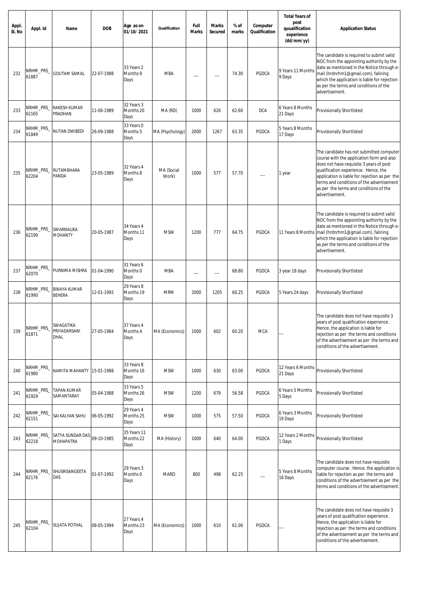| Appl.<br>SI. No | Appl. Id           | Name                                 | <b>DOB</b> | Age as on<br>01/10/2021          | Qualification       | Full<br><b>Marks</b> | <b>Marks</b><br>Secured | % of<br>marks | Computer<br>Qualification | <b>Total Years of</b><br>post<br>quualification<br>experience<br>(dd/mm/yy) | <b>Application Status</b>                                                                                                                                                                                                                                                                                                           |
|-----------------|--------------------|--------------------------------------|------------|----------------------------------|---------------------|----------------------|-------------------------|---------------|---------------------------|-----------------------------------------------------------------------------|-------------------------------------------------------------------------------------------------------------------------------------------------------------------------------------------------------------------------------------------------------------------------------------------------------------------------------------|
| 232             | NRHM_PRS_<br>61887 | <b>GOUTAM SAMAL</b>                  | 22-07-1988 | 33 Years 2<br>Months 9<br>Days   | <b>MBA</b>          |                      |                         | 74.30         | PGDCA                     | 9 Years 11 Months<br>9 Days                                                 | The candidate is required to submit valid<br>NOC from the appointing authority by the<br>date as mentioned in the Notice through e-<br>mail (hrdnrhm1@gmail.com), falining<br>which the application is liable for rejection<br>as per the terms and conditions of the<br>advertisement.                                             |
| 233             | NRHM_PRS_<br>62165 | <b>RAKESH KUMAR</b><br>PRADHAN       | 11-06-1989 | 32 Years 3<br>Months 20<br>Days  | MA (RD)             | 1000                 | 626                     | 62.60         | <b>DCA</b>                | 6 Years 8 Months<br>21 Days                                                 | Provisionally Shortlisted                                                                                                                                                                                                                                                                                                           |
| 234             | NRHM_PRS_<br>61849 | NUTAN DWIBEDI                        | 26-09-1988 | 33 Years 0<br>Months 5<br>Days   | MA (Psychology)     | 2000                 | 1267                    | 63.35         | PGDCA                     | 5 Years 8 Months<br>17 Days                                                 | Provisionally Shortlisted                                                                                                                                                                                                                                                                                                           |
| 235             | NRHM_PRS_<br>62204 | RUTAMBHARA<br>PANDA                  | 23-05-1989 | 32 Years 4<br>Months 8<br>Days   | MA (Social<br>Work) | 1000                 | 577                     | 57.70         |                           | l year                                                                      | The candidate has not submitted computer<br>course with the application form and also<br>does not have.requisite 3 years of post<br>qualification experience. Hence, the<br>application is liable for rejection as per the<br>terms and conditions of the advertisement<br>as per the terms and conditions of the<br>advertisement. |
| 236             | NRHM_PRS_<br>62190 | SWARNALIKA<br><b>MOHANTY</b>         | 20-05-1987 | 34 Years 4<br>Months 11<br>Days  | <b>MSW</b>          | 1200                 | 777                     | 64.75         | PGDCA                     | 11 Years 8 Months                                                           | The candidate is required to submit valid<br>NOC from the appointing authority by the<br>date as mentioned in the Notice through e-<br>mail (hrdnrhm1@gmail.com), falining<br>which the application is liable for rejection<br>as per the terms and conditions of the<br>advertisement.                                             |
| 237             | NRHM_PRS_<br>62070 | PURNIMA MISHRA                       | 01-04-1990 | 31 Years 6<br>Months 0<br>Days   | <b>MBA</b>          |                      |                         | 68.80         | PGDCA                     | 3 year 18 days                                                              | Provisionally Shortlisted                                                                                                                                                                                                                                                                                                           |
| 238             | NRHM_PRS_<br>61990 | <b>BINAYA KUMAR</b><br>BEHERA        | 12-01-1992 | 29 Years 8<br>Months 19<br>Days  | <b>MRM</b>          | 2000                 | 1205                    | 60.25         | PGDCA                     | 5 Years 24 days                                                             | Provisionally Shortlisted                                                                                                                                                                                                                                                                                                           |
| 239             | NRHM_PRS_<br>61871 | SWAGATIKA<br>PRIYADARSANI<br>dhal    | 27-05-1984 | 37 Years 4<br>Months 4<br>Days   | MA (Economics)      | 1000                 | 602                     | 60.20         | MCA                       |                                                                             | The candidate does not have requisite 3<br>years of post qualification experience.<br>Hence, the application is liable for<br>rejection as per the terms and conditions<br>of the advertisement as per the terms and<br>conditions of the advertisement.                                                                            |
| 240             | NRHM_PRS_<br>61980 | NAMITA MAHANTY                       | 15-01-1988 | 33 Years 8<br>Months 16<br>Days  | <b>MSW</b>          | 1000                 | 630                     | 63.00         | PGDCA                     | 12 Years 6 Months<br>21 Days                                                | Provisionally Shortlisted                                                                                                                                                                                                                                                                                                           |
| 241             | NRHM_PRS_<br>61929 | TAPAN KUMAR<br>SAMANTARAY            | 05-04-1988 | 33 Years 5<br>Months 26<br>Days  | <b>MSW</b>          | 1200                 | 679                     | 56.58         | PGDCA                     | 6 Years 5 Months<br>5 Days                                                  | Provisionally Shortlisted                                                                                                                                                                                                                                                                                                           |
| 242             | NRHM_PRS_<br>62151 | SAI KALYAN SAHU                      | 06-05-1992 | 29 Years 4<br>Months 25<br>Days  | <b>MSW</b>          | 1000                 | 575                     | 57.50         | PGDCA                     | 6 Years 3 Months<br>19 Days                                                 | Provisionally Shortlisted                                                                                                                                                                                                                                                                                                           |
| 243             | NRHM_PRS_<br>62218 | SATYA SUNDAR DAS<br><b>MOHAPATRA</b> | 09-10-1985 | 35 Years 11<br>Months 22<br>Days | MA (History)        | 1000                 | 640                     | 64.00         | PGDCA                     | 12 Years 2 Months<br>1 Days                                                 | Provisionally Shortlisted                                                                                                                                                                                                                                                                                                           |
| 244             | NRHM_PRS_<br>62176 | SHUSRISANGEETA<br>DAS                | 01-07-1992 | 29 Years 3<br>Months 0<br>Days   | <b>MARD</b>         | 800                  | 498                     | 62.25         |                           | 5 Years 8 Months<br>16 Days                                                 | The candidate does not have requisite<br>computer course. Hence, the application is<br>liable for rejection as per the terms and<br>conditions of the advertisement as per the<br>terms and conditions of the advertisement.                                                                                                        |
| 245             | NRHM_PRS_<br>62104 | <b>SUJATA POTHAL</b>                 | 08-05-1994 | 27 Years 4<br>Months 23<br>Days  | MA (Economics)      | 1000                 | 610                     | 61.00         | PGDCA                     |                                                                             | The candidate does not have requisite 3<br>years of post qualification experience.<br>Hence, the application is liable for<br>rejection as per the terms and conditions<br>of the advertisement as per the terms and<br>conditions of the advertisement.                                                                            |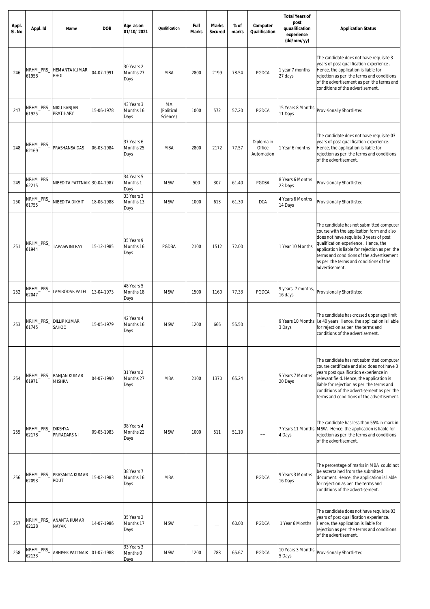| Appl.<br>SI. No | Appl. Id                   | Name                                 | <b>DOB</b> | Age as on<br>01/10/2021         | Qualification                | Full<br><b>Marks</b> | <b>Marks</b><br>Secured | % of<br>marks | Computer<br>Qualification          | <b>Total Years of</b><br>post<br>quualification<br>experience<br>(dd/mm/yy) | <b>Application Status</b>                                                                                                                                                                                                                                                                                                           |
|-----------------|----------------------------|--------------------------------------|------------|---------------------------------|------------------------------|----------------------|-------------------------|---------------|------------------------------------|-----------------------------------------------------------------------------|-------------------------------------------------------------------------------------------------------------------------------------------------------------------------------------------------------------------------------------------------------------------------------------------------------------------------------------|
| 246             | VRHM_PRS_<br>61958         | <b>HEMANTA KUMAR</b><br><b>BHOI</b>  | 04-07-1991 | 30 Years 2<br>Months 27<br>Days | <b>MBA</b>                   | 2800                 | 2199                    | 78.54         | PGDCA                              | year 7 months<br>27 days                                                    | The candidate does not have requisite 3<br>years of post qualification experience.<br>Hence, the application is liable for<br>rejection as per the terms and conditions<br>of the advertisement as per the terms and<br>conditions of the advertisement.                                                                            |
| 247             | NRHM_PRS_<br>61925         | <b>NIKU RANJAN</b><br>PRATIHARY      | 15-06-1978 | 43 Years 3<br>Months 16<br>Days | MA<br>(Political<br>Science) | 1000                 | 572                     | 57.20         | PGDCA                              | 15 Years 8 Months<br>11 Days                                                | Provisionally Shortlisted                                                                                                                                                                                                                                                                                                           |
| 248             | \RHM_PRS_<br>62169         | PRASHANSA DAS                        | 06-03-1984 | 37 Years 6<br>Months 25<br>Days | <b>MBA</b>                   | 2800                 | 2172                    | 77.57         | Diploma in<br>Office<br>Automation | Year 6 months                                                               | The candidate does not have requisite 03<br>years of post qualification experience.<br>Hence, the application is liable for<br>rejection as per the terms and conditions<br>of the advertisement.                                                                                                                                   |
| 249             | NRHM_PRS_<br>62215         | NIBEDITA PATTNAIK 30-04-1987         |            | 34 Years 5<br>Months 1<br>Days  | <b>MSW</b>                   | 500                  | 307                     | 61.40         | PGDSA                              | 8 Years 6 Months<br>23 Days                                                 | Provisionally Shortlisted                                                                                                                                                                                                                                                                                                           |
| 250             | NRHM_PRS_<br>61755         | NIBEDITA DIKHIT                      | 18-06-1988 | 33 Years 3<br>Months 13<br>Days | <b>MSW</b>                   | 1000                 | 613                     | 61.30         | <b>DCA</b>                         | 4 Years 6 Months<br>14 Days                                                 | Provisionally Shortlisted                                                                                                                                                                                                                                                                                                           |
| 251             | NRHM_PRS_<br>61944         | <b>TAPASWINI RAY</b>                 | 15-12-1985 | 35 Years 9<br>Months 16<br>Days | PGDBA                        | 2100                 | 1512                    | 72.00         |                                    | 1 Year 10 Months                                                            | The candidate has not submitted computer<br>course with the application form and also<br>does not have.requisite 3 years of post<br>qualification experience. Hence, the<br>application is liable for rejection as per the<br>terms and conditions of the advertisement<br>as per the terms and conditions of the<br>advertisement. |
| 252             | NRHM_PRS_<br>62047         | LAMBODAR PATEL                       | 13-04-1973 | 48 Years 5<br>Months 18<br>Days | <b>MSW</b>                   | 1500                 | 1160                    | 77.33         | PGDCA                              | 9 years, 7 months,<br>16 days                                               | Provisionally Shortlisted                                                                                                                                                                                                                                                                                                           |
| 253             | VRHM PRS<br>61745          | <b>DILLIP KUMAR</b><br>SAHOO         | 15-05-1979 | 42 Years 4<br>Months 16<br>Days | <b>MSW</b>                   | 1200                 | 666                     | 55.50         |                                    | 9 Years 10 Months<br>3 Days                                                 | The candidate has crossed upper age limit<br>i.e 40 years. Hence, the application is liable<br>for rejection as per the terms and<br>conditions of the advertisement.                                                                                                                                                               |
| 254             | NRHM_PRS_<br>61971         | <b>RANJAN KUMAR</b><br><b>MISHRA</b> | 04-07-1990 | 31 Years 2<br>Months 27<br>Days | <b>MBA</b>                   | 2100                 | 1370                    | 65.24         |                                    | 5 Years 7 Months<br>20 Days                                                 | The candidate has not submitted computer<br>course certificate and also does not have 3<br>years post qualification experience in<br>relevant field. Hence, the application is<br>liable for rejection as per the terms and<br>conditions of the advertisement as per the<br>terms and conditions of the advertisement.             |
| 255             | NRHM_PRS_ DIKSHYA<br>62178 | PRIYADARSINI                         | 09-05-1983 | 38 Years 4<br>Months 22<br>Days | <b>MSW</b>                   | 1000                 | 511                     | 51.10         |                                    | 4 Days                                                                      | The candidate has less than 55% in mark in<br>7 Years 11 Months MSW. Hence, the application is liable for<br>rejection as per the terms and conditions<br>of the advertisement.                                                                                                                                                     |
| 256             | NRHM_PRS_<br>62093         | PRASANTA KUMAR<br><b>ROUT</b>        | 15-02-1983 | 38 Years 7<br>Months 16<br>Days | <b>MBA</b>                   |                      |                         |               | PGDCA                              | 9 Years 3 Months<br>16 Days                                                 | The percentage of marks in MBA could not<br>be ascertained from the submitted<br>document. Hence, the application is liable<br>for rejection as per the terms and<br>conditions of the advertisement.                                                                                                                               |
| 257             | NRHM_PRS_<br>62128         | ANANTA KUMAR<br><b>NAYAK</b>         | 14-07-1986 | 35 Years 2<br>Months 17<br>Days | <b>MSW</b>                   |                      |                         | 60.00         | PGDCA                              | 1 Year 6 Months                                                             | The candidate does not have requisite 03<br>years of post qualification experience.<br>Hence, the application is liable for<br>rejection as per the terms and conditions<br>of the advertisement.                                                                                                                                   |
| 258             | NRHM_PRS_<br>62133         | <b>ABHISEK PATTNAIK</b>              | 01-07-1988 | 33 Years 3<br>Months 0<br>Days  | <b>MSW</b>                   | 1200                 | 788                     | 65.67         | PGDCA                              | 10 Years 3 Months<br>5 Days                                                 | Provisionally Shortlisted                                                                                                                                                                                                                                                                                                           |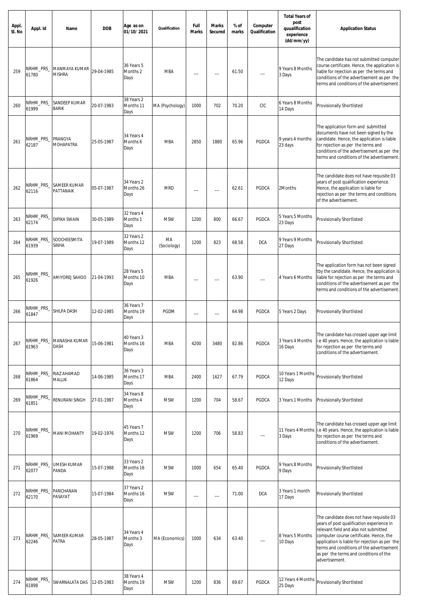| Appl.<br>SI. No | Appl. Id           | Name                           | <b>DOB</b> | Age as on<br>01/10/2021         | Qualification     | Full<br><b>Marks</b> | <b>Marks</b><br>Secured | % of<br>marks | Computer<br>Qualification | <b>Total Years of</b><br>post<br>quualification<br>experience<br>(dd/mm/yy) | <b>Application Status</b>                                                                                                                                                                                                                                                                                                            |
|-----------------|--------------------|--------------------------------|------------|---------------------------------|-------------------|----------------------|-------------------------|---------------|---------------------------|-----------------------------------------------------------------------------|--------------------------------------------------------------------------------------------------------------------------------------------------------------------------------------------------------------------------------------------------------------------------------------------------------------------------------------|
| 259             | NRHM_PRS_<br>61780 | MANMAYA KUMAR<br><b>MISHRA</b> | 29-04-1985 | 36 Years 5<br>Months 2<br>Days  | <b>MBA</b>        |                      |                         | 61.50         |                           | 9 Years 8 Months<br>3 Days                                                  | The candidate has not submitted computer<br>course certificate. Hence, the application is<br>liable for rejection as per the terms and<br>conditions of the advertisement as per the<br>terms and conditions of the advertisement.                                                                                                   |
| 260             | NRHM_PRS_<br>61999 | SANDEEP KUMAR<br><b>BARIK</b>  | 20-07-1983 | 38 Years 2<br>Months 11<br>Days | MA (Psychology)   | 1000                 | 702                     | 70.20         | CIC                       | 6 Years 8 Months<br>14 Days                                                 | Provisionally Shortlisted                                                                                                                                                                                                                                                                                                            |
| 261             | NRHM_PRS_<br>62187 | PRANGYA<br><b>MOHAPATRA</b>    | 25-05-1987 | 34 Years 4<br>Months 6<br>Days  | <b>MBA</b>        | 2850                 | 1880                    | 65.96         | PGDCA                     | 9 years 4 months<br>23 days                                                 | The application form and submitted<br>documents have not been signed by the<br>candidate. Hence, the application is liable<br>for rejection as per the terms and<br>conditions of the advertisement as per the<br>terms and conditions of the advertisement.                                                                         |
| 262             | NRHM_PRS_<br>62116 | SAMEER KUMAR<br>PATTANAIK      | 05-07-1987 | 34 Years 2<br>Months 26<br>Days | <b>MRD</b>        |                      |                         | 62.61         | PGDCA                     | 2Months                                                                     | The candidate does not have requisite 03<br>years of post qualification experience.<br>Hence, the application is liable for<br>rejection as per the terms and conditions<br>of the advertisement.                                                                                                                                    |
| 263             | NRHM_PRS_<br>62174 | <b>DIPIKA SWAIN</b>            | 30-05-1989 | 32 Years 4<br>Months 1<br>Days  | <b>MSW</b>        | 1200                 | 800                     | 66.67         | PGDCA                     | 5 Years 5 Months<br>23 Days                                                 | Provisionally Shortlisted                                                                                                                                                                                                                                                                                                            |
| 264             | NRHM_PRS_<br>61939 | SOOCHEESMITA<br><b>SINHA</b>   | 19-07-1989 | 32 Years 2<br>Months 12<br>Days | MA<br>(Sociology) | 1200                 | 823                     | 68.58         | <b>DCA</b>                | 9 Years 9 Months<br>27 Days                                                 | Provisionally Shortlisted                                                                                                                                                                                                                                                                                                            |
| 265             | NRHM_PRS_<br>61926 | AMIYOREJ SAHOO                 | 21-04-1993 | 28 Years 5<br>Months 10<br>Days | <b>MBA</b>        |                      |                         | 63.90         |                           | 4 Years 6 Months                                                            | The application form has not been signed<br>tby the candidate. Hence, the application is<br>liable for rejection as per the terms and<br>conditions of the advertisement as per the<br>terms and conditions of the advertisement.                                                                                                    |
| 266             | NRHM_PRS_<br>61847 | SHILPA DASH                    | 12-02-1985 | 36 Years 7<br>Months 19<br>Days | <b>PGDM</b>       |                      |                         | 64.98         | PGDCA                     | 5 Years 2 Days                                                              | Provisionally Shortlisted                                                                                                                                                                                                                                                                                                            |
| 267             | NRHM_PRS_<br>61963 | MANASHA KUMAR<br><b>DASH</b>   | 15-06-1981 | 40 Years 3<br>Months 16<br>Days | <b>MBA</b>        | 4200                 | 3480                    | 82.86         | PGDCA                     | 3 Years 4 Months<br>16 Days                                                 | The candidate has crossed upper age limit<br>i.e 40 years. Hence, the application is liable<br>for rejection as per the terms and<br>conditions of the advertisement.                                                                                                                                                                |
| 268             | NRHM_PRS_<br>61864 | RIAZ AHAMAD<br><b>MALLIK</b>   | 14-06-1985 | 36 Years 3<br>Months 17<br>Days | <b>MBA</b>        | 2400                 | 1627                    | 67.79         | PGDCA                     | 10 Years 1 Months<br>12 Days                                                | Provisionally Shortlisted                                                                                                                                                                                                                                                                                                            |
| 269             | NRHM_PRS_<br>61851 | RENURANI SINGH                 | 27-01-1987 | 34 Years 8<br>Months 4<br>Days  | <b>MSW</b>        | 1200                 | 704                     | 58.67         | PGDCA                     | 3 Years 1 Months                                                            | Provisionally Shortlisted                                                                                                                                                                                                                                                                                                            |
| 270             | NRHM_PRS_<br>61969 | <b>MANI MOHANTY</b>            | 19-02-1976 | 45 Years 7<br>Months 12<br>Days | <b>MSW</b>        | 1200                 | 706                     | 58.83         | --                        | 11 Years 4 Months<br>3 Days                                                 | The candidate has crossed upper age limit<br>i.e 40 years. Hence, the application is liable<br>for rejection as per the terms and<br>conditions of the advertisement.                                                                                                                                                                |
| 271             | NRHM_PRS_<br>62077 | UMESH KUMAR<br>PANDA           | 15-07-1988 | 33 Years 2<br>Months 16<br>Days | <b>MSW</b>        | 1000                 | 654                     | 65.40         | PGDCA                     | 9 Years 8 Months<br>9 Days                                                  | Provisionally Shortlisted                                                                                                                                                                                                                                                                                                            |
| 272             | NRHM_PRS_<br>62170 | PANCHANAN<br>PASAYAT           | 15-07-1984 | 37 Years 2<br>Months 16<br>Days | <b>MSW</b>        |                      |                         | 71.00         | <b>DCA</b>                | 3 Years 1 month<br>17 Days                                                  | Provisionally Shortlisted                                                                                                                                                                                                                                                                                                            |
| 273             | NRHM_PRS_<br>62246 | SAMEER KUMAR<br>PATRA          | 28-05-1987 | 34 Years 4<br>Months 3<br>Days  | MA (Economics)    | 1000                 | 634                     | 63.40         |                           | 8 Years 5 Months<br>10 Days                                                 | The candidate does not have requisite 03<br>years of post qualification experience in<br>relevant field and also not submitted<br>computer course certificate. Hence, the<br>application is liable for rejection as per the<br>terms and conditions of the advertisement<br>as per the terms and conditions of the<br>advertisement. |
| 274             | NRHM_PRS_<br>61898 | SWARNALATA DAS                 | 12-05-1983 | 38 Years 4<br>Months 19<br>Days | <b>MSW</b>        | 1200                 | 836                     | 69.67         | PGDCA                     | 12 Years 4 Months<br>25 Days                                                | Provisionally Shortlisted                                                                                                                                                                                                                                                                                                            |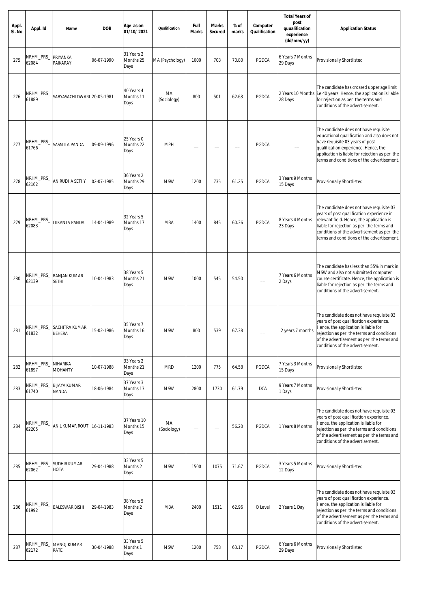| Appl.<br>SI. No | Appl. Id           | Name                              | <b>DOB</b> | Age as on<br>01/10/2021          | Qualification     | Full<br><b>Marks</b> | <b>Marks</b><br>Secured | % of<br>marks | Computer<br>Qualification | <b>Total Years of</b><br>post<br>quualification<br>experience<br>(dd/mm/yy) | <b>Application Status</b>                                                                                                                                                                                                                                                   |
|-----------------|--------------------|-----------------------------------|------------|----------------------------------|-------------------|----------------------|-------------------------|---------------|---------------------------|-----------------------------------------------------------------------------|-----------------------------------------------------------------------------------------------------------------------------------------------------------------------------------------------------------------------------------------------------------------------------|
| 275             | VRHM_PRS_<br>62084 | PRIYANKA<br>PAIKARAY              | 06-07-1990 | 31 Years 2<br>Months 25<br>Days  | MA (Psychology)   | 1000                 | 708                     | 70.80         | PGDCA                     | 6 Years 7 Months<br>29 Days                                                 | Provisionally Shortlisted                                                                                                                                                                                                                                                   |
| 276             | NRHM_PRS_<br>61889 | SABYASACHI DWARI 20-05-1981       |            | 40 Years 4<br>Months 11<br>Days  | МA<br>(Sociology) | 800                  | 501                     | 62.63         | PGDCA                     | 2 Years 10 Months<br>28 Days                                                | The candidate has crossed upper age limit<br>i.e 40 years. Hence, the application is liable<br>for rejection as per the terms and<br>conditions of the advertisement.                                                                                                       |
| 277             | NRHM_PRS_<br>61766 | SASMITA PANDA                     | 09-09-1996 | 25 Years 0<br>Months 22<br>Days  | <b>MPH</b>        |                      |                         |               | PGDCA                     |                                                                             | The candidate does not have requisite<br>educational qualification and also does not<br>have requisite 03 years of post<br>qualification experience. Hence, the<br>application is liable for rejection as per the<br>terms and conditions of the advertisement.             |
| 278             | NRHM_PRS_<br>62162 | <b>ANIRUDHA SETHY</b>             | 02-07-1985 | 36 Years 2<br>Months 29<br>Days  | <b>MSW</b>        | 1200                 | 735                     | 61.25         | PGDCA                     | 3 Years 9 Months<br>15 Days                                                 | Provisionally Shortlisted                                                                                                                                                                                                                                                   |
| 279             | NRHM_PRS_<br>62083 | <b>ITIKANTA PANDA</b>             | 14-04-1989 | 32 Years 5<br>Months 17<br>Days  | <b>MBA</b>        | 1400                 | 845                     | 60.36         | PGDCA                     | 8 Years 4 Months<br>23 Days                                                 | The candidate does not have requisite 03<br>years of post qualification experience in<br>relevant field. Hence, the application is<br>liable for rejection as per the terms and<br>conditions of the advertisement as per the<br>terms and conditions of the advertisement. |
| 280             | VRHM_PRS_<br>62139 | RANJAN KUMAR<br><b>SETHI</b>      | 10-04-1983 | 38 Years 5<br>Months 21<br>Days  | <b>MSW</b>        | 1000                 | 545                     | 54.50         |                           | 7 Years 6 Months<br>2 Days                                                  | The candidate has less than 55% in mark in<br>MSW and also not submitted computer<br>course certificate. Hence, the application is<br>liable for rejection as per the terms and<br>conditions of the advertisement.                                                         |
| 281             | VRHM_PRS_<br>61832 | SACHITRA KUMAR<br><b>BEHERA</b>   | 15-02-1986 | 35 Years 7<br>Months 16<br>Days  | <b>MSW</b>        | 800                  | 539                     | 67.38         |                           | 2 years 7 months                                                            | The candidate does not have requisite 03<br>years of post qualification experience.<br>Hence, the application is liable for<br>rejection as per the terms and conditions<br>of the advertisement as per the terms and<br>conditions of the advertisement.                   |
| 282             | NRHM_PRS_<br>61897 | NIHARIKA<br><b>MOHANTY</b>        | 10-07-1988 | 33 Years 2<br>Months 21<br>Days  | <b>MRD</b>        | 1200                 | 775                     | 64.58         | PGDCA                     | 7 Years 3 Months<br>15 Days                                                 | Provisionally Shortlisted                                                                                                                                                                                                                                                   |
| 283             | NRHM_PRS_<br>61740 | <b>BIJAYA KUMAR</b><br>NANDA      | 18-06-1984 | 37 Years 3<br>Months 13<br>Days  | <b>MSW</b>        | 2800                 | 1730                    | 61.79         | <b>DCA</b>                | 9 Years 7 Months<br>1 Days                                                  | Provisionally Shortlisted                                                                                                                                                                                                                                                   |
| 284             | NRHM_PRS_<br>62205 | ANIL KUMAR ROUT                   | 16-11-1983 | 37 Years 10<br>Months 15<br>Days | MA<br>(Sociology) |                      |                         | 56.20         | PGDCA                     | 1 Years 8 Months                                                            | The candidate does not have requisite 03<br>years of post qualification experience.<br>Hence, the application is liable for<br>rejection as per the terms and conditions<br>of the advertisement as per the terms and<br>conditions of the advertisement.                   |
| 285             | NRHM_PRS_<br>62062 | SUDHIR KUMAR<br><b>HOTA</b>       | 29-04-1988 | 33 Years 5<br>Months 2<br>Days   | <b>MSW</b>        | 1500                 | 1075                    | 71.67         | PGDCA                     | 3 Years 5 Months<br>12 Days                                                 | Provisionally Shortlisted                                                                                                                                                                                                                                                   |
| 286             | \RHM_PRS_<br>61992 | <b>BALESWAR BISHI</b>             | 29-04-1983 | 38 Years 5<br>Months 2<br>Days   | <b>MBA</b>        | 2400                 | 1511                    | 62.96         | O Level                   | 2 Years 1 Day                                                               | The candidate does not have requisite 03<br>years of post qualification experience.<br>Hence, the application is liable for<br>rejection as per the terms and conditions<br>of the advertisement as per the terms and<br>conditions of the advertisement.                   |
| 287             | NRHM_PRS_<br>62172 | <b>MANOJ KUMAR</b><br><b>RATE</b> | 30-04-1988 | 33 Years 5<br>Months 1<br>Days   | <b>MSW</b>        | 1200                 | 758                     | 63.17         | PGDCA                     | 6 Years 6 Months<br>29 Days                                                 | Provisionally Shortlisted                                                                                                                                                                                                                                                   |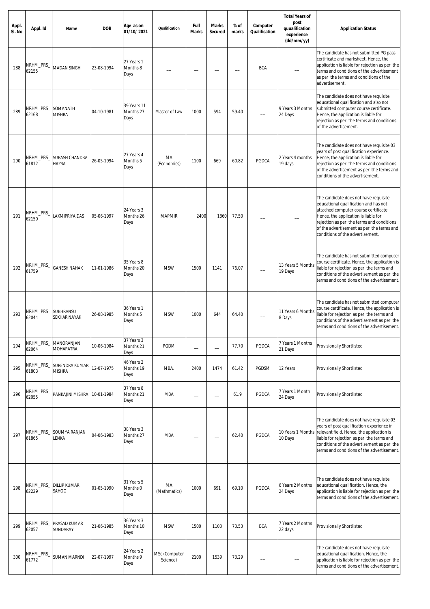| Appl.<br>SI. No | Appl. Id                     | Name                                   | <b>DOB</b> | Age as on<br>01/10/2021          | Qualification             | Full<br><b>Marks</b> | <b>Marks</b><br>Secured | % of<br>marks | Computer<br>Qualification | <b>Total Years of</b><br>post<br>quualification<br>experience<br>(dd/mm/yy) | <b>Application Status</b>                                                                                                                                                                                                                                                                     |
|-----------------|------------------------------|----------------------------------------|------------|----------------------------------|---------------------------|----------------------|-------------------------|---------------|---------------------------|-----------------------------------------------------------------------------|-----------------------------------------------------------------------------------------------------------------------------------------------------------------------------------------------------------------------------------------------------------------------------------------------|
| 288             | \RHM_PRS_<br>62155           | <b>MADAN SINGH</b>                     | 23-08-1994 | 27 Years 1<br>Months 8<br>Days   |                           |                      |                         |               | <b>BCA</b>                |                                                                             | The candidate has not submitted PG pass<br>certificate and marksheet. Hence, the<br>application is liable for rejection as per the<br>terms and conditions of the advertisement<br>as per the terms and conditions of the<br>advertisement.                                                   |
| 289             | VRHM_PRS_<br>62168           | SOMANATH<br><b>MISHRA</b>              | 04-10-1981 | 39 Years 11<br>Months 27<br>Days | Master of Law             | 1000                 | 594                     | 59.40         |                           | 9 Years 3 Months<br>24 Days                                                 | The candidate does not have requisite<br>educational qualification and also not<br>submitted computer course certificate.<br>Hence, the application is liable for<br>rejection as per the terms and conditions<br>of the advertisement.                                                       |
| 290             | NRHM_PRS_<br>61812           | <b>SUBASH CHANDRA</b><br><b>HAZRA</b>  | 26-05-1994 | 27 Years 4<br>Months 5<br>Days   | МA<br>(Economics)         | 1100                 | 669                     | 60.82         | PGDCA                     | 2 Years 4 months<br>19 days                                                 | The candidate does not have requisite 03<br>years of post qualification experience.<br>Hence, the application is liable for<br>rejection as per the terms and conditions<br>of the advertisement as per the terms and<br>conditions of the advertisement.                                     |
| 291             | NRHM_PRS_<br>62150           | <b>LAXMIPRIYA DAS</b>                  | 05-06-1997 | 24 Years 3<br>Months 26<br>Days  | <b>MAPMIR</b>             | 2400                 | 1860                    | 77.50         |                           |                                                                             | The candidate does not have requisite<br>educational qualification and has not<br>attached computer course certificate.<br>Hence, the application is liable for<br>rejection as per the terms and conditions<br>of the advertisement as per the terms and<br>conditions of the advertisement. |
| 292             | VRHM_PRS_<br>61759           | <b>GANESH NAHAK</b>                    | 11-01-1986 | 35 Years 8<br>Months 20<br>Days  | <b>MSW</b>                | 1500                 | 1141                    | 76.07         |                           | 13 Years 5 Months<br>19 Days                                                | The candidate has not submitted computer<br>course certificate. Hence, the application is<br>liable for rejection as per the terms and<br>conditions of the advertisement as per the<br>terms and conditions of the advertisement.                                                            |
| 293             | NRHM_PRS_ SUBHRANSU<br>62044 | <b>SEKHAR NAYAK</b>                    | 26-08-1985 | 36 Years 1<br>Months 5<br>Days   | <b>MSW</b>                | 1000                 | 644                     | 64.40         |                           | 11 Years 6 Months<br>8 Days                                                 | The candidate has not submitted computer<br>course certificate. Hence, the application is<br>liable for rejection as per the terms and<br>conditions of the advertisement as per the<br>terms and conditions of the advertisement.                                                            |
| 294             | NRHM_PRS_<br>62064           | MANORANJAN<br><b>MOHAPATRA</b>         | 10-06-1984 | 37 Years 3<br>Months 21<br>Days  | <b>PGDM</b>               |                      |                         | 77.70         | PGDCA                     | 7 Years 1 Months<br>21 Days                                                 | Provisionally Shortlisted                                                                                                                                                                                                                                                                     |
| 295             | VRHM_PRS_<br>61803           | <b>SURENDRA KUMAR</b><br><b>MISHRA</b> | 12-07-1975 | 46 Years 2<br>Months 19<br>Days  | MBA.                      | 2400                 | 1474                    | 61.42         | PGDSM                     | 12 Years                                                                    | Provisionally Shortlisted                                                                                                                                                                                                                                                                     |
| 296             | VRHM_PRS_<br>62055           | PANKAJINI MISHRA                       | 10-01-1984 | 37 Years 8<br>Months 21<br>Days  | <b>MBA</b>                |                      |                         | 61.9          | PGDCA                     | 7 Years 1 Month<br>24 Days                                                  | Provisionally Shortlisted                                                                                                                                                                                                                                                                     |
| 297             | NRHM_PRS_<br>61865           | SOUMYA RANJAN<br>LENKA                 | 04-06-1983 | 38 Years 3<br>Months 27<br>Days  | <b>MBA</b>                |                      |                         | 62.40         | PGDCA                     | 10 Years 1 Months<br>10 Days                                                | The candidate does not have requisite 03<br>years of post qualification experience in<br>relevant field. Hence, the application is<br>liable for rejection as per the terms and<br>conditions of the advertisement as per the<br>terms and conditions of the advertisement.                   |
| 298             | NRHM_PRS_<br>62229           | <b>DILLIP KUMAR</b><br>SAHOO           | 01-05-1990 | 31 Years 5<br>Months 0<br>Days   | МA<br>(Mathmatics)        | 1000                 | 691                     | 69.10         | PGDCA                     | 6 Years 2 Months<br>24 Days                                                 | The candidate does not have requisite<br>educational qualification. Hence, the<br>application is liable for rejection as per the<br>terms and conditions of the advertisement.                                                                                                                |
| 299             | NRHM_PRS_<br>62057           | PRASAD KUMAR<br>SUNDARAY               | 21-06-1985 | 36 Years 3<br>Months 10<br>Days  | <b>MSW</b>                | 1500                 | 1103                    | 73.53         | <b>BCA</b>                | 7 Years 2 Months<br>22 days                                                 | Provisionally Shortlisted                                                                                                                                                                                                                                                                     |
| 300             | NRHM_PRS_<br>61772           | <b>SUMAN MARNDI</b>                    | 22-07-1997 | 24 Years 2<br>Months 9<br>Days   | MSc (Computer<br>Science) | 2100                 | 1539                    | 73.29         |                           |                                                                             | The candidate does not have requisite<br>educational qualification. Hence, the<br>application is liable for rejection as per the<br>terms and conditions of the advertisement.                                                                                                                |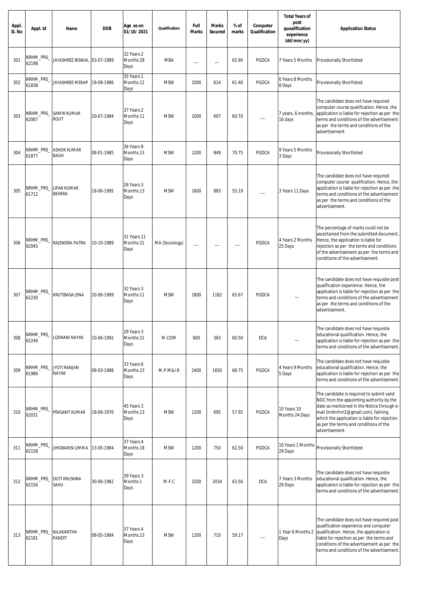| Appl.<br>SI. No | Appl. Id                      | Name                                | <b>DOB</b> | Age as on<br>01/10/2021          | Qualification        | Full<br><b>Marks</b> | <b>Marks</b><br>Secured | % of<br>marks | Computer<br>Qualification | <b>Total Years of</b><br>post<br>quualification<br>experience<br>(dd/mm/yy) | <b>Application Status</b>                                                                                                                                                                                                                                                               |
|-----------------|-------------------------------|-------------------------------------|------------|----------------------------------|----------------------|----------------------|-------------------------|---------------|---------------------------|-----------------------------------------------------------------------------|-----------------------------------------------------------------------------------------------------------------------------------------------------------------------------------------------------------------------------------------------------------------------------------------|
| 301             | NRHM_PRS_<br>62198            | JAYASHREE BISWAL 03-07-1989         |            | 32 Years 2<br>Months 28<br>Days  | <b>MBA</b>           |                      |                         | 65.90         | PGDCA                     | 7 Years 5 Months                                                            | <b>Provisionally Shortlisted</b>                                                                                                                                                                                                                                                        |
| 302             | NRHM_PRS_<br>61838            | JAYASHREE MEKAP                     | 19-08-1986 | 35 Years 1<br>Months 12<br>Days  | <b>MSW</b>           | 1000                 | 614                     | 61.40         | PGDCA                     | 6 Years 8 Months<br>8 Days                                                  | Provisionally Shortlisted                                                                                                                                                                                                                                                               |
| 303             | \RHM_PRS_<br>62067            | <b>SAMIR KUMAR</b><br><b>ROUT</b>   | 20-07-1984 | 37 Years 2<br>Months 11<br>Days  | <b>MSW</b>           | 1000                 | 607                     | 60.70         |                           | 7 years, 6 months<br>16 days                                                | The candidate does not have required<br>computer course qualification. Hence, the<br>application is liable for rejection as per the<br>terms and conditions of the advertisement<br>as per the terms and conditions of the<br>advertisement.                                            |
| 304             | NRHM_PRS_<br>61877            | <b>ASHOK KUMAR</b><br><b>BAGH</b>   | 08-01-1985 | 36 Years 8<br>Months 23<br>Days  | <b>MSW</b>           | 1200                 | 849                     | 70.75         | PGDCA                     | 9 Years 5 Months<br>3 Days                                                  | Provisionally Shortlisted                                                                                                                                                                                                                                                               |
| 305             | NRHM_PRS_<br>61712            | <b>LIPAK KUMAR</b><br><b>BEHERA</b> | 18-06-1995 | 26 Years 3<br>Months 13<br>Days  | <b>MSW</b>           | 1600                 | 883                     | 55.19         |                           | 3 Years 11 Days                                                             | The candidate does not have required<br>computer course qualification. Hence, the<br>application is liable for rejection as per the<br>terms and conditions of the advertisement<br>as per the terms and conditions of the<br>advertisement.                                            |
| 306             | \RHM_PRS_<br>62045            | RAJENDRA PATRA                      | 10-10-1989 | 31 Years 11<br>Months 21<br>Days | MA (Sociology)       |                      |                         |               | PGDCA                     | 4 Years 2 Months<br>25 Days                                                 | The percentage of marks could not be<br>ascertained from the submitted document.<br>Hence, the application is liable for<br>rejection as per the terms and conditions<br>of the advertisement as per the terms and<br>conditions of the advertisement.                                  |
| 307             | VRHM_PRS_<br>62230            | KRUTIBASA JENA                      | 20-06-1989 | 32 Years 3<br>Months 11<br>Days  | <b>MSW</b>           | 1800                 | 1182                    | 65.67         | PGDCA                     |                                                                             | The candidate does not have requisite post<br>qualification experience. Hence, the<br>application is liable for rejection as per the<br>terms and conditions of the advertisement<br>as per the terms and conditions of the<br>advertisement.                                           |
|                 | 308 NRHM_PRS<br>62249         | IZARANI NAYAK                       | 10-06-1992 | 29 Years 3<br>Months 21<br>Days  | M.COM                | 600                  | 363                     | 60.50         | DCA                       |                                                                             | The candidate does not have requisite<br>educational qualification. Hence, the<br>application is liable for rejection as per the<br>terms and conditions of the advertisement.                                                                                                          |
| 309             | NRHM_PRS_<br>61986            | <b>JYOTI RANJAN</b><br><b>NAYAK</b> | 08-03-1988 | 33 Years 6<br>Months 23<br>Days  | <b>M.P.M&amp;I.R</b> | 2400                 | 1650                    | 68.75         | PGDCA                     | 4 Years 9 Months<br>5 Days                                                  | The candidate does not have requisite<br>educational qualification. Hence, the<br>application is liable for rejection as per the<br>terms and conditions of the advertisement.                                                                                                          |
| 310             | VRHM_PRS_<br>62031            | PRASANT KUMAR                       | 18-06-1976 | 45 Years 3<br>Months 13<br>Days  | <b>MSW</b>           | 1200                 | 695                     | 57.92         | PGDCA                     | 10 Years 10<br>Months 24 Days                                               | The candidate is required to submit valid<br>NOC from the appointing authority by the<br>date as mentioned in the Notice through e-<br>mail (hrdnrhm1@gmail.com), falining<br>which the application is liable for rejection<br>as per the terms and conditions of the<br>advertisement. |
| 311             | NRHM_PRS_<br>62158            | JIHOBANISI LIMMA                    | 13-05-1984 | 37 Years 4<br>Months 18<br>Days  | <b>MSW</b>           | 1200                 | 750                     | 62.50         | PGDCA                     | 10 Years 1 Months<br>29 Days                                                | Provisionally Shortlisted                                                                                                                                                                                                                                                               |
| 312             | NRHM_PRS_<br>62156            | <b>DUTI KRUSHNA</b><br>SAHU         | 30-06-1982 | 39 Years 3<br>Months 1<br>Days   | M.F.C                | 3200                 | 2034                    | 63.56         | <b>DCA</b>                | 7 Years 3 Months<br>29 Days                                                 | The candidate does not have requisite<br>educational qualification. Hence, the<br>application is liable for rejection as per the<br>terms and conditions of the advertisement.                                                                                                          |
| 313             | NRHM_PRS_ NILAKANTHA<br>62181 | <b>PANDIT</b>                       | 08-05-1984 | 37 Years 4<br>Months 23<br>Days  | <b>MSW</b>           | 1200                 | 710                     | 59.17         |                           | 1 Year 6 Months 2<br>Days                                                   | The candidate does not have required post<br>qualification experience and computer<br>qualification. Hence, the application is<br>liable for rejection as per the terms and<br>conditions of the advertisement as per the<br>terms and conditions of the advertisement.                 |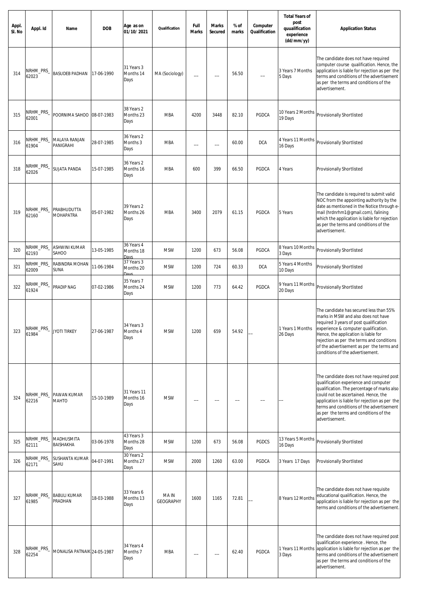| Appl.<br>SI. No | Appl. Id           | Name                              | <b>DOB</b> | Age as on<br>01/10/2021          | Qualification             | Full<br><b>Marks</b> | <b>Marks</b><br>Secured | % of<br>marks | Computer<br>Qualification | <b>Total Years of</b><br>post<br>quualification<br>experience<br>(dd/mm/yy) | <b>Application Status</b>                                                                                                                                                                                                                                                                                                              |
|-----------------|--------------------|-----------------------------------|------------|----------------------------------|---------------------------|----------------------|-------------------------|---------------|---------------------------|-----------------------------------------------------------------------------|----------------------------------------------------------------------------------------------------------------------------------------------------------------------------------------------------------------------------------------------------------------------------------------------------------------------------------------|
| 314             | \RHM_PRS_<br>62023 | <b>BASUDEB PADHAN</b>             | 17-06-1990 | 31 Years 3<br>Months 14<br>Days  | MA (Sociology)            |                      |                         | 56.50         |                           | 3 Years 7 Months<br>5 Days                                                  | The candidate does not have required<br>computer course qualification. Hence, the<br>application is liable for rejection as per the<br>terms and conditions of the advertisement<br>as per the terms and conditions of the<br>advertisement.                                                                                           |
| 315             | NRHM_PRS_<br>62001 | POORNIMA SAHOO 08-07-1983         |            | 38 Years 2<br>Months 23<br>Days  | MBA                       | 4200                 | 3448                    | 82.10         | PGDCA                     | 10 Years 2 Months<br>19 Days                                                | Provisionally Shortlisted                                                                                                                                                                                                                                                                                                              |
| 316             | VRHM_PRS_<br>61904 | <b>MALAYA RANJAN</b><br>PANIGRAHI | 28-07-1985 | 36 Years 2<br>Months 3<br>Days   | <b>MBA</b>                |                      |                         | 60.00         | <b>DCA</b>                | 4 Years 11 Months<br>16 Days                                                | Provisionally Shortlisted                                                                                                                                                                                                                                                                                                              |
| 318             | \RHM_PRS_<br>62026 | SUJATA PANDA                      | 15-07-1985 | 36 Years 2<br>Months 16<br>Days  | <b>MBA</b>                | 600                  | 399                     | 66.50         | PGDCA                     | 4 Years                                                                     | Provisionally Shortlisted                                                                                                                                                                                                                                                                                                              |
| 319             | VRHM_PRS_<br>62160 | PRABHUDUTTA<br><b>MOHAPATRA</b>   | 05-07-1982 | 39 Years 2<br>Months 26<br>Days  | <b>MBA</b>                | 3400                 | 2079                    | 61.15         | PGDCA                     | 5 Years                                                                     | The candidate is required to submit valid<br>NOC from the appointing authority by the<br>date as mentioned in the Notice through e-<br>mail (hrdnrhm1@gmail.com), falining<br>which the application is liable for rejection<br>as per the terms and conditions of the<br>advertisement.                                                |
| 320             | NRHM_PRS_<br>62193 | <b>ASHWINI KUMAR</b><br>SAHOO     | 13-05-1985 | 36 Years 4<br>Months 18<br>Davs  | <b>MSW</b>                | 1200                 | 673                     | 56.08         | PGDCA                     | 8 Years 10 Months<br>3 Days                                                 | Provisionally Shortlisted                                                                                                                                                                                                                                                                                                              |
| 321             | NRHM_PRS_<br>62009 | RABINDRA MOHAN<br><b>SUNA</b>     | 11-06-1984 | 37 Years 3<br>Months 20<br>Davs  | <b>MSW</b>                | 1200                 | 724                     | 60.33         | <b>DCA</b>                | 5 Years 4 Months<br>10 Days                                                 | Provisionally Shortlisted                                                                                                                                                                                                                                                                                                              |
| 322             | NRHM_PRS_<br>61924 | PRADIP NAG                        | 07-02-1986 | 35 Years 7<br>Months 24<br>Days  | <b>MSW</b>                | 1200                 | 773                     | 64.42         | PGDCA                     | 9 Years 11 Months<br>20 Days                                                | Provisionally Shortlisted                                                                                                                                                                                                                                                                                                              |
| 323             | NRHM_PRS_<br>61984 | <b>JYOTI TIRKEY</b>               | 27-06-1987 | 34 Years 3<br>Months 4<br>pays   | <b>MSW</b>                | 1200                 | 659                     | 54.92         |                           | 1 Years 1 Months<br>26 Days                                                 | The candidate has secured less than 55%<br>marks in MSW and also does not have<br>required 3 years of post qualification<br>experience & computer qualification.<br>Hence, the application is liable for<br>rejection as per the terms and conditions<br>of the advertisement as per the terms and<br>conditions of the advertisement. |
| 324             | VRHM_PRS_<br>62216 | PAWAN KUMAR<br><b>MAHTO</b>       | 15-10-1989 | 31 Years 11<br>Months 16<br>Days | <b>MSW</b>                |                      |                         |               |                           |                                                                             | The candidate does not have required post<br>qualification experience and computer<br>qualification. The percentage of marks also<br>could not be ascertained. Hence, the<br>application is liable for rejection as per the<br>terms and conditions of the advertisement<br>as per the terms and conditions of the<br>advertisement.   |
| 325             | 62111              | NRHM_PRS_ MADHUSMITA<br>BAISHAKHA | 03-06-1978 | 43 Years 3<br>Months 28<br>Days  | <b>MSW</b>                | 1200                 | 673                     | 56.08         | PGDCS                     | 13 Years 5 Months<br>16 Days                                                | Provisionally Shortlisted                                                                                                                                                                                                                                                                                                              |
| 326             | NRHM_PRS_<br>62171 | <b>SUSHANTA KUMAR</b><br>SAHU     | 04-07-1991 | 30 Years 2<br>Months 27<br>Days  | <b>MSW</b>                | 2000                 | 1260                    | 63.00         | PGDCA                     | 3 Years 17 Days                                                             | Provisionally Shortlisted                                                                                                                                                                                                                                                                                                              |
| 327             | NRHM_PRS_<br>61985 | <b>BABULI KUMAR</b><br>PRADHAN    | 18-03-1988 | 33 Years 6<br>Months 13<br>Days  | MA IN<br><b>GEOGRAPHY</b> | 1600                 | 1165                    | 72.81         |                           | 8 Years 12 Months                                                           | The candidate does not have requisite<br>educational qualification. Hence, the<br>application is liable for rejection as per the<br>terms and conditions of the advertisement.                                                                                                                                                         |
| 328             | NRHM_PRS_<br>62254 | MONALISA PATNAIK 24-05-1987       |            | 34 Years 4<br>Months 7<br>Days   | <b>MBA</b>                |                      |                         | 62.40         | PGDCA                     | 1 Years 11 Months<br>3 Days                                                 | The candidate does not have required post<br>qualification experience. Hence, the<br>application is liable for rejection as per the<br>terms and conditions of the advertisement<br>as per the terms and conditions of the<br>advertisement.                                                                                           |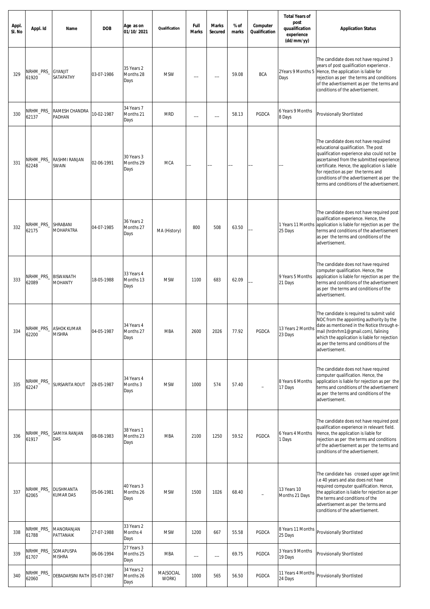| Appl.<br>SI. No | Appl. Id           | Name                                   | <b>DOB</b> | Age as on<br>01/10/2021         | Qualification      | Full<br><b>Marks</b> | <b>Marks</b><br>Secured | % of<br>marks | Computer<br>Qualification | <b>Total Years of</b><br>post<br>quualification<br>experience<br>(dd/mm/yy) | <b>Application Status</b>                                                                                                                                                                                                                                                                                                                                  |
|-----------------|--------------------|----------------------------------------|------------|---------------------------------|--------------------|----------------------|-------------------------|---------------|---------------------------|-----------------------------------------------------------------------------|------------------------------------------------------------------------------------------------------------------------------------------------------------------------------------------------------------------------------------------------------------------------------------------------------------------------------------------------------------|
| 329             | NRHM_PRS_<br>61920 | <b>GYANJIT</b><br>SATAPATHY            | 03-07-1986 | 35 Years 2<br>Months 28<br>Days | <b>MSW</b>         |                      |                         | 59.08         | <b>BCA</b>                | 2Years 9 Months 5<br>Days                                                   | The candidate does not have required 3<br>years of post qualification experience.<br>Hence, the application is liable for<br>rejection as per the terms and conditions<br>of the advertisement as per the terms and<br>conditions of the advertisement.                                                                                                    |
| 330             | NRHM_PRS_<br>62137 | RAMESH CHANDRA<br>PADHAN               | 10-02-1987 | 34 Years 7<br>Months 21<br>Days | <b>MRD</b>         |                      |                         | 58.13         | PGDCA                     | 6 Years 9 Months<br>8 Days                                                  | Provisionally Shortlisted                                                                                                                                                                                                                                                                                                                                  |
| 331             | VRHM_PRS_<br>62248 | RASHMI RANJAN<br><b>SWAIN</b>          | 02-06-1991 | 30 Years 3<br>Months 29<br>Days | <b>MCA</b>         |                      |                         |               |                           |                                                                             | The candidate does not have requiired<br>educational qualification. The post<br>qualification experience also could not be<br>ascertained from the submitted experience<br>certificate. Hence, the application is liable<br>for rejection as per the terms and<br>conditions of the advertisement as per the<br>terms and conditions of the advertisement. |
| 332             | VRHM_PRS_<br>62175 | SHRABANI<br><b>MOHAPATRA</b>           | 04-07-1985 | 36 Years 2<br>Months 27<br>Days | MA (History)       | 800                  | 508                     | 63.50         |                           | 1 Years 11 Months<br>25 Days                                                | The candidate does not have required post<br>qualification experience. Hence, the<br>application is liable for rejection as per the<br>terms and conditions of the advertisement<br>as per the terms and conditions of the<br>advertisement.                                                                                                               |
| 333             | VRHM_PRS_<br>62089 | <b>BISWANATH</b><br><b>MOHANTY</b>     | 18-05-1988 | 33 Years 4<br>Months 13<br>Days | <b>MSW</b>         | 1100                 | 683                     | 62.09         |                           | 9 Years 5 Months<br>21 Days                                                 | The candidate does not have required<br>computer qualification. Hence, the<br>application is liable for rejection as per the<br>terms and conditions of the advertisement<br>as per the terms and conditions of the<br>advertisement.                                                                                                                      |
| 334             | 62200              | NRHM_PRS_ ASHOK KUMAR<br><b>MISHRA</b> | 04-05-1987 | 34 Years 4<br>Months 27<br>Days | MBA                | 2600                 | 2026                    | 77.92         | PGDCA                     | 13 Years 2 Months<br>23 Days                                                | The candidate is required to submit valid<br>NOC from the appointing authority by the<br>date as mentioned in the Notice through e-<br>mail (hrdnrhm1@gmail.com), falining<br>which the application is liable for rejection<br>as per the terms and conditions of the<br>advertisement.                                                                    |
| 335             | NRHM_PRS_<br>62247 | <b>SURSARITA ROUT</b>                  | 28-05-1987 | 34 Years 4<br>Months 3<br>Days  | <b>MSW</b>         | 1000                 | 574                     | 57.40         |                           | 8 Years 6 Months<br>17 Days                                                 | The candidate does not have required<br>computer qualification. Hence, the<br>application is liable for rejection as per the<br>terms and conditions of the advertisement<br>as per the terms and conditions of the<br>advertisement.                                                                                                                      |
| 336             | VRHM_PRS_<br>61917 | SAMIYA RANJAN<br>DAS                   | 08-08-1983 | 38 Years 1<br>Months 23<br>Days | <b>MBA</b>         | 2100                 | 1250                    | 59.52         | PGDCA                     | 6 Years 4 Months<br>1 Days                                                  | The candidate does not have required post<br>qualification experience in relevant field.<br>Hence, the application is liable for<br>rejection as per the terms and conditions<br>of the advertisement as per the terms and<br>conditions of the advertisement.                                                                                             |
| 337             | VRHM_PRS_<br>62065 | <b>DUSHMANTA</b><br><b>KUMAR DAS</b>   | 05-06-1981 | 40 Years 3<br>Months 26<br>Days | <b>MSW</b>         | 1500                 | 1026                    | 68.40         |                           | 13 Years 10<br>Months 21 Days                                               | The candidate has crossed upper age limit<br>i.e 40 years and also does not have<br>required computer qualification. Hence,<br>the application is liable for rejection as per<br>the terms and conditions of the<br>advertisement as per the terms and<br>conditions of the advertisement.                                                                 |
| 338             | NRHM_PRS_<br>61788 | MANORANJAN<br>PATTANAIK                | 27-07-1988 | 33 Years 2<br>Months 4<br>Days  | <b>MSW</b>         | 1200                 | 667                     | 55.58         | PGDCA                     | 8 Years 11 Months<br>25 Days                                                | Provisionally Shortlisted                                                                                                                                                                                                                                                                                                                                  |
| 339             | NRHM_PRS_<br>61707 | SOMAPUSPA<br><b>MISHRA</b>             | 06-06-1994 | 27 Years 3<br>Months 25<br>Days | <b>MBA</b>         |                      |                         | 69.75         | PGDCA                     | 3 Years 9 Months<br>19 Days                                                 | Provisionally Shortlisted                                                                                                                                                                                                                                                                                                                                  |
| 340             | NRHM_PRS_<br>62060 | DEBADARSINI RATH 05-07-1987            |            | 34 Years 2<br>Months 26<br>Days | MA(SOCIAL<br>WORK) | 1000                 | 565                     | 56.50         | PGDCA                     | 11 Years 4 Months<br>24 Days                                                | Provisionally Shortlisted                                                                                                                                                                                                                                                                                                                                  |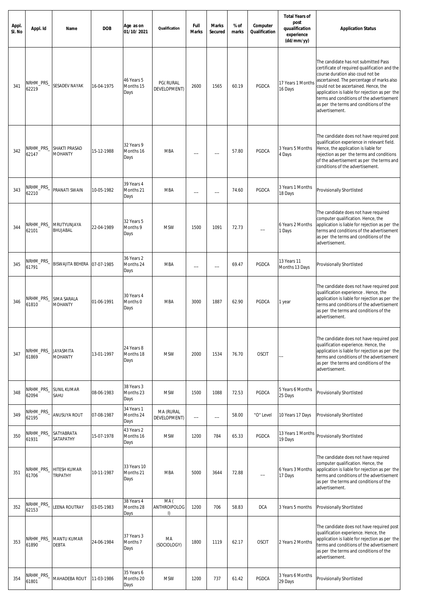| Appl.<br>SI. No | Appl. Id           | Name                                    | <b>DOB</b> | Age as on<br>01/10/2021                   | Qualification                   | Full<br><b>Marks</b> | <b>Marks</b><br>Secured | % of<br>marks | Computer<br>Qualification | <b>Total Years of</b><br>post<br>quualification<br>experience<br>(dd/mm/yy) | <b>Application Status</b>                                                                                                                                                                                                                                                                                                                                                 |
|-----------------|--------------------|-----------------------------------------|------------|-------------------------------------------|---------------------------------|----------------------|-------------------------|---------------|---------------------------|-----------------------------------------------------------------------------|---------------------------------------------------------------------------------------------------------------------------------------------------------------------------------------------------------------------------------------------------------------------------------------------------------------------------------------------------------------------------|
| 341             | NRHM_PRS_<br>62219 | <b>SESADEV NAYAK</b>                    | 16-04-1975 | 46 Years 5<br>Months 15<br>Days           | <b>PG(RURAL</b><br>DEVELOPMENT) | 2600                 | 1565                    | 60.19         | PGDCA                     | 17 Years 1 Months<br>16 Days                                                | The candidate has not submitted Pass<br>certificate of required qualification and the<br>course duration also coud not be<br>ascertained. The percentage of marks also<br>could not be ascertained. Hence, the<br>application is liable for rejection as per the<br>terms and conditions of the advertisement<br>as per the terms and conditions of the<br>advertisement. |
| 342             | VRHM_PRS_<br>62147 | <b>SHAKTI PRASAD</b><br><b>MOHANTY</b>  | 15-12-1988 | 32 Years 9<br>Months 16<br>Days           | <b>MBA</b>                      |                      |                         | 57.80         | PGDCA                     | 3 Years 5 Months<br>4 Days                                                  | The candidate does not have required post<br>qualification experience in relevant field.<br>Hence, the application is liable for<br>rejection as per the terms and conditions<br>of the advertisement as per the terms and<br>conditions of the advertisement.                                                                                                            |
| 343             | NRHM_PRS_<br>62210 | PRANATI SWAIN                           | 10-05-1982 | 39 Years 4<br>Months 21<br>Days           | <b>MBA</b>                      |                      |                         | 74.60         | PGDCA                     | 3 Years 1 Months<br>18 Days                                                 | Provisionally Shortlisted                                                                                                                                                                                                                                                                                                                                                 |
| 344             | 62101              | NRHM_PRS_ MRUTYUNJAYA<br>BHUJABAL       | 22-04-1989 | 32 Years 5<br>Months 9<br>Days            | <b>MSW</b>                      | 1500                 | 1091                    | 72.73         |                           | 6 Years 2 Months<br>1 Days                                                  | The candidate does not have required<br>computer qualification. Hence, the<br>application is liable for rejection as per the<br>terms and conditions of the advertisement<br>as per the terms and conditions of the<br>advertisement.                                                                                                                                     |
| 345             | NRHM_PRS_<br>61791 | BISWAJITA BEHERA 07-07-1985             |            | 36 Years 2<br>Months 24<br>Days           | <b>MBA</b>                      |                      |                         | 69.47         | PGDCA                     | 13 Years 11<br>Months 13 Days                                               | Provisionally Shortlisted                                                                                                                                                                                                                                                                                                                                                 |
| 346             | 61810              | VRHM_PRS_ SIMA SARALA<br><b>MOHANTY</b> | 01-06-1991 | 30 Years 4<br>Months 0<br>Days            | <b>MBA</b>                      | 3000                 | 1887                    | 62.90         | PGDCA                     | 1 year                                                                      | The candidate does not have required post<br>qualification experience. Hence, the<br>application is liable for rejection as per the<br>terms and conditions of the advertisement<br>as per the terms and conditions of the<br>advertisement.                                                                                                                              |
| 347             | NRHM_PRS_<br>61869 | <b>JAYASMITA</b><br><b>MOHANTY</b>      | 13-01-1997 | 24 Years 8<br>Months 18<br>Days           | <b>MSW</b>                      | 2000                 | 1534                    | 76.70         | <b>OSCIT</b>              |                                                                             | The candidate does not have required post<br>qualification experience. Hence, the<br>application is liable for rejection as per the<br>terms and conditions of the advertisement<br>as per the terms and conditions of the<br>advertisement.                                                                                                                              |
| 348             | NRHM_PRS_<br>62094 | <b>SUNIL KUMAR</b><br>SAHU              | 08-06-1983 | 38 Years 3<br>Months 23<br>Days           | <b>MSW</b>                      | 1500                 | 1088                    | 72.53         | PGDCA                     | 5 Years 6 Months<br>25 Days                                                 | Provisionally Shortlisted                                                                                                                                                                                                                                                                                                                                                 |
| 349             | NRHM_PRS_<br>62195 | <b>ANUSUYA ROUT</b>                     | 07-08-1987 | 34 Years 1<br>Months 24<br>Days           | MA (RURAL<br>DEVELOPMENT)       |                      |                         | 58.00         | "O" Level                 | 10 Years 17 Days                                                            | <b>Provisionally Shortlisted</b>                                                                                                                                                                                                                                                                                                                                          |
| 350             | NRHM_PRS_<br>61931 | SATYABRATA<br>SATAPATHY                 | 15-07-1978 | 43 Years 2<br>Months 16<br>Days           | <b>MSW</b>                      | 1200                 | 784                     | 65.33         | PGDCA                     | 13 Years 1 Months<br>19 Days                                                | Provisionally Shortlisted                                                                                                                                                                                                                                                                                                                                                 |
| 351             | NRHM_PRS_<br>61706 | <b>HITESH KUMAR</b><br>TRIPATHY         | 10-11-1987 | 33 Years 10<br>Months 21<br>Days          | <b>MBA</b>                      | 5000                 | 3644                    | 72.88         |                           | 6 Years 3 Months<br>17 Days                                                 | The candidate does not have required<br>computer qualification. Hence, the<br>application is liable for rejection as per the<br>terms and conditions of the advertisement<br>as per the terms and conditions of the<br>advertisement.                                                                                                                                     |
| 352             | NRHM_PRS_<br>62153 | <b>LEENA ROUTRAY</b>                    | 03-05-1983 | 38 Years 4<br>Months 28<br>Days           | MA (<br>ANTHROIPOLOG<br>$\vert$ | 1200                 | 706                     | 58.83         | <b>DCA</b>                | 3 Years 5 months                                                            | Provisionally Shortlisted                                                                                                                                                                                                                                                                                                                                                 |
| 353             | NRHM_PRS_<br>61890 | <b>MANTU KUMAR</b><br><b>DEBTA</b>      | 24-06-1984 | 37 Years 3<br>Months <sub>7</sub><br>Days | МA<br>(SOCIOLOGY)               | 1800                 | 1119                    | 62.17         | <b>OSCIT</b>              | 2 Years 2 Months                                                            | The candidate does not have required post<br>qualification experience. Hence, the<br>application is liable for rejection as per the<br>terms and conditions of the advertisement<br>as per the terms and conditions of the<br>advertisement.                                                                                                                              |
| 354             | NRHM_PRS_<br>61801 | MAHADEBA ROUT                           | 11-03-1986 | 35 Years 6<br>Months 20<br>Days           | <b>MSW</b>                      | 1200                 | 737                     | 61.42         | PGDCA                     | 3 Years 6 Months<br>29 Days                                                 | Provisionally Shortlisted                                                                                                                                                                                                                                                                                                                                                 |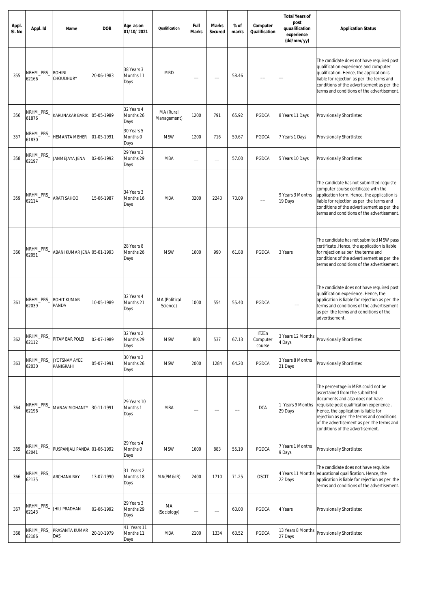| Appl.<br>SI. No | Appl. Id           | Name                              | <b>DOB</b> | Age as on<br>01/10/2021          | Qualification             | Full<br><b>Marks</b> | <b>Marks</b><br>Secured | % of<br>marks | Computer<br>Qualification          | <b>Total Years of</b><br>post<br>quualification<br>experience<br>(dd/mm/yy) | <b>Application Status</b>                                                                                                                                                                                                                                                                                                  |
|-----------------|--------------------|-----------------------------------|------------|----------------------------------|---------------------------|----------------------|-------------------------|---------------|------------------------------------|-----------------------------------------------------------------------------|----------------------------------------------------------------------------------------------------------------------------------------------------------------------------------------------------------------------------------------------------------------------------------------------------------------------------|
| 355             | NRHM_PRS_<br>62166 | <b>ROHINI</b><br><b>CHOUDHURY</b> | 20-06-1983 | 38 Years 3<br>Months 11<br>Days  | <b>MRD</b>                |                      |                         | 58.46         |                                    |                                                                             | The candidate does not have required post<br>qualification experience and computer<br>qualification. Hence, the application is<br>liable for rejection as per the terms and<br>conditions of the advertisement as per the<br>terms and conditions of the advertisement.                                                    |
| 356             | NRHM_PRS_<br>61876 | KARUNAKAR BARIK                   | 05-05-1989 | 32 Years 4<br>Months 26<br>Days  | MA (Rural<br>Management)  | 1200                 | 791                     | 65.92         | PGDCA                              | 8 Years 11 Days                                                             | Provisionally Shortlisted                                                                                                                                                                                                                                                                                                  |
| 357             | NRHM_PRS_<br>61830 | <b>HEMANTA MEHER</b>              | 01-05-1991 | 30 Years 5<br>Months 0<br>Days   | <b>MSW</b>                | 1200                 | 716                     | 59.67         | PGDCA                              | 7 Years 1 Days                                                              | Provisionally Shortlisted                                                                                                                                                                                                                                                                                                  |
| 358             | NRHM_PRS_<br>62197 | JANMEJAYA JENA                    | 02-06-1992 | 29 Years 3<br>Months 29<br>Days  | <b>MBA</b>                |                      |                         | 57.00         | PGDCA                              | 5 Years 10 Days                                                             | Provisionally Shortlisted                                                                                                                                                                                                                                                                                                  |
| 359             | \RHM_PRS_<br>62114 | <b>ARATI SAHOO</b>                | 15-06-1987 | 34 Years 3<br>Months 16<br>Days  | <b>MBA</b>                | 3200                 | 2243                    | 70.09         |                                    | 9 Years 3 Months<br>19 Days                                                 | The candidate has not submitted requiste<br>computer course certificate with the<br>application form. Hence, the application is<br>liable for rejection as per the terms and<br>conditions of the advertisement as per the<br>terms and conditions of the advertisement.                                                   |
| 360             | NRHM_PRS_<br>62051 | ABANI KUMAR JENA 05-01-1993       |            | 28 Years 8<br>Months 26<br>Days  | <b>MSW</b>                | 1600                 | 990                     | 61.88         | PGDCA                              | 3 Years                                                                     | The candidate has not submited MSW pass<br>certificate .Hence, the application is liable<br>for rejection as per the terms and<br>conditions of the advertisement as per the<br>terms and conditions of the advertisement.                                                                                                 |
| 361             | VRHM_PRS_<br>62039 | <b>ROHIT KUMAR</b><br>PANDA       | 10-05-1989 | 32 Years 4<br>Months 21<br>Days  | MA (Political<br>Science) | 1000                 | 554                     | 55.40         | PGDCA                              |                                                                             | The candidate does not have required post<br>qualification experience. Hence, the<br>application is liable for rejection as per the<br>terms and conditions of the advertisement<br>as per the terms and conditions of the<br>advertisement.                                                                               |
| 362             | NRHM_PRS_<br>62112 | PITAMBAR POLEI                    | 02-07-1989 | 32 Years 2<br>Months 29<br>Days  | <b>MSW</b>                | 800                  | 537                     | 67.13         | <b>ITZEn</b><br>Computer<br>course | 3 Years 12 Months<br>4 Days                                                 | Provisionally Shortlisted                                                                                                                                                                                                                                                                                                  |
| 363             | VRHM_PRS_<br>62030 | JYOTSNAMAYEE<br>PANIGRAHI         | 05-07-1991 | 30 Years 2<br>Months 26<br>Days  | <b>MSW</b>                | 2000                 | 1284                    | 64.20         | PGDCA                              | 3 Years 8 Months<br>21 Days                                                 | Provisionally Shortlisted                                                                                                                                                                                                                                                                                                  |
| 364             | NRHM_PRS_<br>62196 | <b>MANAV MOHANTY</b>              | 30-11-1991 | 29 Years 10<br>Months 1<br>Days  | <b>MBA</b>                |                      |                         |               | <b>DCA</b>                         | 1 Years 9 Months<br>29 Days                                                 | The percentage in MBA could not be<br>ascertained from the submitted<br>documents and also does not have<br>requisite post qualification experience.<br>Hence, the application is liable for<br>rejection as per the terms and conditions<br>of the advertisement as per the terms and<br>conditions of the advertisement. |
| 365             | NRHM_PRS_<br>62041 | PUSPANJALI PANDA 01-06-1992       |            | 29 Years 4<br>Months 0<br>Days   | <b>MSW</b>                | 1600                 | 883                     | 55.19         | PGDCA                              | 7 Years 1 Months<br>9 Days                                                  | Provisionally Shortlisted                                                                                                                                                                                                                                                                                                  |
| 366             | VRHM_PRS_<br>62135 | ARCHANA RAY                       | 13-07-1990 | 31 Years 2<br>Months 18<br>Days  | MA(PM&IR)                 | 2400                 | 1710                    | 71.25         | <b>OSCIT</b>                       | 4 Years 11 Months<br>22 Days                                                | The candidate does not have requisite<br>educational qualification. Hence, the<br>application is liable for rejection as per the<br>terms and conditions of the advertisement.                                                                                                                                             |
| 367             | NRHM_PRS_<br>62143 | <b>JHILI PRADHAN</b>              | 02-06-1992 | 29 Years 3<br>Months 29<br>Days  | MA<br>(Sociology)         |                      |                         | 60.00         | PGDCA                              | 4 Years                                                                     | Provisionally Shortlisted                                                                                                                                                                                                                                                                                                  |
| 368             | NRHM_PRS_<br>62186 | PRASANTA KUMAR<br>DAS             | 20-10-1979 | 41 Years 11<br>Months 11<br>Days | <b>MBA</b>                | 2100                 | 1334                    | 63.52         | PGDCA                              | 13 Years 8 Months<br>27 Days                                                | Provisionally Shortlisted                                                                                                                                                                                                                                                                                                  |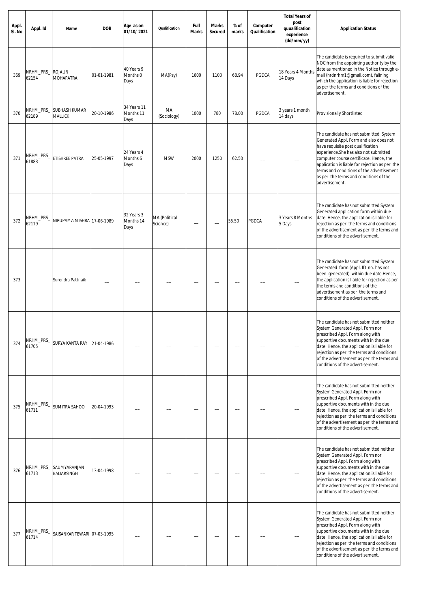| Appl.<br>SI. No | Appl. Id           | Name                               | <b>DOB</b> | Age as on<br>01/10/2021          | Qualification             | Full<br><b>Marks</b> | <b>Marks</b><br>Secured | % of<br>marks | Computer<br>Qualification | <b>Total Years of</b><br>post<br>quualification<br>experience<br>(dd/mm/yy) | <b>Application Status</b>                                                                                                                                                                                                                                                                                                                                            |
|-----------------|--------------------|------------------------------------|------------|----------------------------------|---------------------------|----------------------|-------------------------|---------------|---------------------------|-----------------------------------------------------------------------------|----------------------------------------------------------------------------------------------------------------------------------------------------------------------------------------------------------------------------------------------------------------------------------------------------------------------------------------------------------------------|
| 369             | NRHM_PRS_<br>62154 | <b>ROJALIN</b><br><b>MOHAPATRA</b> | 01-01-1981 | 40 Years 9<br>Months 0<br>Days   | MA(Psy)                   | 1600                 | 1103                    | 68.94         | PGDCA                     | 18 Years 4 Months<br>14 Days                                                | The candidate is required to submit valid<br>NOC from the appointing authority by the<br>date as mentioned in the Notice through e-<br>mail (hrdnrhm1@gmail.com), falining<br>which the application is liable for rejection<br>as per the terms and conditions of the<br>advertisement.                                                                              |
| 370             | NRHM_PRS_<br>62189 | SUBHASH KUMAR<br>MALLICK           | 20-10-1986 | 34 Years 11<br>Months 11<br>Days | MA<br>(Sociology)         | 1000                 | 780                     | 78.00         | PGDCA                     | 3 years 1 month<br>14 days                                                  | Provisionally Shortlisted                                                                                                                                                                                                                                                                                                                                            |
| 371             | NRHM_PRS_<br>61883 | ETISHREE PATRA                     | 25-05-1997 | 24 Years 4<br>Months 6<br>Days   | <b>MSW</b>                | 2000                 | 1250                    | 62.50         |                           |                                                                             | The candidate has not submitted System<br>Generated Appl. Form and also does not<br>have requisite post qualification<br>experience.She has also not submitted<br>computer course certificate. Hence, the<br>application is liable for rejection as per the<br>terms and conditions of the advertisement<br>as per the terms and conditions of the<br>advertisement. |
| 372             | NRHM_PRS_<br>62119 | NIRUPAMA MISHRA 17-06-1989         |            | 32 Years 3<br>Months 14<br>Days  | MA (Political<br>Science) |                      |                         | 55.50         | PGDCA                     | 3 Years 8 Months<br>5 Days                                                  | The candidate has not submitted System<br>Generated application form within due<br>date. Hence, the application is liable for<br>rejection as per the terms and conditions<br>of the advertisement as per the terms and<br>conditions of the advertisement.                                                                                                          |
| 373             |                    | Surendra Pattnaik                  |            |                                  |                           |                      |                         |               |                           |                                                                             | The candidate has not submitted System<br>Generated form (Appl. ID no. has not<br>been generated) within due date.Hence,<br>the application is liable for rejection as per<br>the terms and conditions of the<br>advertisement as per the terms and<br>conditions of the advertisement.                                                                              |
| 374             | NRHM_PRS_<br>61705 | SURYA KANTA RAY                    | 21-04-1986 |                                  |                           |                      |                         |               |                           |                                                                             | The candidate has not submitted neither<br>System Generated Appl. Form nor<br>prescribed Appl. Form along with<br>supportive documents with in the due<br>date. Hence, the application is liable for<br>rejection as per the terms and conditions<br>of the advertisement as per the terms and<br>conditions of the advertisement.                                   |
| 375             | NRHM_PRS_<br>61711 | SUMITRA SAHOO                      | 20-04-1993 |                                  |                           |                      |                         |               |                           |                                                                             | The candidate has not submitted neither<br>System Generated Appl. Form nor<br>prescribed Appl. Form along with<br>supportive documents with in the due<br>date. Hence, the application is liable for<br>rejection as per the terms and conditions<br>of the advertisement as per the terms and<br>conditions of the advertisement.                                   |
| 376             | NRHM_PRS_<br>61713 | SAUMYARANJAN<br>BALIARSINGH        | 13-04-1998 |                                  |                           |                      |                         |               |                           |                                                                             | The candidate has not submitted neither<br>System Generated Appl. Form nor<br>prescribed Appl. Form along with<br>supportive documents with in the due<br>date. Hence, the application is liable for<br>rejection as per the terms and conditions<br>of the advertisement as per the terms and<br>conditions of the advertisement.                                   |
| 377             | NRHM_PRS_<br>61714 | SAISANKAR TEWARI 07-03-1995        |            |                                  |                           |                      |                         |               |                           |                                                                             | The candidate has not submitted neither<br>System Generated Appl. Form nor<br>prescribed Appl. Form along with<br>supportive documents with in the due<br>date. Hence, the application is liable for<br>rejection as per the terms and conditions<br>of the advertisement as per the terms and<br>conditions of the advertisement.                                   |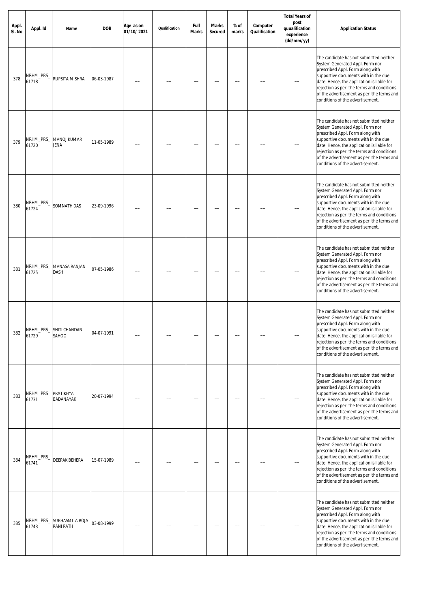| Appl.<br>SI. No | Appl. Id                     | Name                                   | <b>DOB</b> | Age as on<br>01/10/2021 | Qualification | Full<br><b>Marks</b> | <b>Marks</b><br><b>Secured</b> | % of<br>marks | Computer<br>Qualification | <b>Total Years of</b><br>post<br>quualification<br>experience<br>(dd/mm/yy) | <b>Application Status</b>                                                                                                                                                                                                                                                                                                          |
|-----------------|------------------------------|----------------------------------------|------------|-------------------------|---------------|----------------------|--------------------------------|---------------|---------------------------|-----------------------------------------------------------------------------|------------------------------------------------------------------------------------------------------------------------------------------------------------------------------------------------------------------------------------------------------------------------------------------------------------------------------------|
| 378             | NRHM_PRS_<br>61718           | RUPSITA MISHRA                         | 06-03-1987 |                         |               |                      |                                |               |                           |                                                                             | The candidate has not submitted neither<br>System Generated Appl. Form nor<br>prescribed Appl. Form along with<br>supportive documents with in the due<br>date. Hence, the application is liable for<br>rejection as per the terms and conditions<br>of the advertisement as per the terms and<br>conditions of the advertisement. |
| 379             | NRHM_PRS_<br>61720           | MANOJ KUMAR<br>JENA                    | 11-05-1989 |                         |               |                      |                                |               |                           |                                                                             | The candidate has not submitted neither<br>System Generated Appl. Form nor<br>prescribed Appl. Form along with<br>supportive documents with in the due<br>date. Hence, the application is liable for<br>rejection as per the terms and conditions<br>of the advertisement as per the terms and<br>conditions of the advertisement. |
| 380             | NRHM_PRS_<br>61724           | SOMNATH DAS                            | 23-09-1996 |                         |               |                      |                                |               |                           |                                                                             | The candidate has not submitted neither<br>System Generated Appl. Form nor<br>prescribed Appl. Form along with<br>supportive documents with in the due<br>date. Hence, the application is liable for<br>rejection as per the terms and conditions<br>of the advertisement as per the terms and<br>conditions of the advertisement. |
| 381             | NRHM_PRS_<br>61725           | MANASA RANJAN<br>DASH                  | 07-05-1986 |                         |               |                      |                                |               |                           |                                                                             | The candidate has not submitted neither<br>System Generated Appl. Form nor<br>prescribed Appl. Form along with<br>supportive documents with in the due<br>date. Hence, the application is liable for<br>rejection as per the terms and conditions<br>of the advertisement as per the terms and<br>conditions of the advertisement. |
| 382             | 61729                        | NRHM_PRS_SHITI CHANDAN<br><b>SAHOO</b> | 04-07-1991 |                         |               |                      |                                |               |                           |                                                                             | The candidate has not submitted neither<br>System Generated Appl. Form nor<br>prescribed Appl. Form along with<br>supportive documents with in the due<br>date. Hence, the application is liable for<br>rejection as per the terms and conditions<br>of the advertisement as per the terms and<br>conditions of the advertisement. |
| 383             | NRHM_PRS_ PRATIKHYA<br>61731 | BADANAYAK                              | 20-07-1994 |                         |               |                      |                                |               |                           |                                                                             | The candidate has not submitted neither<br>System Generated Appl. Form nor<br>prescribed Appl. Form along with<br>supportive documents with in the due<br>date. Hence, the application is liable for<br>rejection as per the terms and conditions<br>of the advertisement as per the terms and<br>conditions of the advertisement. |
| 384             | NRHM_PRS_<br>61741           | DEEPAK BEHERA                          | 15-07-1989 |                         |               |                      |                                |               |                           |                                                                             | The candidate has not submitted neither<br>System Generated Appl. Form nor<br>prescribed Appl. Form along with<br>supportive documents with in the due<br>date. Hence, the application is liable for<br>rejection as per the terms and conditions<br>of the advertisement as per the terms and<br>conditions of the advertisement. |
| 385             | NRHM_PRS_<br>61743           | SUBHASMITA ROJA<br><b>RANI RATH</b>    | 03-08-1999 |                         |               |                      |                                |               |                           |                                                                             | The candidate has not submitted neither<br>System Generated Appl. Form nor<br>prescribed Appl. Form along with<br>supportive documents with in the due<br>date. Hence, the application is liable for<br>rejection as per the terms and conditions<br>of the advertisement as per the terms and<br>conditions of the advertisement. |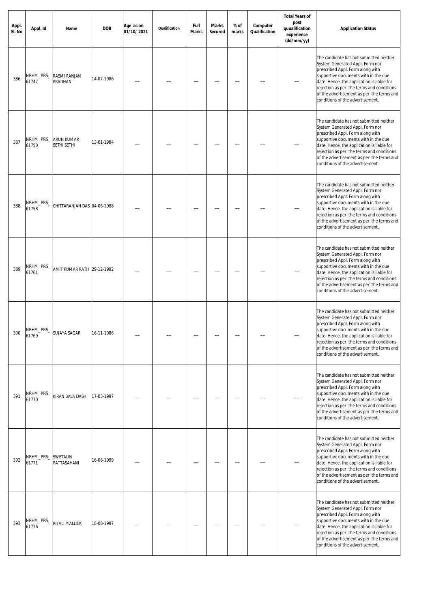| Appl.<br>SI. No | Appl. Id           | Name                        | <b>DOB</b> | Age as on<br>01/10/2021 | Qualification | Full<br><b>Marks</b> | <b>Marks</b><br><b>Secured</b> | % of<br>marks | Computer<br>Qualification | <b>Total Years of</b><br>post<br>quualification<br>experience<br>(dd/mm/yy) | <b>Application Status</b>                                                                                                                                                                                                                                                                                                          |
|-----------------|--------------------|-----------------------------|------------|-------------------------|---------------|----------------------|--------------------------------|---------------|---------------------------|-----------------------------------------------------------------------------|------------------------------------------------------------------------------------------------------------------------------------------------------------------------------------------------------------------------------------------------------------------------------------------------------------------------------------|
| 386             | NRHM_PRS_<br>61747 | RASMI RANJAN<br>PRADHAN     | 14-07-1986 |                         |               |                      |                                |               |                           |                                                                             | The candidate has not submitted neither<br>System Generated Appl. Form nor<br>prescribed Appl. Form along with<br>supportive documents with in the due<br>date. Hence, the application is liable for<br>rejection as per the terms and conditions<br>of the advertisement as per the terms and<br>conditions of the advertisement. |
| 387             | NRHM_PRS_<br>61750 | ARUN KUMAR<br>SETHI SETHI   | 13-01-1984 |                         |               |                      |                                |               |                           |                                                                             | The candidate has not submitted neither<br>System Generated Appl. Form nor<br>prescribed Appl. Form along with<br>supportive documents with in the due<br>date. Hence, the application is liable for<br>rejection as per the terms and conditions<br>of the advertisement as per the terms and<br>conditions of the advertisement. |
| 388             | NRHM_PRS_<br>61758 | CHITTARANJAN DAS 04-06-1988 |            |                         |               |                      |                                |               |                           |                                                                             | The candidate has not submitted neither<br>System Generated Appl. Form nor<br>prescribed Appl. Form along with<br>supportive documents with in the due<br>date. Hence, the application is liable for<br>rejection as per the terms and conditions<br>of the advertisement as per the terms and<br>conditions of the advertisement. |
| 389             | NRHM_PRS_<br>61761 | AMIT KUMAR RATH 29-12-1992  |            |                         |               |                      |                                |               |                           |                                                                             | The candidate has not submitted neither<br>System Generated Appl. Form nor<br>prescribed Appl. Form along with<br>supportive documents with in the due<br>date. Hence, the application is liable for<br>rejection as per the terms and conditions<br>of the advertisement as per the terms and<br>conditions of the advertisement. |
| 390             | NRHM_PRS_<br>51769 | SUJAYA SAGAR                | 16-11-1986 |                         |               |                      |                                |               |                           |                                                                             | The candidate has not submitted neither<br>System Generated Appl. Form nor<br>prescribed Appl. Form along with<br>supportive documents with in the due<br>date. Hence, the application is liable for<br>rejection as per the terms and conditions<br>of the advertisement as per the terms and<br>conditions of the advertisement. |
| 391             | NRHM_PRS_<br>61770 | KIRAN BALA DASH             | 17-03-1997 |                         |               |                      |                                |               |                           |                                                                             | The candidate has not submitted neither<br>System Generated Appl. Form nor<br>prescribed Appl. Form along with<br>supportive documents with in the due<br>date. Hence, the application is liable for<br>rejection as per the terms and conditions<br>of the advertisement as per the terms and<br>conditions of the advertisement. |
| 392             | NRHM_PRS_<br>61771 | SWETALIN<br>PATTASAHANI     | 16-06-1999 |                         |               |                      |                                |               |                           |                                                                             | The candidate has not submitted neither<br>System Generated Appl. Form nor<br>prescribed Appl. Form along with<br>supportive documents with in the due<br>date. Hence, the application is liable for<br>rejection as per the terms and conditions<br>of the advertisement as per the terms and<br>conditions of the advertisement. |
| 393             | NRHM_PRS_<br>61776 | RITALI MALLICK              | 18-08-1997 |                         |               |                      |                                |               |                           |                                                                             | The candidate has not submitted neither<br>System Generated Appl. Form nor<br>prescribed Appl. Form along with<br>supportive documents with in the due<br>date. Hence, the application is liable for<br>rejection as per the terms and conditions<br>of the advertisement as per the terms and<br>conditions of the advertisement. |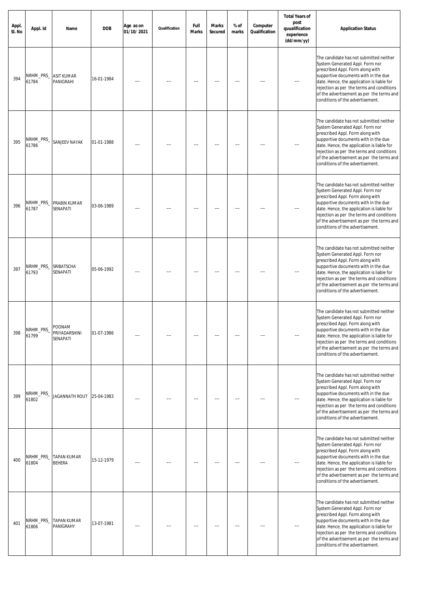| Appl.<br>SI. No | Appl. Id           | Name                                | <b>DOB</b> | Age as on<br>01/10/2021 | Qualification | Full<br><b>Marks</b> | <b>Marks</b><br><b>Secured</b> | % of<br>marks | Computer<br>Qualification | <b>Total Years of</b><br>post<br>quualification<br>experience<br>(dd/mm/yy) | <b>Application Status</b>                                                                                                                                                                                                                                                                                                          |
|-----------------|--------------------|-------------------------------------|------------|-------------------------|---------------|----------------------|--------------------------------|---------------|---------------------------|-----------------------------------------------------------------------------|------------------------------------------------------------------------------------------------------------------------------------------------------------------------------------------------------------------------------------------------------------------------------------------------------------------------------------|
| 394             | NRHM_PRS_<br>61784 | ASIT KUMAR<br>PANIGRAHI             | 16-01-1984 |                         |               |                      |                                |               |                           |                                                                             | The candidate has not submitted neither<br>System Generated Appl. Form nor<br>prescribed Appl. Form along with<br>supportive documents with in the due<br>date. Hence, the application is liable for<br>rejection as per the terms and conditions<br>of the advertisement as per the terms and<br>conditions of the advertisement. |
| 395             | NRHM_PRS_<br>61786 | SANJEEV NAYAK                       | 01-01-1988 |                         |               |                      |                                |               |                           |                                                                             | The candidate has not submitted neither<br>System Generated Appl. Form nor<br>prescribed Appl. Form along with<br>supportive documents with in the due<br>date. Hence, the application is liable for<br>rejection as per the terms and conditions<br>of the advertisement as per the terms and<br>conditions of the advertisement. |
| 396             | NRHM_PRS_<br>61787 | PRABIN KUMAR<br>SENAPATI            | 03-06-1989 |                         |               |                      |                                |               |                           |                                                                             | The candidate has not submitted neither<br>System Generated Appl. Form nor<br>prescribed Appl. Form along with<br>supportive documents with in the due<br>date. Hence, the application is liable for<br>rejection as per the terms and conditions<br>of the advertisement as per the terms and<br>conditions of the advertisement. |
| 397             | NRHM_PRS_<br>61793 | SRIBATSCHA<br>SENAPATI              | 05-06-1992 |                         |               |                      |                                |               |                           |                                                                             | The candidate has not submitted neither<br>System Generated Appl. Form nor<br>prescribed Appl. Form along with<br>supportive documents with in the due<br>date. Hence, the application is liable for<br>rejection as per the terms and conditions<br>of the advertisement as per the terms and<br>conditions of the advertisement. |
| 398             | NRHM_PRS_<br>61799 | POONAM<br>PRIYADARSHINI<br>SENAPATI | 01-07-1986 |                         |               |                      |                                |               |                           |                                                                             | The candidate has not submitted neither<br>System Generated Appl. Form nor<br>prescribed Appl. Form along with<br>supportive documents with in the due<br>date. Hence, the application is liable for<br>rejection as per the terms and conditions<br>of the advertisement as per the terms and<br>conditions of the advertisement. |
| 399             | NRHM_PRS_<br>61802 | JAGANNATH ROUT 25-04-1983           |            |                         |               |                      |                                |               |                           |                                                                             | The candidate has not submitted neither<br>System Generated Appl. Form nor<br>prescribed Appl. Form along with<br>supportive documents with in the due<br>date. Hence, the application is liable for<br>rejection as per the terms and conditions<br>of the advertisement as per the terms and<br>conditions of the advertisement. |
| 400             | NRHM_PRS_<br>61804 | TAPAN KUMAR<br>BEHERA               | 15-12-1979 |                         |               |                      |                                |               |                           |                                                                             | The candidate has not submitted neither<br>System Generated Appl. Form nor<br>prescribed Appl. Form along with<br>supportive documents with in the due<br>date. Hence, the application is liable for<br>rejection as per the terms and conditions<br>of the advertisement as per the terms and<br>conditions of the advertisement. |
| 401             | NRHM_PRS_<br>61806 | TAPAN KUMAR<br>PANIGRAHY            | 13-07-1981 |                         |               |                      |                                |               |                           |                                                                             | The candidate has not submitted neither<br>System Generated Appl. Form nor<br>prescribed Appl. Form along with<br>supportive documents with in the due<br>date. Hence, the application is liable for<br>rejection as per the terms and conditions<br>of the advertisement as per the terms and<br>conditions of the advertisement. |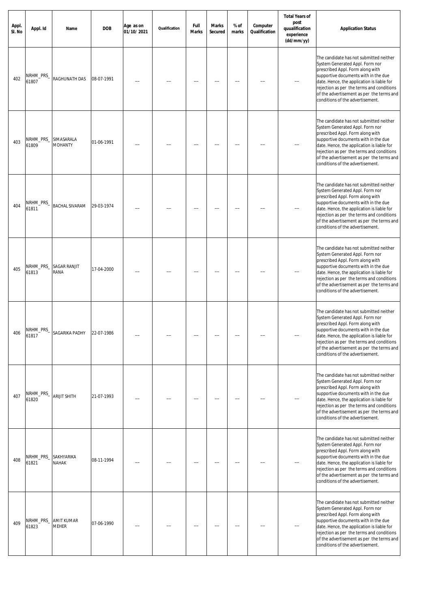| Appl.<br>SI. No | Appl. Id           | Name                  | <b>DOB</b> | Age as on<br>01/10/2021 | Qualification | Full<br><b>Marks</b> | <b>Marks</b><br><b>Secured</b> | % of<br>marks | Computer<br>Qualification | <b>Total Years of</b><br>post<br>quualification<br>experience<br>(dd/mm/yy) | <b>Application Status</b>                                                                                                                                                                                                                                                                                                          |
|-----------------|--------------------|-----------------------|------------|-------------------------|---------------|----------------------|--------------------------------|---------------|---------------------------|-----------------------------------------------------------------------------|------------------------------------------------------------------------------------------------------------------------------------------------------------------------------------------------------------------------------------------------------------------------------------------------------------------------------------|
| 402             | NRHM_PRS_<br>61807 | RAGHUNATH DAS         | 08-07-1991 |                         |               |                      |                                |               |                           |                                                                             | The candidate has not submitted neither<br>System Generated Appl. Form nor<br>prescribed Appl. Form along with<br>supportive documents with in the due<br>date. Hence, the application is liable for<br>rejection as per the terms and conditions<br>of the advertisement as per the terms and<br>conditions of the advertisement. |
| 403             | NRHM_PRS_<br>61809 | SIMASARALA<br>MOHANTY | 01-06-1991 |                         |               |                      |                                |               |                           |                                                                             | The candidate has not submitted neither<br>System Generated Appl. Form nor<br>prescribed Appl. Form along with<br>supportive documents with in the due<br>date. Hence, the application is liable for<br>rejection as per the terms and conditions<br>of the advertisement as per the terms and<br>conditions of the advertisement. |
| 404             | NRHM_PRS_<br>61811 | <b>BACHAL SIVARAM</b> | 29-03-1974 |                         |               |                      |                                |               |                           |                                                                             | The candidate has not submitted neither<br>System Generated Appl. Form nor<br>prescribed Appl. Form along with<br>supportive documents with in the due<br>date. Hence, the application is liable for<br>rejection as per the terms and conditions<br>of the advertisement as per the terms and<br>conditions of the advertisement. |
| 405             | NRHM_PRS_<br>61813 | SAGAR RANJIT<br>RANA  | 17-04-2000 |                         |               |                      |                                |               |                           |                                                                             | The candidate has not submitted neither<br>System Generated Appl. Form nor<br>prescribed Appl. Form along with<br>supportive documents with in the due<br>date. Hence, the application is liable for<br>rejection as per the terms and conditions<br>of the advertisement as per the terms and<br>conditions of the advertisement. |
| 406             | NRHM_PRS_<br>51817 | SAGARIKA PADHY        | 22-07-1986 |                         |               |                      |                                |               |                           |                                                                             | The candidate has not submitted neither<br>System Generated Appl. Form nor<br>prescribed Appl. Form along with<br>supportive documents with in the due<br>date. Hence, the application is liable for<br>rejection as per the terms and conditions<br>of the advertisement as per the terms and<br>conditions of the advertisement. |
| 407             | NRHM_PRS_<br>61820 | ARIJIT SHITH          | 21-07-1993 |                         |               |                      |                                |               |                           |                                                                             | The candidate has not submitted neither<br>System Generated Appl. Form nor<br>prescribed Appl. Form along with<br>supportive documents with in the due<br>date. Hence, the application is liable for<br>rejection as per the terms and conditions<br>of the advertisement as per the terms and<br>conditions of the advertisement. |
| 408             | NRHM_PRS_<br>61821 | SAKHYARIKA<br>NAHAK   | 08-11-1994 |                         |               |                      |                                |               |                           |                                                                             | The candidate has not submitted neither<br>System Generated Appl. Form nor<br>prescribed Appl. Form along with<br>supportive documents with in the due<br>date. Hence, the application is liable for<br>rejection as per the terms and conditions<br>of the advertisement as per the terms and<br>conditions of the advertisement. |
| 409             | NRHM_PRS_<br>61823 | AMIT KUMAR<br>MEHER   | 07-06-1990 |                         |               |                      |                                |               |                           |                                                                             | The candidate has not submitted neither<br>System Generated Appl. Form nor<br>prescribed Appl. Form along with<br>supportive documents with in the due<br>date. Hence, the application is liable for<br>rejection as per the terms and conditions<br>of the advertisement as per the terms and<br>conditions of the advertisement. |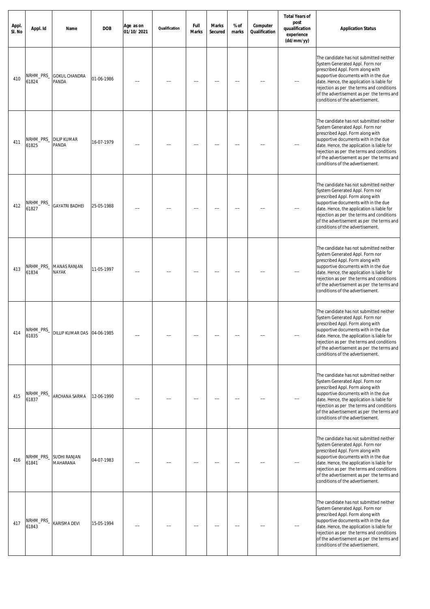| Appl.<br>SI. No | Appl. Id           | Name                          | <b>DOB</b> | Age as on<br>01/10/2021 | Qualification | Full<br><b>Marks</b> | <b>Marks</b><br><b>Secured</b> | % of<br>marks | Computer<br>Qualification | <b>Total Years of</b><br>post<br>quualification<br>experience<br>(dd/mm/yy) | <b>Application Status</b>                                                                                                                                                                                                                                                                                                          |
|-----------------|--------------------|-------------------------------|------------|-------------------------|---------------|----------------------|--------------------------------|---------------|---------------------------|-----------------------------------------------------------------------------|------------------------------------------------------------------------------------------------------------------------------------------------------------------------------------------------------------------------------------------------------------------------------------------------------------------------------------|
| 410             | NRHM_PRS_<br>61824 | <b>GOKUL CHANDRA</b><br>PANDA | 01-06-1986 |                         |               |                      |                                |               |                           |                                                                             | The candidate has not submitted neither<br>System Generated Appl. Form nor<br>prescribed Appl. Form along with<br>supportive documents with in the due<br>date. Hence, the application is liable for<br>rejection as per the terms and conditions<br>of the advertisement as per the terms and<br>conditions of the advertisement. |
| 411             | NRHM_PRS_<br>61825 | <b>DILIP KUMAR</b><br>PANDA   | 16-07-1979 |                         |               |                      |                                |               |                           |                                                                             | The candidate has not submitted neither<br>System Generated Appl. Form nor<br>prescribed Appl. Form along with<br>supportive documents with in the due<br>date. Hence, the application is liable for<br>rejection as per the terms and conditions<br>of the advertisement as per the terms and<br>conditions of the advertisement. |
| 412             | NRHM_PRS_<br>61827 | <b>GAYATRI BADHEI</b>         | 25-05-1988 |                         |               |                      |                                |               |                           |                                                                             | The candidate has not submitted neither<br>System Generated Appl. Form nor<br>prescribed Appl. Form along with<br>supportive documents with in the due<br>date. Hence, the application is liable for<br>rejection as per the terms and conditions<br>of the advertisement as per the terms and<br>conditions of the advertisement. |
| 413             | NRHM_PRS_<br>61834 | MANAS RANJAN<br>NAYAK         | 11-05-1997 |                         |               |                      |                                |               |                           |                                                                             | The candidate has not submitted neither<br>System Generated Appl. Form nor<br>prescribed Appl. Form along with<br>supportive documents with in the due<br>date. Hence, the application is liable for<br>rejection as per the terms and conditions<br>of the advertisement as per the terms and<br>conditions of the advertisement. |
| 414             | NRHM_PRS_<br>61835 | DILLIP KUMAR DAS 04-06-1985   |            |                         |               |                      |                                |               |                           |                                                                             | The candidate has not submitted neither<br>System Generated Appl. Form nor<br>prescribed Appl. Form along with<br>supportive documents with in the due<br>date. Hence, the application is liable for<br>rejection as per the terms and conditions<br>of the advertisement as per the terms and<br>conditions of the advertisement. |
| 415             | NRHM_PRS_<br>61837 | ARCHANA SARMA                 | 12-06-1990 |                         |               |                      |                                |               |                           |                                                                             | The candidate has not submitted neither<br>System Generated Appl. Form nor<br>prescribed Appl. Form along with<br>supportive documents with in the due<br>date. Hence, the application is liable for<br>rejection as per the terms and conditions<br>of the advertisement as per the terms and<br>conditions of the advertisement. |
| 416             | NRHM_PRS_<br>61841 | SUDHI RANJAN<br>MAHARANA      | 04-07-1983 |                         |               |                      |                                |               |                           |                                                                             | The candidate has not submitted neither<br>System Generated Appl. Form nor<br>prescribed Appl. Form along with<br>supportive documents with in the due<br>date. Hence, the application is liable for<br>rejection as per the terms and conditions<br>of the advertisement as per the terms and<br>conditions of the advertisement. |
| 417             | NRHM_PRS_<br>61843 | KARISMA DEVI                  | 15-05-1994 |                         |               |                      |                                |               |                           |                                                                             | The candidate has not submitted neither<br>System Generated Appl. Form nor<br>prescribed Appl. Form along with<br>supportive documents with in the due<br>date. Hence, the application is liable for<br>rejection as per the terms and conditions<br>of the advertisement as per the terms and<br>conditions of the advertisement. |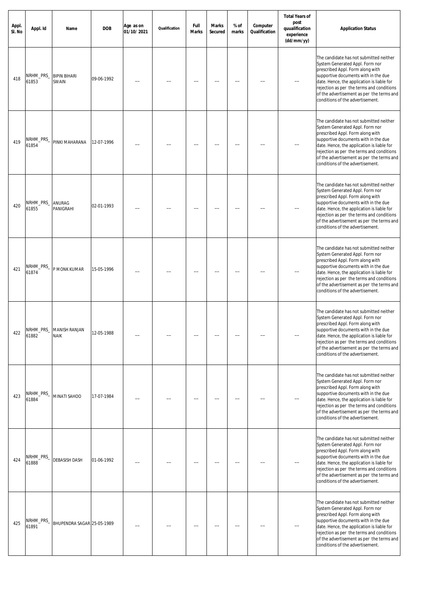| Appl.<br>SI. No | Appl. Id           | Name                                   | <b>DOB</b> | Age as on<br>01/10/2021 | Qualification | Full<br><b>Marks</b> | <b>Marks</b><br><b>Secured</b> | % of<br>marks | Computer<br>Qualification | <b>Total Years of</b><br>post<br>quualification<br>experience<br>(dd/mm/yy) | <b>Application Status</b>                                                                                                                                                                                                                                                                                                          |
|-----------------|--------------------|----------------------------------------|------------|-------------------------|---------------|----------------------|--------------------------------|---------------|---------------------------|-----------------------------------------------------------------------------|------------------------------------------------------------------------------------------------------------------------------------------------------------------------------------------------------------------------------------------------------------------------------------------------------------------------------------|
| 418             | NRHM_PRS_<br>61853 | <b>BIPIN BIHARI</b><br>SWAIN           | 09-06-1992 |                         |               |                      |                                |               |                           |                                                                             | The candidate has not submitted neither<br>System Generated Appl. Form nor<br>prescribed Appl. Form along with<br>supportive documents with in the due<br>date. Hence, the application is liable for<br>rejection as per the terms and conditions<br>of the advertisement as per the terms and<br>conditions of the advertisement. |
| 419             | NRHM_PRS_<br>61854 | PINKI MAHARANA                         | 12-07-1996 |                         |               |                      |                                |               |                           |                                                                             | The candidate has not submitted neither<br>System Generated Appl. Form nor<br>prescribed Appl. Form along with<br>supportive documents with in the due<br>date. Hence, the application is liable for<br>rejection as per the terms and conditions<br>of the advertisement as per the terms and<br>conditions of the advertisement. |
| 420             | NRHM_PRS_<br>61855 | ANURAG<br>PANIGRAHI                    | 02-01-1993 |                         |               |                      |                                |               |                           |                                                                             | The candidate has not submitted neither<br>System Generated Appl. Form nor<br>prescribed Appl. Form along with<br>supportive documents with in the due<br>date. Hence, the application is liable for<br>rejection as per the terms and conditions<br>of the advertisement as per the terms and<br>conditions of the advertisement. |
| 421             | NRHM_PRS_<br>61874 | P MONK KUMAR                           | 15-05-1996 |                         |               |                      |                                |               |                           |                                                                             | The candidate has not submitted neither<br>System Generated Appl. Form nor<br>prescribed Appl. Form along with<br>supportive documents with in the due<br>date. Hence, the application is liable for<br>rejection as per the terms and conditions<br>of the advertisement as per the terms and<br>conditions of the advertisement. |
| 422             | 61882              | NRHM_PRS_ MANISH RANJAN<br><b>NAIK</b> | 12-05-1988 |                         |               |                      |                                |               |                           |                                                                             | The candidate has not submitted neither<br>System Generated Appl. Form nor<br>prescribed Appl. Form along with<br>supportive documents with in the due<br>date. Hence, the application is liable for<br>rejection as per the terms and conditions<br>of the advertisement as per the terms and<br>conditions of the advertisement. |
| 423             | NRHM_PRS_<br>61884 | MINATI SAHOO                           | 17-07-1984 |                         |               |                      |                                |               |                           |                                                                             | The candidate has not submitted neither<br>System Generated Appl. Form nor<br>prescribed Appl. Form along with<br>supportive documents with in the due<br>date. Hence, the application is liable for<br>rejection as per the terms and conditions<br>of the advertisement as per the terms and<br>conditions of the advertisement. |
| 424             | NRHM_PRS_<br>61888 | DEBASISH DASH                          | 01-06-1992 |                         |               |                      |                                |               |                           |                                                                             | The candidate has not submitted neither<br>System Generated Appl. Form nor<br>prescribed Appl. Form along with<br>supportive documents with in the due<br>date. Hence, the application is liable for<br>rejection as per the terms and conditions<br>of the advertisement as per the terms and<br>conditions of the advertisement. |
| 425             | NRHM_PRS_<br>61891 | BHUPENDRA SAGAR 25-05-1989             |            |                         |               |                      |                                |               |                           |                                                                             | The candidate has not submitted neither<br>System Generated Appl. Form nor<br>prescribed Appl. Form along with<br>supportive documents with in the due<br>date. Hence, the application is liable for<br>rejection as per the terms and conditions<br>of the advertisement as per the terms and<br>conditions of the advertisement. |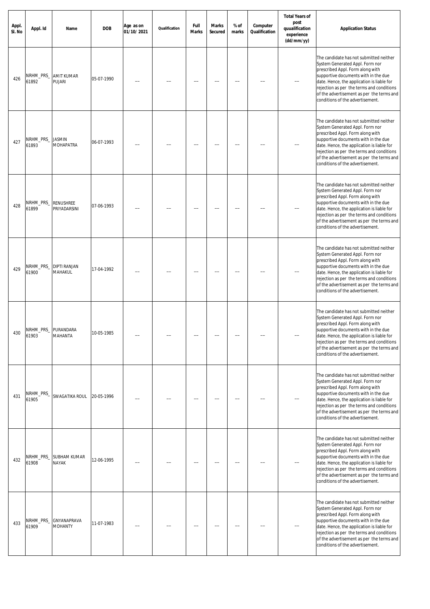| Appl.<br>SI. No | Appl. Id                     | Name                           | <b>DOB</b> | Age as on<br>01/10/2021 | Qualification | Full<br><b>Marks</b> | <b>Marks</b><br><b>Secured</b> | % of<br>marks | Computer<br>Qualification | <b>Total Years of</b><br>post<br>quualification<br>experience<br>(dd/mm/yy) | <b>Application Status</b>                                                                                                                                                                                                                                                                                                          |
|-----------------|------------------------------|--------------------------------|------------|-------------------------|---------------|----------------------|--------------------------------|---------------|---------------------------|-----------------------------------------------------------------------------|------------------------------------------------------------------------------------------------------------------------------------------------------------------------------------------------------------------------------------------------------------------------------------------------------------------------------------|
| 426             | NRHM_PRS_<br>61892           | <b>AMIT KUMAR</b><br>Pujari    | 05-07-1990 |                         |               |                      |                                |               |                           |                                                                             | The candidate has not submitted neither<br>System Generated Appl. Form nor<br>prescribed Appl. Form along with<br>supportive documents with in the due<br>date. Hence, the application is liable for<br>rejection as per the terms and conditions<br>of the advertisement as per the terms and<br>conditions of the advertisement. |
| 427             | NRHM_PRS_<br>61893           | JASMIN<br>MOHAPATRA            | 06-07-1993 |                         |               |                      |                                |               |                           |                                                                             | The candidate has not submitted neither<br>System Generated Appl. Form nor<br>prescribed Appl. Form along with<br>supportive documents with in the due<br>date. Hence, the application is liable for<br>rejection as per the terms and conditions<br>of the advertisement as per the terms and<br>conditions of the advertisement. |
| 428             | NRHM_PRS_<br>61899           | RENUSHREE<br>PRIYADARSINI      | 07-06-1993 |                         |               |                      |                                |               |                           |                                                                             | The candidate has not submitted neither<br>System Generated Appl. Form nor<br>prescribed Appl. Form along with<br>supportive documents with in the due<br>date. Hence, the application is liable for<br>rejection as per the terms and conditions<br>of the advertisement as per the terms and<br>conditions of the advertisement. |
| 429             | NRHM_PRS_<br>61900           | <b>DIPTI RANJAN</b><br>MAHAKUL | 17-04-1992 |                         |               |                      |                                |               |                           |                                                                             | The candidate has not submitted neither<br>System Generated Appl. Form nor<br>prescribed Appl. Form along with<br>supportive documents with in the due<br>date. Hence, the application is liable for<br>rejection as per the terms and conditions<br>of the advertisement as per the terms and<br>conditions of the advertisement. |
| 430             | NRHM_PRS_ PURANDARA<br>61903 | <b>MAHANTA</b>                 | 10-05-1985 |                         |               |                      |                                |               |                           |                                                                             | The candidate has not submitted neither<br>System Generated Appl. Form nor<br>prescribed Appl. Form along with<br>supportive documents with in the due<br>date. Hence, the application is liable for<br>rejection as per the terms and conditions<br>of the advertisement as per the terms and<br>conditions of the advertisement. |
| 431             | NRHM_PRS_<br>61905           | SWAGATIKA ROUL                 | 20-05-1996 |                         |               |                      |                                |               |                           |                                                                             | The candidate has not submitted neither<br>System Generated Appl. Form nor<br>prescribed Appl. Form along with<br>supportive documents with in the due<br>date. Hence, the application is liable for<br>rejection as per the terms and conditions<br>of the advertisement as per the terms and<br>conditions of the advertisement. |
| 432             | NRHM_PRS_<br>61908           | SUBHAM KUMAR<br>NAYAK          | 12-06-1995 |                         |               |                      |                                |               |                           |                                                                             | The candidate has not submitted neither<br>System Generated Appl. Form nor<br>prescribed Appl. Form along with<br>supportive documents with in the due<br>date. Hence, the application is liable for<br>rejection as per the terms and conditions<br>of the advertisement as per the terms and<br>conditions of the advertisement. |
| 433             | NRHM_PRS_<br>61909           | GNYANAPRAVA<br><b>MOHANTY</b>  | 11-07-1983 |                         |               |                      |                                |               |                           |                                                                             | The candidate has not submitted neither<br>System Generated Appl. Form nor<br>prescribed Appl. Form along with<br>supportive documents with in the due<br>date. Hence, the application is liable for<br>rejection as per the terms and conditions<br>of the advertisement as per the terms and<br>conditions of the advertisement. |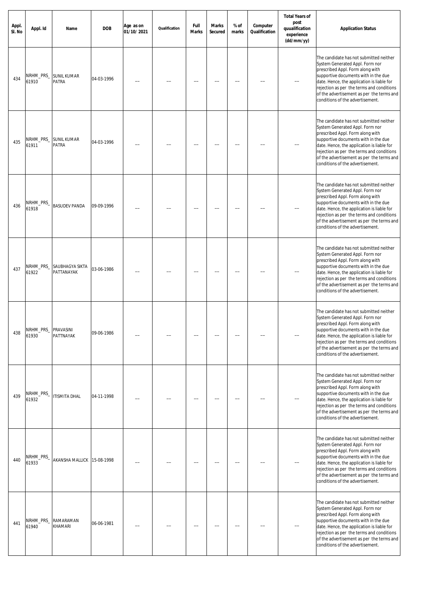| Appl.<br>SI. No | Appl. Id                     | Name                          | <b>DOB</b> | Age as on<br>01/10/2021 | Qualification | Full<br><b>Marks</b> | <b>Marks</b><br><b>Secured</b> | % of<br>marks | Computer<br>Qualification | <b>Total Years of</b><br>post<br>quualification<br>experience<br>(dd/mm/yy) | <b>Application Status</b>                                                                                                                                                                                                                                                                                                          |
|-----------------|------------------------------|-------------------------------|------------|-------------------------|---------------|----------------------|--------------------------------|---------------|---------------------------|-----------------------------------------------------------------------------|------------------------------------------------------------------------------------------------------------------------------------------------------------------------------------------------------------------------------------------------------------------------------------------------------------------------------------|
| 434             | NRHM_PRS_<br>61910           | <b>SUNIL KUMAR</b><br>PATRA   | 04-03-1996 |                         |               |                      |                                |               |                           |                                                                             | The candidate has not submitted neither<br>System Generated Appl. Form nor<br>prescribed Appl. Form along with<br>supportive documents with in the due<br>date. Hence, the application is liable for<br>rejection as per the terms and conditions<br>of the advertisement as per the terms and<br>conditions of the advertisement. |
| 435             | NRHM_PRS_<br>61911           | <b>SUNIL KUMAR</b><br>PATRA   | 04-03-1996 |                         |               |                      |                                |               |                           |                                                                             | The candidate has not submitted neither<br>System Generated Appl. Form nor<br>prescribed Appl. Form along with<br>supportive documents with in the due<br>date. Hence, the application is liable for<br>rejection as per the terms and conditions<br>of the advertisement as per the terms and<br>conditions of the advertisement. |
| 436             | NRHM_PRS_<br>61918           | <b>BASUDEV PANDA</b>          | 09-09-1996 |                         |               |                      |                                |               |                           |                                                                             | The candidate has not submitted neither<br>System Generated Appl. Form nor<br>prescribed Appl. Form along with<br>supportive documents with in the due<br>date. Hence, the application is liable for<br>rejection as per the terms and conditions<br>of the advertisement as per the terms and<br>conditions of the advertisement. |
| 437             | NRHM_PRS_<br>61922           | SAUBHAGYA SIKTA<br>PATTANAYAK | 03-06-1986 |                         |               |                      |                                |               |                           |                                                                             | The candidate has not submitted neither<br>System Generated Appl. Form nor<br>prescribed Appl. Form along with<br>supportive documents with in the due<br>date. Hence, the application is liable for<br>rejection as per the terms and conditions<br>of the advertisement as per the terms and<br>conditions of the advertisement. |
| 438             | NRHM_PRS_ PRAVASINI<br>61930 | PATTNAYAK                     | 09-06-1986 |                         |               |                      |                                |               |                           |                                                                             | The candidate has not submitted neither<br>System Generated Appl. Form nor<br>prescribed Appl. Form along with<br>supportive documents with in the due<br>date. Hence, the application is liable for<br>rejection as per the terms and conditions<br>of the advertisement as per the terms and<br>conditions of the advertisement. |
| 439             | NRHM_PRS_<br>61932           | ITISMITA DHAL                 | 04-11-1998 |                         |               |                      |                                |               |                           |                                                                             | The candidate has not submitted neither<br>System Generated Appl. Form nor<br>prescribed Appl. Form along with<br>supportive documents with in the due<br>date. Hence, the application is liable for<br>rejection as per the terms and conditions<br>of the advertisement as per the terms and<br>conditions of the advertisement. |
| 440             | NRHM_PRS_<br>61933           | AKANSHA MALLICK 15-08-1998    |            |                         |               |                      |                                |               |                           |                                                                             | The candidate has not submitted neither<br>System Generated Appl. Form nor<br>prescribed Appl. Form along with<br>supportive documents with in the due<br>date. Hence, the application is liable for<br>rejection as per the terms and conditions<br>of the advertisement as per the terms and<br>conditions of the advertisement. |
| 441             | NRHM_PRS_<br>61940           | RAMARAMAN<br>KHAMARI          | 06-06-1981 |                         |               |                      |                                |               |                           |                                                                             | The candidate has not submitted neither<br>System Generated Appl. Form nor<br>prescribed Appl. Form along with<br>supportive documents with in the due<br>date. Hence, the application is liable for<br>rejection as per the terms and conditions<br>of the advertisement as per the terms and<br>conditions of the advertisement. |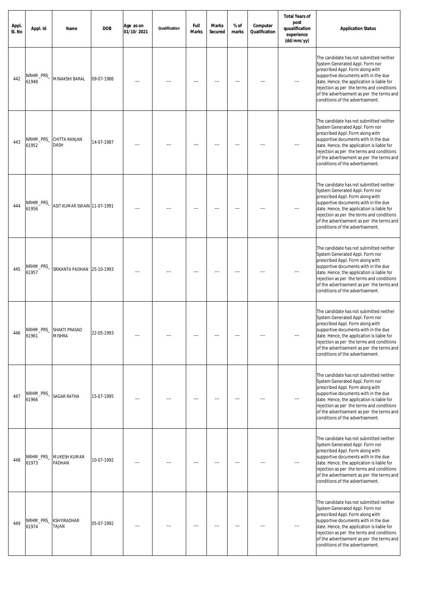| Appl.<br>SI. No | Appl. Id           | Name                                     | <b>DOB</b> | Age as on<br>01/10/2021 | Qualification | Full<br><b>Marks</b> | <b>Marks</b><br><b>Secured</b> | % of<br>marks | Computer<br>Qualification | <b>Total Years of</b><br>post<br>quualification<br>experience<br>(dd/mm/yy) | <b>Application Status</b>                                                                                                                                                                                                                                                                                                          |
|-----------------|--------------------|------------------------------------------|------------|-------------------------|---------------|----------------------|--------------------------------|---------------|---------------------------|-----------------------------------------------------------------------------|------------------------------------------------------------------------------------------------------------------------------------------------------------------------------------------------------------------------------------------------------------------------------------------------------------------------------------|
| 442             | NRHM_PRS_<br>61948 | MINAKSHI BARAL                           | 09-07-1986 |                         |               |                      |                                |               |                           |                                                                             | The candidate has not submitted neither<br>System Generated Appl. Form nor<br>prescribed Appl. Form along with<br>supportive documents with in the due<br>date. Hence, the application is liable for<br>rejection as per the terms and conditions<br>of the advertisement as per the terms and<br>conditions of the advertisement. |
| 443             | NRHM_PRS_<br>61952 | CHITTA RANJAN<br>Dash                    | 14-07-1987 |                         |               |                      |                                |               |                           |                                                                             | The candidate has not submitted neither<br>System Generated Appl. Form nor<br>prescribed Appl. Form along with<br>supportive documents with in the due<br>date. Hence, the application is liable for<br>rejection as per the terms and conditions<br>of the advertisement as per the terms and<br>conditions of the advertisement. |
| 444             | NRHM_PRS_<br>61956 | ASIT KUMAR SWAIN 11-07-1991              |            |                         |               |                      |                                |               |                           |                                                                             | The candidate has not submitted neither<br>System Generated Appl. Form nor<br>prescribed Appl. Form along with<br>supportive documents with in the due<br>date. Hence, the application is liable for<br>rejection as per the terms and conditions<br>of the advertisement as per the terms and<br>conditions of the advertisement. |
| 445             | NRHM_PRS_<br>61957 | SRIKANTA PADHAN 25-10-1993               |            |                         |               |                      |                                |               |                           |                                                                             | The candidate has not submitted neither<br>System Generated Appl. Form nor<br>prescribed Appl. Form along with<br>supportive documents with in the due<br>date. Hence, the application is liable for<br>rejection as per the terms and conditions<br>of the advertisement as per the terms and<br>conditions of the advertisement. |
| 446             | 61961              | NRHM_PRS_ SHAKTI PRASAD<br><b>MISHRA</b> | 22-05-1993 |                         |               |                      |                                |               |                           |                                                                             | The candidate has not submitted neither<br>System Generated Appl. Form nor<br>prescribed Appl. Form along with<br>supportive documents with in the due<br>date. Hence, the application is liable for<br>rejection as per the terms and conditions<br>of the advertisement as per the terms and<br>conditions of the advertisement. |
| 447             | NRHM_PRS_<br>61966 | SAGAR RATHA                              | 15-07-1995 |                         |               |                      |                                |               |                           |                                                                             | The candidate has not submitted neither<br>System Generated Appl. Form nor<br>prescribed Appl. Form along with<br>supportive documents with in the due<br>date. Hence, the application is liable for<br>rejection as per the terms and conditions<br>of the advertisement as per the terms and<br>conditions of the advertisement. |
| 448             | NRHM_PRS_<br>61973 | MUKESH KUMAR<br>PADHAN                   | 10-07-1992 |                         |               |                      |                                |               |                           |                                                                             | The candidate has not submitted neither<br>System Generated Appl. Form nor<br>prescribed Appl. Form along with<br>supportive documents with in the due<br>date. Hence, the application is liable for<br>rejection as per the terms and conditions<br>of the advertisement as per the terms and<br>conditions of the advertisement. |
| 449             | NRHM_PRS_<br>61974 | KSHYIRADHAR<br><b>TAJAN</b>              | 05-07-1992 |                         |               |                      |                                |               |                           |                                                                             | The candidate has not submitted neither<br>System Generated Appl. Form nor<br>prescribed Appl. Form along with<br>supportive documents with in the due<br>date. Hence, the application is liable for<br>rejection as per the terms and conditions<br>of the advertisement as per the terms and<br>conditions of the advertisement. |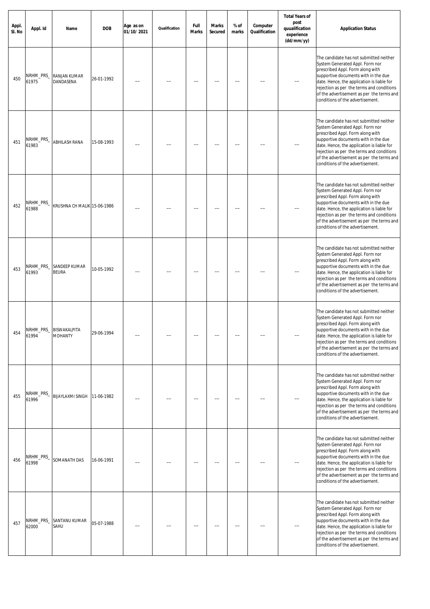| Appl.<br>SI. No | Appl. Id           | Name                                     | <b>DOB</b> | Age as on<br>01/10/2021 | Qualification | Full<br><b>Marks</b> | <b>Marks</b><br><b>Secured</b> | % of<br>marks | Computer<br>Qualification | <b>Total Years of</b><br>post<br>quualification<br>experience<br>(dd/mm/yy) | <b>Application Status</b>                                                                                                                                                                                                                                                                                                          |
|-----------------|--------------------|------------------------------------------|------------|-------------------------|---------------|----------------------|--------------------------------|---------------|---------------------------|-----------------------------------------------------------------------------|------------------------------------------------------------------------------------------------------------------------------------------------------------------------------------------------------------------------------------------------------------------------------------------------------------------------------------|
| 450             | NRHM_PRS_<br>61975 | RANJAN KUMAR<br>DANDASENA                | 26-01-1992 |                         |               |                      |                                |               |                           |                                                                             | The candidate has not submitted neither<br>System Generated Appl. Form nor<br>prescribed Appl. Form along with<br>supportive documents with in the due<br>date. Hence, the application is liable for<br>rejection as per the terms and conditions<br>of the advertisement as per the terms and<br>conditions of the advertisement. |
| 451             | NRHM_PRS_<br>61983 | ABHILASH RANA                            | 15-08-1993 |                         |               |                      |                                |               |                           |                                                                             | The candidate has not submitted neither<br>System Generated Appl. Form nor<br>prescribed Appl. Form along with<br>supportive documents with in the due<br>date. Hence, the application is liable for<br>rejection as per the terms and conditions<br>of the advertisement as per the terms and<br>conditions of the advertisement. |
| 452             | NRHM_PRS_<br>61988 | KRUSHNA CH MALIK 15-06-1986              |            |                         |               |                      |                                |               |                           |                                                                             | The candidate has not submitted neither<br>System Generated Appl. Form nor<br>prescribed Appl. Form along with<br>supportive documents with in the due<br>date. Hence, the application is liable for<br>rejection as per the terms and conditions<br>of the advertisement as per the terms and<br>conditions of the advertisement. |
| 453             | NRHM_PRS_<br>61993 | SANDEEP KUMAR<br>BEURA                   | 10-05-1992 |                         |               |                      |                                |               |                           |                                                                             | The candidate has not submitted neither<br>System Generated Appl. Form nor<br>prescribed Appl. Form along with<br>supportive documents with in the due<br>date. Hence, the application is liable for<br>rejection as per the terms and conditions<br>of the advertisement as per the terms and<br>conditions of the advertisement. |
| 454             | 61994              | NRHM_PRS_ BISWAKALPITA<br><b>MOHANTY</b> | 29-06-1994 |                         |               |                      |                                |               |                           |                                                                             | The candidate has not submitted neither<br>System Generated Appl. Form nor<br>prescribed Appl. Form along with<br>supportive documents with in the due<br>date. Hence, the application is liable for<br>rejection as per the terms and conditions<br>of the advertisement as per the terms and<br>conditions of the advertisement. |
| 455             | NRHM_PRS_<br>61996 | BIJAYLAXMI SINGH                         | 11-06-1982 |                         |               |                      |                                |               |                           |                                                                             | The candidate has not submitted neither<br>System Generated Appl. Form nor<br>prescribed Appl. Form along with<br>supportive documents with in the due<br>date. Hence, the application is liable for<br>rejection as per the terms and conditions<br>of the advertisement as per the terms and<br>conditions of the advertisement. |
| 456             | NRHM_PRS_<br>61998 | SOMANATH DAS                             | 16-06-1991 |                         |               |                      |                                |               |                           |                                                                             | The candidate has not submitted neither<br>System Generated Appl. Form nor<br>prescribed Appl. Form along with<br>supportive documents with in the due<br>date. Hence, the application is liable for<br>rejection as per the terms and conditions<br>of the advertisement as per the terms and<br>conditions of the advertisement. |
| 457             | NRHM_PRS_<br>62000 | SANTANU KUMAR<br>SAHU                    | 05-07-1988 |                         |               |                      |                                |               |                           |                                                                             | The candidate has not submitted neither<br>System Generated Appl. Form nor<br>prescribed Appl. Form along with<br>supportive documents with in the due<br>date. Hence, the application is liable for<br>rejection as per the terms and conditions<br>of the advertisement as per the terms and<br>conditions of the advertisement. |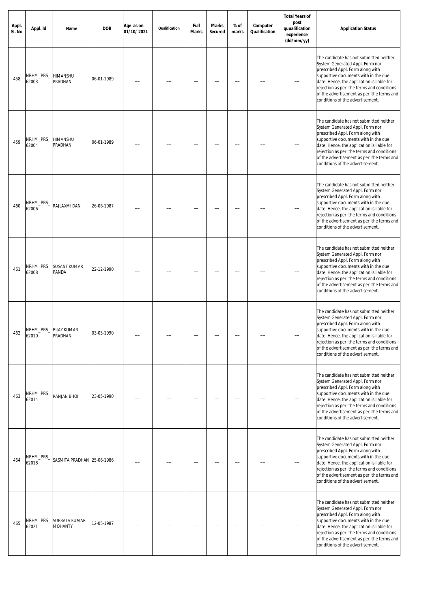| Appl.<br>SI. No | Appl. Id                       | Name                            | <b>DOB</b> | Age as on<br>01/10/2021 | Qualification | Full<br><b>Marks</b> | <b>Marks</b><br><b>Secured</b> | % of<br>marks | Computer<br>Qualification | <b>Total Years of</b><br>post<br>quualification<br>experience<br>(dd/mm/yy) | <b>Application Status</b>                                                                                                                                                                                                                                                                                                          |
|-----------------|--------------------------------|---------------------------------|------------|-------------------------|---------------|----------------------|--------------------------------|---------------|---------------------------|-----------------------------------------------------------------------------|------------------------------------------------------------------------------------------------------------------------------------------------------------------------------------------------------------------------------------------------------------------------------------------------------------------------------------|
| 458             | NRHM_PRS_<br>62003             | HIMANSHU<br>PRADHAN             | 06-01-1989 |                         |               |                      |                                |               |                           |                                                                             | The candidate has not submitted neither<br>System Generated Appl. Form nor<br>prescribed Appl. Form along with<br>supportive documents with in the due<br>date. Hence, the application is liable for<br>rejection as per the terms and conditions<br>of the advertisement as per the terms and<br>conditions of the advertisement. |
| 459             | NRHM_PRS_<br>62004             | HIMANSHU<br>PRADHAN             | 06-01-1989 |                         |               |                      |                                |               |                           |                                                                             | The candidate has not submitted neither<br>System Generated Appl. Form nor<br>prescribed Appl. Form along with<br>supportive documents with in the due<br>date. Hence, the application is liable for<br>rejection as per the terms and conditions<br>of the advertisement as per the terms and<br>conditions of the advertisement. |
| 460             | NRHM_PRS_<br>62006             | RAJLAXMI DAN                    | 26-06-1987 |                         |               |                      |                                |               |                           |                                                                             | The candidate has not submitted neither<br>System Generated Appl. Form nor<br>prescribed Appl. Form along with<br>supportive documents with in the due<br>date. Hence, the application is liable for<br>rejection as per the terms and conditions<br>of the advertisement as per the terms and<br>conditions of the advertisement. |
| 461             | NRHM_PRS_<br>62008             | SUSANT KUMAR<br>PANDA           | 22-12-1990 |                         |               |                      |                                |               |                           |                                                                             | The candidate has not submitted neither<br>System Generated Appl. Form nor<br>prescribed Appl. Form along with<br>supportive documents with in the due<br>date. Hence, the application is liable for<br>rejection as per the terms and conditions<br>of the advertisement as per the terms and<br>conditions of the advertisement. |
| 462             | NRHM_PRS_ BIJAY KUMAR<br>62010 | <b>PRADHAN</b>                  | 03-05-1990 |                         |               |                      |                                |               |                           |                                                                             | The candidate has not submitted neither<br>System Generated Appl. Form nor<br>prescribed Appl. Form along with<br>supportive documents with in the due<br>date. Hence, the application is liable for<br>rejection as per the terms and conditions<br>of the advertisement as per the terms and<br>conditions of the advertisement. |
| 463             | NRHM_PRS_<br>62014             | RANJAN BHOI                     | 23-05-1990 |                         |               |                      |                                |               |                           |                                                                             | The candidate has not submitted neither<br>System Generated Appl. Form nor<br>prescribed Appl. Form along with<br>supportive documents with in the due<br>date. Hence, the application is liable for<br>rejection as per the terms and conditions<br>of the advertisement as per the terms and<br>conditions of the advertisement. |
| 464             | NRHM_PRS_<br>62018             | SASMITA PRADHAN 25-06-1986      |            |                         |               |                      |                                |               |                           |                                                                             | The candidate has not submitted neither<br>System Generated Appl. Form nor<br>prescribed Appl. Form along with<br>supportive documents with in the due<br>date. Hence, the application is liable for<br>rejection as per the terms and conditions<br>of the advertisement as per the terms and<br>conditions of the advertisement. |
| 465             | NRHM_PRS_<br>62021             | SUBRATA KUMAR<br><b>MOHANTY</b> | 12-05-1987 |                         |               |                      |                                |               |                           |                                                                             | The candidate has not submitted neither<br>System Generated Appl. Form nor<br>prescribed Appl. Form along with<br>supportive documents with in the due<br>date. Hence, the application is liable for<br>rejection as per the terms and conditions<br>of the advertisement as per the terms and<br>conditions of the advertisement. |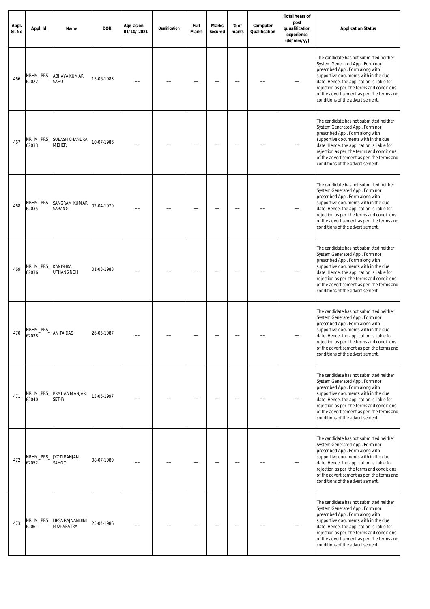| Appl.<br>SI. No | Appl. Id           | Name                          | <b>DOB</b> | Age as on<br>01/10/2021 | Qualification | Full<br><b>Marks</b> | <b>Marks</b><br><b>Secured</b> | % of<br>marks | Computer<br>Qualification | <b>Total Years of</b><br>post<br>quualification<br>experience<br>(dd/mm/yy) | <b>Application Status</b>                                                                                                                                                                                                                                                                                                          |
|-----------------|--------------------|-------------------------------|------------|-------------------------|---------------|----------------------|--------------------------------|---------------|---------------------------|-----------------------------------------------------------------------------|------------------------------------------------------------------------------------------------------------------------------------------------------------------------------------------------------------------------------------------------------------------------------------------------------------------------------------|
| 466             | NRHM_PRS_<br>62022 | ABHAYA KUMAR<br>SAHU          | 15-06-1983 |                         |               |                      |                                |               |                           |                                                                             | The candidate has not submitted neither<br>System Generated Appl. Form nor<br>prescribed Appl. Form along with<br>supportive documents with in the due<br>date. Hence, the application is liable for<br>rejection as per the terms and conditions<br>of the advertisement as per the terms and<br>conditions of the advertisement. |
| 467             | NRHM_PRS_<br>62033 | SUBASH CHANDRA<br>MEHER       | 10-07-1986 |                         |               |                      |                                |               |                           |                                                                             | The candidate has not submitted neither<br>System Generated Appl. Form nor<br>prescribed Appl. Form along with<br>supportive documents with in the due<br>date. Hence, the application is liable for<br>rejection as per the terms and conditions<br>of the advertisement as per the terms and<br>conditions of the advertisement. |
| 468             | NRHM_PRS_<br>62035 | SANGRAM KUMAR<br>SARANGI      | 02-04-1979 |                         |               |                      |                                |               |                           |                                                                             | The candidate has not submitted neither<br>System Generated Appl. Form nor<br>prescribed Appl. Form along with<br>supportive documents with in the due<br>date. Hence, the application is liable for<br>rejection as per the terms and conditions<br>of the advertisement as per the terms and<br>conditions of the advertisement. |
| 469             | NRHM_PRS_<br>62036 | KANISHKA<br>UTHANSINGH        | 01-03-1988 |                         |               |                      |                                |               |                           |                                                                             | The candidate has not submitted neither<br>System Generated Appl. Form nor<br>prescribed Appl. Form along with<br>supportive documents with in the due<br>date. Hence, the application is liable for<br>rejection as per the terms and conditions<br>of the advertisement as per the terms and<br>conditions of the advertisement. |
| 470             | NRHM_PRS_<br>62038 | <b>ANITA DAS</b>              | 26-05-1987 |                         |               |                      |                                |               |                           |                                                                             | The candidate has not submitted neither<br>System Generated Appl. Form nor<br>prescribed Appl. Form along with<br>supportive documents with in the due<br>date. Hence, the application is liable for<br>rejection as per the terms and conditions<br>of the advertisement as per the terms and<br>conditions of the advertisement. |
| 471             | NRHM_PRS_<br>62040 | PRATIVA MANJARI<br>SETHY      | 13-05-1997 |                         |               |                      |                                |               |                           |                                                                             | The candidate has not submitted neither<br>System Generated Appl. Form nor<br>prescribed Appl. Form along with<br>supportive documents with in the due<br>date. Hence, the application is liable for<br>rejection as per the terms and conditions<br>of the advertisement as per the terms and<br>conditions of the advertisement. |
| 472             | NRHM_PRS_<br>62052 | JYOTI RANJAN<br>SAHOO         | 08-07-1989 |                         |               |                      |                                |               |                           |                                                                             | The candidate has not submitted neither<br>System Generated Appl. Form nor<br>prescribed Appl. Form along with<br>supportive documents with in the due<br>date. Hence, the application is liable for<br>rejection as per the terms and conditions<br>of the advertisement as per the terms and<br>conditions of the advertisement. |
| 473             | NRHM_PRS_<br>62061 | LIPSA RAJNANDINI<br>MOHAPATRA | 25-04-1986 |                         |               |                      |                                |               |                           |                                                                             | The candidate has not submitted neither<br>System Generated Appl. Form nor<br>prescribed Appl. Form along with<br>supportive documents with in the due<br>date. Hence, the application is liable for<br>rejection as per the terms and conditions<br>of the advertisement as per the terms and<br>conditions of the advertisement. |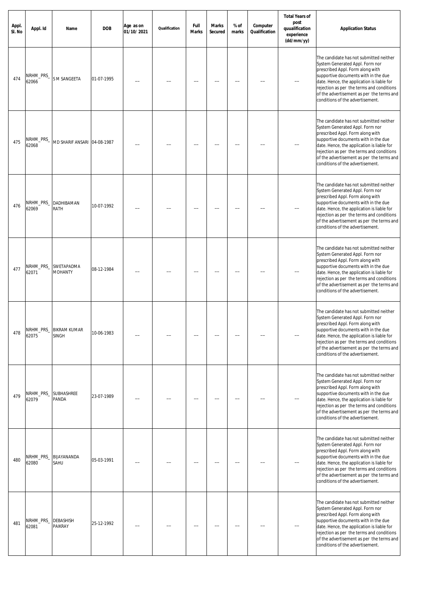| Appl.<br>SI. No | Appl. Id           | Name                                   | <b>DOB</b> | Age as on<br>01/10/2021 | Qualification | Full<br><b>Marks</b> | <b>Marks</b><br><b>Secured</b> | % of<br>marks | Computer<br>Qualification | <b>Total Years of</b><br>post<br>quualification<br>experience<br>(dd/mm/yy) | <b>Application Status</b>                                                                                                                                                                                                                                                                                                          |
|-----------------|--------------------|----------------------------------------|------------|-------------------------|---------------|----------------------|--------------------------------|---------------|---------------------------|-----------------------------------------------------------------------------|------------------------------------------------------------------------------------------------------------------------------------------------------------------------------------------------------------------------------------------------------------------------------------------------------------------------------------|
| 474             | NRHM_PRS_<br>62066 | S M SANGEETA                           | 01-07-1995 |                         |               |                      |                                |               |                           |                                                                             | The candidate has not submitted neither<br>System Generated Appl. Form nor<br>prescribed Appl. Form along with<br>supportive documents with in the due<br>date. Hence, the application is liable for<br>rejection as per the terms and conditions<br>of the advertisement as per the terms and<br>conditions of the advertisement. |
| 475             | NRHM_PRS_<br>62068 | MD SHARIF ANSARI 04-08-1987            |            |                         |               |                      |                                |               |                           |                                                                             | The candidate has not submitted neither<br>System Generated Appl. Form nor<br>prescribed Appl. Form along with<br>supportive documents with in the due<br>date. Hence, the application is liable for<br>rejection as per the terms and conditions<br>of the advertisement as per the terms and<br>conditions of the advertisement. |
| 476             | NRHM_PRS_<br>62069 | DADHIBAMAN<br>RATH                     | 10-07-1992 |                         |               |                      |                                |               |                           |                                                                             | The candidate has not submitted neither<br>System Generated Appl. Form nor<br>prescribed Appl. Form along with<br>supportive documents with in the due<br>date. Hence, the application is liable for<br>rejection as per the terms and conditions<br>of the advertisement as per the terms and<br>conditions of the advertisement. |
| 477             | NRHM_PRS_<br>62071 | SWETAPADMA<br><b>MOHANTY</b>           | 08-12-1984 |                         |               |                      |                                |               |                           |                                                                             | The candidate has not submitted neither<br>System Generated Appl. Form nor<br>prescribed Appl. Form along with<br>supportive documents with in the due<br>date. Hence, the application is liable for<br>rejection as per the terms and conditions<br>of the advertisement as per the terms and<br>conditions of the advertisement. |
| 478             | 62075              | NRHM_PRS_ BIKRAM KUMAR<br><b>SINGH</b> | 10-06-1983 |                         |               |                      |                                |               |                           |                                                                             | The candidate has not submitted neither<br>System Generated Appl. Form nor<br>prescribed Appl. Form along with<br>supportive documents with in the due<br>date. Hence, the application is liable for<br>rejection as per the terms and conditions<br>of the advertisement as per the terms and<br>conditions of the advertisement. |
| 479             | 62079              | NRHM_PRS_ SUBHASHREE<br>PANDA          | 23-07-1989 |                         |               |                      |                                |               |                           |                                                                             | The candidate has not submitted neither<br>System Generated Appl. Form nor<br>prescribed Appl. Form along with<br>supportive documents with in the due<br>date. Hence, the application is liable for<br>rejection as per the terms and conditions<br>of the advertisement as per the terms and<br>conditions of the advertisement. |
| 480             | NRHM_PRS_<br>62080 | BIJAYANANDA<br>SAHU                    | 05-03-1991 |                         |               |                      |                                |               |                           |                                                                             | The candidate has not submitted neither<br>System Generated Appl. Form nor<br>prescribed Appl. Form along with<br>supportive documents with in the due<br>date. Hence, the application is liable for<br>rejection as per the terms and conditions<br>of the advertisement as per the terms and<br>conditions of the advertisement. |
| 481             | NRHM_PRS_<br>62081 | DEBASHISH<br>PAIKRAY                   | 25-12-1992 |                         |               |                      |                                |               |                           |                                                                             | The candidate has not submitted neither<br>System Generated Appl. Form nor<br>prescribed Appl. Form along with<br>supportive documents with in the due<br>date. Hence, the application is liable for<br>rejection as per the terms and conditions<br>of the advertisement as per the terms and<br>conditions of the advertisement. |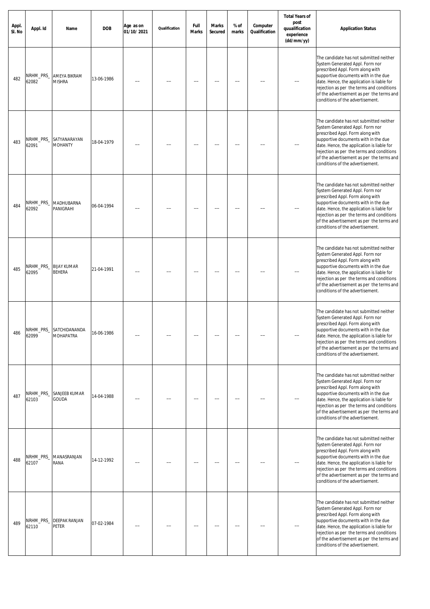| Appl.<br>SI. No | Appl. Id           | Name                                        | <b>DOB</b> | Age as on<br>01/10/2021 | Qualification | Full<br><b>Marks</b> | <b>Marks</b><br><b>Secured</b> | % of<br>marks | Computer<br>Qualification | <b>Total Years of</b><br>post<br>quualification<br>experience<br>(dd/mm/yy) | <b>Application Status</b>                                                                                                                                                                                                                                                                                                          |
|-----------------|--------------------|---------------------------------------------|------------|-------------------------|---------------|----------------------|--------------------------------|---------------|---------------------------|-----------------------------------------------------------------------------|------------------------------------------------------------------------------------------------------------------------------------------------------------------------------------------------------------------------------------------------------------------------------------------------------------------------------------|
| 482             | NRHM_PRS_<br>62082 | AMEYA BIKRAM<br>MISHRA                      | 13-06-1986 |                         |               |                      |                                |               |                           |                                                                             | The candidate has not submitted neither<br>System Generated Appl. Form nor<br>prescribed Appl. Form along with<br>supportive documents with in the due<br>date. Hence, the application is liable for<br>rejection as per the terms and conditions<br>of the advertisement as per the terms and<br>conditions of the advertisement. |
| 483             | NRHM_PRS_<br>62091 | SATYANARAYAN<br>MOHANTY                     | 18-04-1979 |                         |               |                      |                                |               |                           |                                                                             | The candidate has not submitted neither<br>System Generated Appl. Form nor<br>prescribed Appl. Form along with<br>supportive documents with in the due<br>date. Hence, the application is liable for<br>rejection as per the terms and conditions<br>of the advertisement as per the terms and<br>conditions of the advertisement. |
| 484             | NRHM_PRS_<br>62092 | MADHUBARNA<br>PANIGRAHI                     | 06-04-1994 |                         |               |                      |                                |               |                           |                                                                             | The candidate has not submitted neither<br>System Generated Appl. Form nor<br>prescribed Appl. Form along with<br>supportive documents with in the due<br>date. Hence, the application is liable for<br>rejection as per the terms and conditions<br>of the advertisement as per the terms and<br>conditions of the advertisement. |
| 485             | NRHM_PRS_<br>62095 | <b>BIJAY KUMAR</b><br>BEHERA                | 21-04-1991 |                         |               |                      |                                |               |                           |                                                                             | The candidate has not submitted neither<br>System Generated Appl. Form nor<br>prescribed Appl. Form along with<br>supportive documents with in the due<br>date. Hence, the application is liable for<br>rejection as per the terms and conditions<br>of the advertisement as per the terms and<br>conditions of the advertisement. |
| 486             | 62099              | NRHM_PRS_ SATCHIDANANDA<br><b>MOHAPATRA</b> | 16-06-1986 |                         |               |                      |                                |               |                           |                                                                             | The candidate has not submitted neither<br>System Generated Appl. Form nor<br>prescribed Appl. Form along with<br>supportive documents with in the due<br>date. Hence, the application is liable for<br>rejection as per the terms and conditions<br>of the advertisement as per the terms and<br>conditions of the advertisement. |
| 487             | NRHM_PRS_<br>62103 | SANJEEB KUMAR<br>GOUDA                      | 14-04-1988 |                         |               |                      |                                |               |                           |                                                                             | The candidate has not submitted neither<br>System Generated Appl. Form nor<br>prescribed Appl. Form along with<br>supportive documents with in the due<br>date. Hence, the application is liable for<br>rejection as per the terms and conditions<br>of the advertisement as per the terms and<br>conditions of the advertisement. |
| 488             | NRHM_PRS_<br>62107 | MANASRANJAN<br>RANA                         | 14-12-1992 |                         |               |                      |                                |               |                           |                                                                             | The candidate has not submitted neither<br>System Generated Appl. Form nor<br>prescribed Appl. Form along with<br>supportive documents with in the due<br>date. Hence, the application is liable for<br>rejection as per the terms and conditions<br>of the advertisement as per the terms and<br>conditions of the advertisement. |
| 489             | NRHM_PRS_<br>62110 | DEEPAK RANJAN<br>PETER                      | 07-02-1984 |                         |               |                      |                                |               |                           |                                                                             | The candidate has not submitted neither<br>System Generated Appl. Form nor<br>prescribed Appl. Form along with<br>supportive documents with in the due<br>date. Hence, the application is liable for<br>rejection as per the terms and conditions<br>of the advertisement as per the terms and<br>conditions of the advertisement. |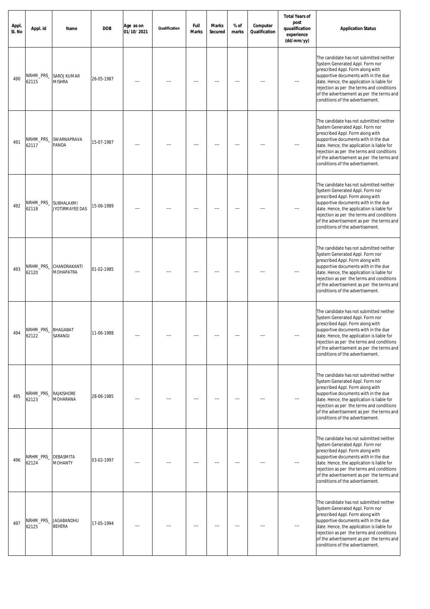| Appl.<br>SI. No | Appl. Id                      | Name                          | <b>DOB</b> | Age as on<br>01/10/2021 | Qualification | Full<br><b>Marks</b> | <b>Marks</b><br><b>Secured</b> | % of<br>marks | Computer<br>Qualification | <b>Total Years of</b><br>post<br>quualification<br>experience<br>(dd/mm/yy) | <b>Application Status</b>                                                                                                                                                                                                                                                                                                          |
|-----------------|-------------------------------|-------------------------------|------------|-------------------------|---------------|----------------------|--------------------------------|---------------|---------------------------|-----------------------------------------------------------------------------|------------------------------------------------------------------------------------------------------------------------------------------------------------------------------------------------------------------------------------------------------------------------------------------------------------------------------------|
| 490             | NRHM_PRS_<br>62115            | SAROJ KUMAR<br>MISHRA         | 26-05-1987 |                         |               |                      |                                |               |                           |                                                                             | The candidate has not submitted neither<br>System Generated Appl. Form nor<br>prescribed Appl. Form along with<br>supportive documents with in the due<br>date. Hence, the application is liable for<br>rejection as per the terms and conditions<br>of the advertisement as per the terms and<br>conditions of the advertisement. |
| 491             | NRHM_PRS_<br>62117            | SWARNAPRAVA<br>PANDA          | 15-07-1987 |                         |               |                      |                                |               |                           |                                                                             | The candidate has not submitted neither<br>System Generated Appl. Form nor<br>prescribed Appl. Form along with<br>supportive documents with in the due<br>date. Hence, the application is liable for<br>rejection as per the terms and conditions<br>of the advertisement as per the terms and<br>conditions of the advertisement. |
| 492             | NRHM_PRS_<br>62118            | SUBHALAXMI<br>JYOTIRMAYEE DAS | 15-06-1989 |                         |               |                      |                                |               |                           |                                                                             | The candidate has not submitted neither<br>System Generated Appl. Form nor<br>prescribed Appl. Form along with<br>supportive documents with in the due<br>date. Hence, the application is liable for<br>rejection as per the terms and conditions<br>of the advertisement as per the terms and<br>conditions of the advertisement. |
| 493             | NRHM_PRS_<br>62120            | CHANDRAKANTI<br>MOHAPATRA     | 01-02-1985 |                         |               |                      |                                |               |                           |                                                                             | The candidate has not submitted neither<br>System Generated Appl. Form nor<br>prescribed Appl. Form along with<br>supportive documents with in the due<br>date. Hence, the application is liable for<br>rejection as per the terms and conditions<br>of the advertisement as per the terms and<br>conditions of the advertisement. |
| 494             | NRHM_PRS_ BHAGABAT<br>62122   | SARANGI                       | 11-06-1988 |                         |               |                      |                                |               |                           |                                                                             | The candidate has not submitted neither<br>System Generated Appl. Form nor<br>prescribed Appl. Form along with<br>supportive documents with in the due<br>date. Hence, the application is liable for<br>rejection as per the terms and conditions<br>of the advertisement as per the terms and<br>conditions of the advertisement. |
| 495             | NRHM_PRS_ RAJKISHORE<br>62123 | MOHARANA                      | 28-06-1985 |                         |               |                      |                                |               |                           |                                                                             | The candidate has not submitted neither<br>System Generated Appl. Form nor<br>prescribed Appl. Form along with<br>supportive documents with in the due<br>date. Hence, the application is liable for<br>rejection as per the terms and conditions<br>of the advertisement as per the terms and<br>conditions of the advertisement. |
| 496             | NRHM_PRS_<br>62124            | DEBASMITA<br><b>MOHANTY</b>   | 03-02-1997 |                         |               |                      |                                |               |                           |                                                                             | The candidate has not submitted neither<br>System Generated Appl. Form nor<br>prescribed Appl. Form along with<br>supportive documents with in the due<br>date. Hence, the application is liable for<br>rejection as per the terms and conditions<br>of the advertisement as per the terms and<br>conditions of the advertisement. |
| 497             | NRHM_PRS_<br>62125            | JAGABANDHU<br><b>BEHERA</b>   | 17-05-1994 |                         |               |                      |                                |               |                           |                                                                             | The candidate has not submitted neither<br>System Generated Appl. Form nor<br>prescribed Appl. Form along with<br>supportive documents with in the due<br>date. Hence, the application is liable for<br>rejection as per the terms and conditions<br>of the advertisement as per the terms and<br>conditions of the advertisement. |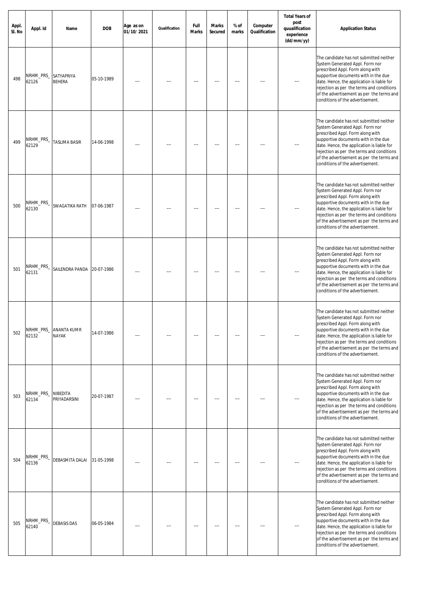| Appl.<br>SI. No | Appl. Id           | Name                                  | <b>DOB</b> | Age as on<br>01/10/2021 | Qualification | Full<br><b>Marks</b> | <b>Marks</b><br><b>Secured</b> | % of<br>marks | Computer<br>Qualification | <b>Total Years of</b><br>post<br>quualification<br>experience<br>(dd/mm/yy) | <b>Application Status</b>                                                                                                                                                                                                                                                                                                          |
|-----------------|--------------------|---------------------------------------|------------|-------------------------|---------------|----------------------|--------------------------------|---------------|---------------------------|-----------------------------------------------------------------------------|------------------------------------------------------------------------------------------------------------------------------------------------------------------------------------------------------------------------------------------------------------------------------------------------------------------------------------|
| 498             | NRHM_PRS_<br>62126 | SATYAPRIYA<br>BEHERA                  | 05-10-1989 |                         |               |                      |                                |               |                           |                                                                             | The candidate has not submitted neither<br>System Generated Appl. Form nor<br>prescribed Appl. Form along with<br>supportive documents with in the due<br>date. Hence, the application is liable for<br>rejection as per the terms and conditions<br>of the advertisement as per the terms and<br>conditions of the advertisement. |
| 499             | NRHM_PRS_<br>62129 | TASLIMA BASIR                         | 14-06-1998 |                         |               |                      |                                |               |                           |                                                                             | The candidate has not submitted neither<br>System Generated Appl. Form nor<br>prescribed Appl. Form along with<br>supportive documents with in the due<br>date. Hence, the application is liable for<br>rejection as per the terms and conditions<br>of the advertisement as per the terms and<br>conditions of the advertisement. |
| 500             | NRHM_PRS_<br>62130 | SWAGATIKA RATH                        | 07-06-1987 |                         |               |                      |                                |               |                           |                                                                             | The candidate has not submitted neither<br>System Generated Appl. Form nor<br>prescribed Appl. Form along with<br>supportive documents with in the due<br>date. Hence, the application is liable for<br>rejection as per the terms and conditions<br>of the advertisement as per the terms and<br>conditions of the advertisement. |
| 501             | NRHM_PRS_<br>62131 | SAILENDRA PANDA                       | 20-07-1986 |                         |               |                      |                                |               |                           |                                                                             | The candidate has not submitted neither<br>System Generated Appl. Form nor<br>prescribed Appl. Form along with<br>supportive documents with in the due<br>date. Hence, the application is liable for<br>rejection as per the terms and conditions<br>of the advertisement as per the terms and<br>conditions of the advertisement. |
| 502             | 62132              | NRHM_PRS_ ANANTA KUMR<br><b>NAYAK</b> | 14-07-1986 |                         |               |                      |                                |               |                           |                                                                             | The candidate has not submitted neither<br>System Generated Appl. Form nor<br>prescribed Appl. Form along with<br>supportive documents with in the due<br>date. Hence, the application is liable for<br>rejection as per the terms and conditions<br>of the advertisement as per the terms and<br>conditions of the advertisement. |
| 503             | NRHM_PRS_<br>62134 | <b>NIBEDITA</b><br>PRIYADARSINI       | 20-07-1987 |                         |               |                      |                                |               |                           |                                                                             | The candidate has not submitted neither<br>System Generated Appl. Form nor<br>prescribed Appl. Form along with<br>supportive documents with in the due<br>date. Hence, the application is liable for<br>rejection as per the terms and conditions<br>of the advertisement as per the terms and<br>conditions of the advertisement. |
| 504             | NRHM_PRS_<br>62136 | DEBASMITA DALAI                       | 31-05-1998 |                         |               |                      |                                |               |                           |                                                                             | The candidate has not submitted neither<br>System Generated Appl. Form nor<br>prescribed Appl. Form along with<br>supportive documents with in the due<br>date. Hence, the application is liable for<br>rejection as per the terms and conditions<br>of the advertisement as per the terms and<br>conditions of the advertisement. |
| 505             | NRHM_PRS_<br>62140 | <b>DEBASIS DAS</b>                    | 06-05-1984 |                         |               |                      |                                |               |                           |                                                                             | The candidate has not submitted neither<br>System Generated Appl. Form nor<br>prescribed Appl. Form along with<br>supportive documents with in the due<br>date. Hence, the application is liable for<br>rejection as per the terms and conditions<br>of the advertisement as per the terms and<br>conditions of the advertisement. |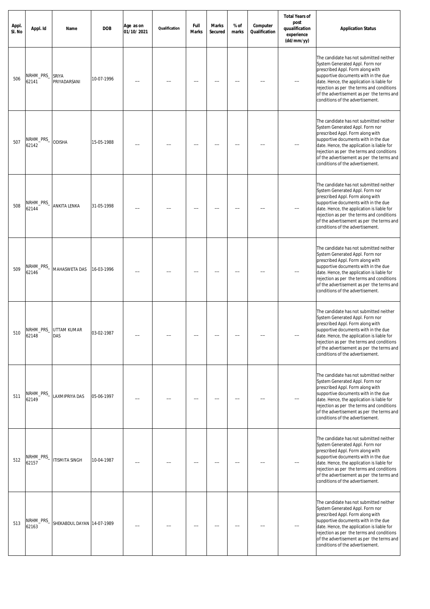| Appl.<br>SI. No | Appl. Id           | Name                                | <b>DOB</b> | Age as on<br>01/10/2021 | Qualification | Full<br><b>Marks</b> | <b>Marks</b><br><b>Secured</b> | % of<br>marks | Computer<br>Qualification | <b>Total Years of</b><br>post<br>quualification<br>experience<br>(dd/mm/yy) | <b>Application Status</b>                                                                                                                                                                                                                                                                                                          |
|-----------------|--------------------|-------------------------------------|------------|-------------------------|---------------|----------------------|--------------------------------|---------------|---------------------------|-----------------------------------------------------------------------------|------------------------------------------------------------------------------------------------------------------------------------------------------------------------------------------------------------------------------------------------------------------------------------------------------------------------------------|
| 506             | NRHM_PRS_<br>62141 | SRIYA<br>PRIYADARSANI               | 10-07-1996 |                         |               |                      |                                |               |                           |                                                                             | The candidate has not submitted neither<br>System Generated Appl. Form nor<br>prescribed Appl. Form along with<br>supportive documents with in the due<br>date. Hence, the application is liable for<br>rejection as per the terms and conditions<br>of the advertisement as per the terms and<br>conditions of the advertisement. |
| 507             | NRHM_PRS_<br>62142 | ODISHA                              | 15-05-1988 |                         |               |                      |                                |               |                           |                                                                             | The candidate has not submitted neither<br>System Generated Appl. Form nor<br>prescribed Appl. Form along with<br>supportive documents with in the due<br>date. Hence, the application is liable for<br>rejection as per the terms and conditions<br>of the advertisement as per the terms and<br>conditions of the advertisement. |
| 508             | NRHM_PRS_<br>62144 | ANKITA LENKA                        | 31-05-1998 |                         |               |                      |                                |               |                           |                                                                             | The candidate has not submitted neither<br>System Generated Appl. Form nor<br>prescribed Appl. Form along with<br>supportive documents with in the due<br>date. Hence, the application is liable for<br>rejection as per the terms and conditions<br>of the advertisement as per the terms and<br>conditions of the advertisement. |
| 509             | NRHM_PRS_<br>62146 | MAHASWETA DAS                       | 16-03-1996 |                         |               |                      |                                |               |                           |                                                                             | The candidate has not submitted neither<br>System Generated Appl. Form nor<br>prescribed Appl. Form along with<br>supportive documents with in the due<br>date. Hence, the application is liable for<br>rejection as per the terms and conditions<br>of the advertisement as per the terms and<br>conditions of the advertisement. |
| 510             | 62148              | NRHM_PRS_ UTTAM KUMAR<br><b>DAS</b> | 03-02-1987 |                         |               |                      |                                |               |                           |                                                                             | The candidate has not submitted neither<br>System Generated Appl. Form nor<br>prescribed Appl. Form along with<br>supportive documents with in the due<br>date. Hence, the application is liable for<br>rejection as per the terms and conditions<br>of the advertisement as per the terms and<br>conditions of the advertisement. |
| 511             | NRHM_PRS_<br>62149 | LAXMIPRIYA DAS                      | 05-06-1997 |                         |               |                      |                                |               |                           |                                                                             | The candidate has not submitted neither<br>System Generated Appl. Form nor<br>prescribed Appl. Form along with<br>supportive documents with in the due<br>date. Hence, the application is liable for<br>rejection as per the terms and conditions<br>of the advertisement as per the terms and<br>conditions of the advertisement. |
| 512             | NRHM_PRS_<br>62157 | ITISMITA SINGH                      | 10-04-1987 |                         |               |                      |                                |               |                           |                                                                             | The candidate has not submitted neither<br>System Generated Appl. Form nor<br>prescribed Appl. Form along with<br>supportive documents with in the due<br>date. Hence, the application is liable for<br>rejection as per the terms and conditions<br>of the advertisement as per the terms and<br>conditions of the advertisement. |
| 513             | NRHM_PRS_<br>62163 | SHEKABDUL DAYAN 14-07-1989          |            |                         |               |                      |                                |               |                           |                                                                             | The candidate has not submitted neither<br>System Generated Appl. Form nor<br>prescribed Appl. Form along with<br>supportive documents with in the due<br>date. Hence, the application is liable for<br>rejection as per the terms and conditions<br>of the advertisement as per the terms and<br>conditions of the advertisement. |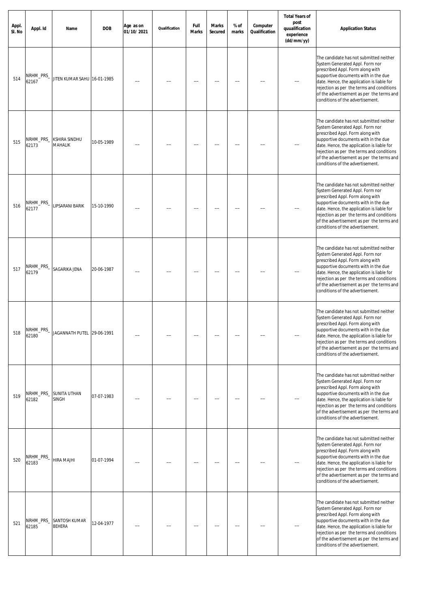| Appl.<br>SI. No | Appl. Id           | Name                         | <b>DOB</b> | Age as on<br>01/10/2021 | Qualification | Full<br><b>Marks</b> | <b>Marks</b><br><b>Secured</b> | % of<br>marks | Computer<br>Qualification | <b>Total Years of</b><br>post<br>quualification<br>experience<br>(dd/mm/yy) | <b>Application Status</b>                                                                                                                                                                                                                                                                                                          |
|-----------------|--------------------|------------------------------|------------|-------------------------|---------------|----------------------|--------------------------------|---------------|---------------------------|-----------------------------------------------------------------------------|------------------------------------------------------------------------------------------------------------------------------------------------------------------------------------------------------------------------------------------------------------------------------------------------------------------------------------|
| 514             | NRHM_PRS_<br>62167 | JITEN KUMAR SAHU 16-01-1985  |            |                         |               |                      |                                |               |                           |                                                                             | The candidate has not submitted neither<br>System Generated Appl. Form nor<br>prescribed Appl. Form along with<br>supportive documents with in the due<br>date. Hence, the application is liable for<br>rejection as per the terms and conditions<br>of the advertisement as per the terms and<br>conditions of the advertisement. |
| 515             | NRHM_PRS_<br>62173 | KSHIRA SINDHU<br>MAHALIK     | 10-05-1989 |                         |               |                      |                                |               |                           |                                                                             | The candidate has not submitted neither<br>System Generated Appl. Form nor<br>prescribed Appl. Form along with<br>supportive documents with in the due<br>date. Hence, the application is liable for<br>rejection as per the terms and conditions<br>of the advertisement as per the terms and<br>conditions of the advertisement. |
| 516             | NRHM_PRS_<br>62177 | LIPSARANI BARIK              | 15-10-1990 |                         |               |                      |                                |               |                           |                                                                             | The candidate has not submitted neither<br>System Generated Appl. Form nor<br>prescribed Appl. Form along with<br>supportive documents with in the due<br>date. Hence, the application is liable for<br>rejection as per the terms and conditions<br>of the advertisement as per the terms and<br>conditions of the advertisement. |
| 517             | NRHM_PRS_<br>62179 | SAGARIKA JENA                | 20-06-1987 |                         |               |                      |                                |               |                           |                                                                             | The candidate has not submitted neither<br>System Generated Appl. Form nor<br>prescribed Appl. Form along with<br>supportive documents with in the due<br>date. Hence, the application is liable for<br>rejection as per the terms and conditions<br>of the advertisement as per the terms and<br>conditions of the advertisement. |
| 518             | NRHM_PRS_<br>52180 | JAGANNATH PUTEL 29-06-1991   |            |                         |               |                      |                                |               |                           |                                                                             | The candidate has not submitted neither<br>System Generated Appl. Form nor<br>prescribed Appl. Form along with<br>supportive documents with in the due<br>date. Hence, the application is liable for<br>rejection as per the terms and conditions<br>of the advertisement as per the terms and<br>conditions of the advertisement. |
| 519             | NRHM_PRS_<br>62182 | <b>SUNITA UTHAN</b><br>SINGH | 07-07-1983 |                         |               |                      |                                |               |                           |                                                                             | The candidate has not submitted neither<br>System Generated Appl. Form nor<br>prescribed Appl. Form along with<br>supportive documents with in the due<br>date. Hence, the application is liable for<br>rejection as per the terms and conditions<br>of the advertisement as per the terms and<br>conditions of the advertisement. |
| 520             | NRHM_PRS_<br>62183 | HIRA MAJHI                   | 01-07-1994 |                         |               |                      |                                |               |                           |                                                                             | The candidate has not submitted neither<br>System Generated Appl. Form nor<br>prescribed Appl. Form along with<br>supportive documents with in the due<br>date. Hence, the application is liable for<br>rejection as per the terms and conditions<br>of the advertisement as per the terms and<br>conditions of the advertisement. |
| 521             | NRHM_PRS_<br>62185 | SANTOSH KUMAR<br>BEHERA      | 12-04-1977 |                         |               |                      |                                |               |                           |                                                                             | The candidate has not submitted neither<br>System Generated Appl. Form nor<br>prescribed Appl. Form along with<br>supportive documents with in the due<br>date. Hence, the application is liable for<br>rejection as per the terms and conditions<br>of the advertisement as per the terms and<br>conditions of the advertisement. |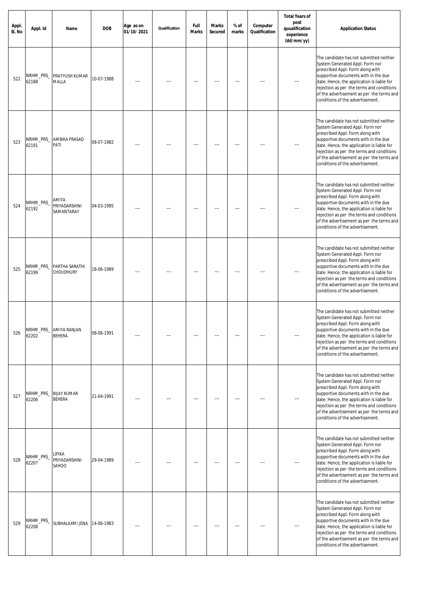| Appl.<br>SI. No | Appl. Id                       | Name                                    | <b>DOB</b> | Age as on<br>01/10/2021 | Qualification | Full<br><b>Marks</b> | <b>Marks</b><br><b>Secured</b> | % of<br>marks | Computer<br>Qualification | <b>Total Years of</b><br>post<br>quualification<br>experience<br>(dd/mm/yy) | <b>Application Status</b>                                                                                                                                                                                                                                                                                                          |
|-----------------|--------------------------------|-----------------------------------------|------------|-------------------------|---------------|----------------------|--------------------------------|---------------|---------------------------|-----------------------------------------------------------------------------|------------------------------------------------------------------------------------------------------------------------------------------------------------------------------------------------------------------------------------------------------------------------------------------------------------------------------------|
| 522             | NRHM_PRS_<br>62188             | PRATYUSH KUMAR<br>MALLA                 | 10-07-1988 |                         |               |                      |                                |               |                           |                                                                             | The candidate has not submitted neither<br>System Generated Appl. Form nor<br>prescribed Appl. Form along with<br>supportive documents with in the due<br>date. Hence, the application is liable for<br>rejection as per the terms and conditions<br>of the advertisement as per the terms and<br>conditions of the advertisement. |
| 523             | NRHM_PRS_<br>62191             | AMBIKA PRASAD<br>PATI                   | 08-07-1982 |                         |               |                      |                                |               |                           |                                                                             | The candidate has not submitted neither<br>System Generated Appl. Form nor<br>prescribed Appl. Form along with<br>supportive documents with in the due<br>date. Hence, the application is liable for<br>rejection as per the terms and conditions<br>of the advertisement as per the terms and<br>conditions of the advertisement. |
| 524             | NRHM_PRS_<br>62192             | AMITA<br>PRIYADARSHINI<br>SAMANTARAY    | 04-03-1995 |                         |               |                      |                                |               |                           |                                                                             | The candidate has not submitted neither<br>System Generated Appl. Form nor<br>prescribed Appl. Form along with<br>supportive documents with in the due<br>date. Hence, the application is liable for<br>rejection as per the terms and conditions<br>of the advertisement as per the terms and<br>conditions of the advertisement. |
| 525             | NRHM_PRS_<br>62199             | PARTHA SARATHI<br>CHOUDHURY             | 18-06-1989 |                         |               |                      |                                |               |                           |                                                                             | The candidate has not submitted neither<br>System Generated Appl. Form nor<br>prescribed Appl. Form along with<br>supportive documents with in the due<br>date. Hence, the application is liable for<br>rejection as per the terms and conditions<br>of the advertisement as per the terms and<br>conditions of the advertisement. |
| 526             | 62202                          | NRHM_PRS_ AMIYA RANJAN<br><b>BFHFRA</b> | 08-06-1991 |                         |               |                      |                                |               |                           |                                                                             | The candidate has not submitted neither<br>System Generated Appl. Form nor<br>prescribed Appl. Form along with<br>supportive documents with in the due<br>date. Hence, the application is liable for<br>rejection as per the terms and conditions<br>of the advertisement as per the terms and<br>conditions of the advertisement. |
| 527             | NRHM_PRS_ BIJAY KUMAR<br>62206 | <b>BEHERA</b>                           | 21-04-1991 |                         |               |                      |                                |               |                           |                                                                             | The candidate has not submitted neither<br>System Generated Appl. Form nor<br>prescribed Appl. Form along with<br>supportive documents with in the due<br>date. Hence, the application is liable for<br>rejection as per the terms and conditions<br>of the advertisement as per the terms and<br>conditions of the advertisement. |
| 528             | NRHM_PRS_<br>62207             | <b>LIPIKA</b><br>PRIYADARSHINI<br>SAHOO | 29-04-1989 |                         |               |                      |                                |               |                           |                                                                             | The candidate has not submitted neither<br>System Generated Appl. Form nor<br>prescribed Appl. Form along with<br>supportive documents with in the due<br>date. Hence, the application is liable for<br>rejection as per the terms and conditions<br>of the advertisement as per the terms and<br>conditions of the advertisement. |
| 529             | NRHM_PRS_<br>62208             | SUBHALAXMI JENA                         | 14-06-1983 |                         |               |                      |                                |               |                           |                                                                             | The candidate has not submitted neither<br>System Generated Appl. Form nor<br>prescribed Appl. Form along with<br>supportive documents with in the due<br>date. Hence, the application is liable for<br>rejection as per the terms and conditions<br>of the advertisement as per the terms and<br>conditions of the advertisement. |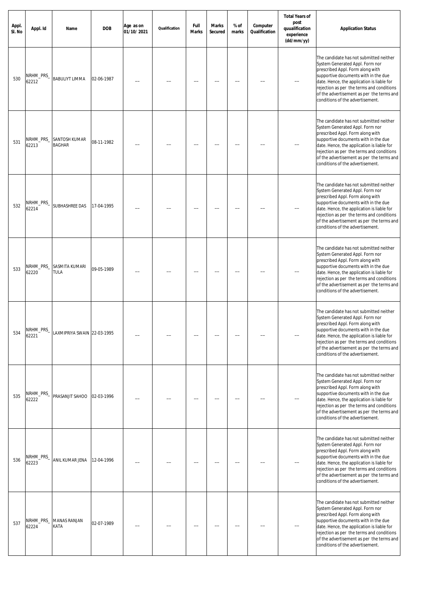| Appl.<br>SI. No | Appl. Id            | Name                           | <b>DOB</b> | Age as on<br>01/10/2021 | Qualification | Full<br><b>Marks</b> | <b>Marks</b><br><b>Secured</b> | % of<br>marks | Computer<br>Qualification | <b>Total Years of</b><br>post<br>quualification<br>experience<br>(dd/mm/yy) | <b>Application Status</b>                                                                                                                                                                                                                                                                                                          |
|-----------------|---------------------|--------------------------------|------------|-------------------------|---------------|----------------------|--------------------------------|---------------|---------------------------|-----------------------------------------------------------------------------|------------------------------------------------------------------------------------------------------------------------------------------------------------------------------------------------------------------------------------------------------------------------------------------------------------------------------------|
| 530             | NRHM_PRS_<br>62212  | BABULIYT LIMMA                 | 02-06-1987 |                         |               |                      |                                |               |                           |                                                                             | The candidate has not submitted neither<br>System Generated Appl. Form nor<br>prescribed Appl. Form along with<br>supportive documents with in the due<br>date. Hence, the application is liable for<br>rejection as per the terms and conditions<br>of the advertisement as per the terms and<br>conditions of the advertisement. |
| 531             | NRHM_PRS_<br>62213  | SANTOSH KUMAR<br><b>BAGHAR</b> | 08-11-1982 |                         |               |                      |                                |               |                           |                                                                             | The candidate has not submitted neither<br>System Generated Appl. Form nor<br>prescribed Appl. Form along with<br>supportive documents with in the due<br>date. Hence, the application is liable for<br>rejection as per the terms and conditions<br>of the advertisement as per the terms and<br>conditions of the advertisement. |
| 532             | NRHM_PRS_<br>62214  | SUBHASHREE DAS                 | 17-04-1995 |                         |               |                      |                                |               |                           |                                                                             | The candidate has not submitted neither<br>System Generated Appl. Form nor<br>prescribed Appl. Form along with<br>supportive documents with in the due<br>date. Hence, the application is liable for<br>rejection as per the terms and conditions<br>of the advertisement as per the terms and<br>conditions of the advertisement. |
| 533             | NRHM_PRS_<br>62220  | SASMITA KUMARI<br>TULA         | 09-05-1989 |                         |               |                      |                                |               |                           |                                                                             | The candidate has not submitted neither<br>System Generated Appl. Form nor<br>prescribed Appl. Form along with<br>supportive documents with in the due<br>date. Hence, the application is liable for<br>rejection as per the terms and conditions<br>of the advertisement as per the terms and<br>conditions of the advertisement. |
| 534             | NRHM_PRS_<br>, 2221 | LAXMIPRIYA SWAIN 22-03-1995    |            |                         |               |                      |                                |               |                           |                                                                             | The candidate has not submitted neither<br>System Generated Appl. Form nor<br>prescribed Appl. Form along with<br>supportive documents with in the due<br>date. Hence, the application is liable for<br>rejection as per the terms and conditions<br>of the advertisement as per the terms and<br>conditions of the advertisement. |
| 535             | NRHM_PRS_<br>62222  | PRASANJIT SAHOO 02-03-1996     |            |                         |               |                      |                                |               |                           |                                                                             | The candidate has not submitted neither<br>System Generated Appl. Form nor<br>prescribed Appl. Form along with<br>supportive documents with in the due<br>date. Hence, the application is liable for<br>rejection as per the terms and conditions<br>of the advertisement as per the terms and<br>conditions of the advertisement. |
| 536             | NRHM_PRS_<br>62223  | ANIL KUMAR JENA                | 12-04-1996 |                         |               |                      |                                |               |                           |                                                                             | The candidate has not submitted neither<br>System Generated Appl. Form nor<br>prescribed Appl. Form along with<br>supportive documents with in the due<br>date. Hence, the application is liable for<br>rejection as per the terms and conditions<br>of the advertisement as per the terms and<br>conditions of the advertisement. |
| 537             | NRHM_PRS_<br>62224  | MANAS RANJAN<br>KATA           | 02-07-1989 |                         |               |                      |                                |               |                           |                                                                             | The candidate has not submitted neither<br>System Generated Appl. Form nor<br>prescribed Appl. Form along with<br>supportive documents with in the due<br>date. Hence, the application is liable for<br>rejection as per the terms and conditions<br>of the advertisement as per the terms and<br>conditions of the advertisement. |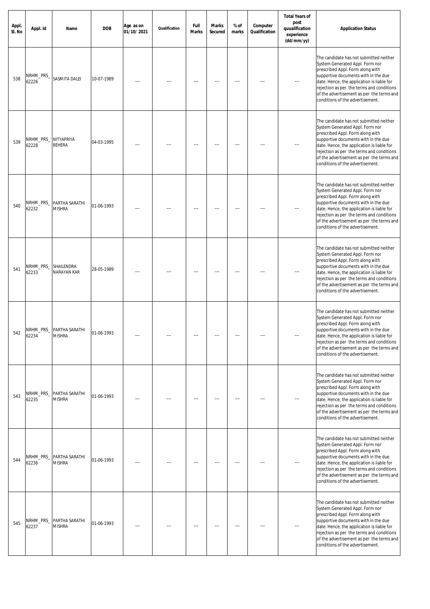| Appl.<br>SI. No | Appl. Id           | Name                                      | <b>DOB</b> | Age as on<br>01/10/2021 | Qualification | Full<br><b>Marks</b> | <b>Marks</b><br><b>Secured</b> | % of<br>marks | Computer<br>Qualification | <b>Total Years of</b><br>post<br>quualification<br>experience<br>(dd/mm/yy) | <b>Application Status</b>                                                                                                                                                                                                                                                                                                          |
|-----------------|--------------------|-------------------------------------------|------------|-------------------------|---------------|----------------------|--------------------------------|---------------|---------------------------|-----------------------------------------------------------------------------|------------------------------------------------------------------------------------------------------------------------------------------------------------------------------------------------------------------------------------------------------------------------------------------------------------------------------------|
| 538             | NRHM_PRS_<br>62226 | SASMITA DALEI                             | 10-07-1989 |                         |               |                      |                                |               |                           |                                                                             | The candidate has not submitted neither<br>System Generated Appl. Form nor<br>prescribed Appl. Form along with<br>supportive documents with in the due<br>date. Hence, the application is liable for<br>rejection as per the terms and conditions<br>of the advertisement as per the terms and<br>conditions of the advertisement. |
| 539             | NRHM_PRS_<br>62228 | NITYAPRIYA<br>BEHERA                      | 04-03-1995 |                         |               |                      |                                |               |                           |                                                                             | The candidate has not submitted neither<br>System Generated Appl. Form nor<br>prescribed Appl. Form along with<br>supportive documents with in the due<br>date. Hence, the application is liable for<br>rejection as per the terms and conditions<br>of the advertisement as per the terms and<br>conditions of the advertisement. |
| 540             | NRHM_PRS_<br>62232 | PARTHA SARATHI<br>MISHRA                  | 01-06-1993 |                         |               |                      |                                |               |                           |                                                                             | The candidate has not submitted neither<br>System Generated Appl. Form nor<br>prescribed Appl. Form along with<br>supportive documents with in the due<br>date. Hence, the application is liable for<br>rejection as per the terms and conditions<br>of the advertisement as per the terms and<br>conditions of the advertisement. |
| 541             | NRHM_PRS_<br>62233 | SHAILENDRA<br>NARAYAN KAR                 | 28-05-1989 |                         |               |                      |                                |               |                           |                                                                             | The candidate has not submitted neither<br>System Generated Appl. Form nor<br>prescribed Appl. Form along with<br>supportive documents with in the due<br>date. Hence, the application is liable for<br>rejection as per the terms and conditions<br>of the advertisement as per the terms and<br>conditions of the advertisement. |
| 542             | 62234              | NRHM_PRS_ PARTHA SARATHI<br><b>MISHRA</b> | 01-06-1993 |                         |               |                      |                                |               |                           |                                                                             | The candidate has not submitted neither<br>System Generated Appl. Form nor<br>prescribed Appl. Form along with<br>supportive documents with in the due<br>date. Hence, the application is liable for<br>rejection as per the terms and conditions<br>of the advertisement as per the terms and<br>conditions of the advertisement. |
| 543             | NRHM_PRS_<br>62235 | PARTHA SARATHI<br>MISHRA                  | 01-06-1993 |                         |               |                      |                                |               |                           |                                                                             | The candidate has not submitted neither<br>System Generated Appl. Form nor<br>prescribed Appl. Form along with<br>supportive documents with in the due<br>date. Hence, the application is liable for<br>rejection as per the terms and conditions<br>of the advertisement as per the terms and<br>conditions of the advertisement. |
| 544             | NRHM_PRS_<br>62236 | PARTHA SARATHI<br>MISHRA                  | 01-06-1993 |                         |               |                      |                                |               |                           |                                                                             | The candidate has not submitted neither<br>System Generated Appl. Form nor<br>prescribed Appl. Form along with<br>supportive documents with in the due<br>date. Hence, the application is liable for<br>rejection as per the terms and conditions<br>of the advertisement as per the terms and<br>conditions of the advertisement. |
| 545             | NRHM_PRS_<br>62237 | PARTHA SARATHI<br><b>MISHRA</b>           | 01-06-1993 |                         |               |                      |                                |               |                           |                                                                             | The candidate has not submitted neither<br>System Generated Appl. Form nor<br>prescribed Appl. Form along with<br>supportive documents with in the due<br>date. Hence, the application is liable for<br>rejection as per the terms and conditions<br>of the advertisement as per the terms and<br>conditions of the advertisement. |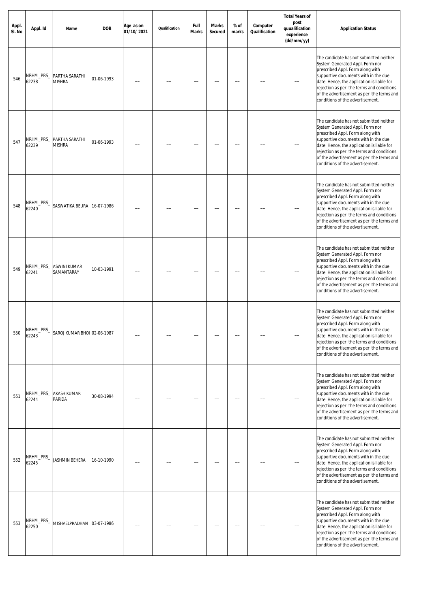| Appl.<br>SI. No | Appl. Id           | Name                        | <b>DOB</b> | Age as on<br>01/10/2021 | Qualification | Full<br><b>Marks</b> | <b>Marks</b><br><b>Secured</b> | % of<br>marks | Computer<br>Qualification | <b>Total Years of</b><br>post<br>quualification<br>experience<br>(dd/mm/yy) | <b>Application Status</b>                                                                                                                                                                                                                                                                                                          |
|-----------------|--------------------|-----------------------------|------------|-------------------------|---------------|----------------------|--------------------------------|---------------|---------------------------|-----------------------------------------------------------------------------|------------------------------------------------------------------------------------------------------------------------------------------------------------------------------------------------------------------------------------------------------------------------------------------------------------------------------------|
| 546             | NRHM_PRS_<br>62238 | PARTHA SARATHI<br>MISHRA    | 01-06-1993 |                         |               |                      |                                |               |                           |                                                                             | The candidate has not submitted neither<br>System Generated Appl. Form nor<br>prescribed Appl. Form along with<br>supportive documents with in the due<br>date. Hence, the application is liable for<br>rejection as per the terms and conditions<br>of the advertisement as per the terms and<br>conditions of the advertisement. |
| 547             | NRHM_PRS_<br>62239 | PARTHA SARATHI<br>MISHRA    | 01-06-1993 |                         |               |                      |                                |               |                           |                                                                             | The candidate has not submitted neither<br>System Generated Appl. Form nor<br>prescribed Appl. Form along with<br>supportive documents with in the due<br>date. Hence, the application is liable for<br>rejection as per the terms and conditions<br>of the advertisement as per the terms and<br>conditions of the advertisement. |
| 548             | NRHM_PRS_<br>62240 | SASWATIKA BEURA             | 16-07-1986 |                         |               |                      |                                |               |                           |                                                                             | The candidate has not submitted neither<br>System Generated Appl. Form nor<br>prescribed Appl. Form along with<br>supportive documents with in the due<br>date. Hence, the application is liable for<br>rejection as per the terms and conditions<br>of the advertisement as per the terms and<br>conditions of the advertisement. |
| 549             | NRHM_PRS_<br>62241 | ASWINI KUMAR<br>SAMANTARAY  | 10-03-1991 |                         |               |                      |                                |               |                           |                                                                             | The candidate has not submitted neither<br>System Generated Appl. Form nor<br>prescribed Appl. Form along with<br>supportive documents with in the due<br>date. Hence, the application is liable for<br>rejection as per the terms and conditions<br>of the advertisement as per the terms and<br>conditions of the advertisement. |
| 550             | NRHM_PRS_<br>52243 | SAROJ KUMAR BHOI 02-06-1987 |            |                         |               |                      |                                |               |                           |                                                                             | The candidate has not submitted neither<br>System Generated Appl. Form nor<br>prescribed Appl. Form along with<br>supportive documents with in the due<br>date. Hence, the application is liable for<br>rejection as per the terms and conditions<br>of the advertisement as per the terms and<br>conditions of the advertisement. |
| 551             | NRHM_PRS_<br>62244 | AKASH KUMAR<br>PARIDA       | 30-08-1994 |                         |               |                      |                                |               |                           |                                                                             | The candidate has not submitted neither<br>System Generated Appl. Form nor<br>prescribed Appl. Form along with<br>supportive documents with in the due<br>date. Hence, the application is liable for<br>rejection as per the terms and conditions<br>of the advertisement as per the terms and<br>conditions of the advertisement. |
| 552             | NRHM_PRS_<br>62245 | JASHMIN BEHERA              | 16-10-1990 |                         |               |                      |                                |               |                           |                                                                             | The candidate has not submitted neither<br>System Generated Appl. Form nor<br>prescribed Appl. Form along with<br>supportive documents with in the due<br>date. Hence, the application is liable for<br>rejection as per the terms and conditions<br>of the advertisement as per the terms and<br>conditions of the advertisement. |
| 553             | NRHM_PRS_<br>62250 | MISHAELPRADHAN 03-07-1986   |            |                         |               |                      |                                |               |                           |                                                                             | The candidate has not submitted neither<br>System Generated Appl. Form nor<br>prescribed Appl. Form along with<br>supportive documents with in the due<br>date. Hence, the application is liable for<br>rejection as per the terms and conditions<br>of the advertisement as per the terms and<br>conditions of the advertisement. |